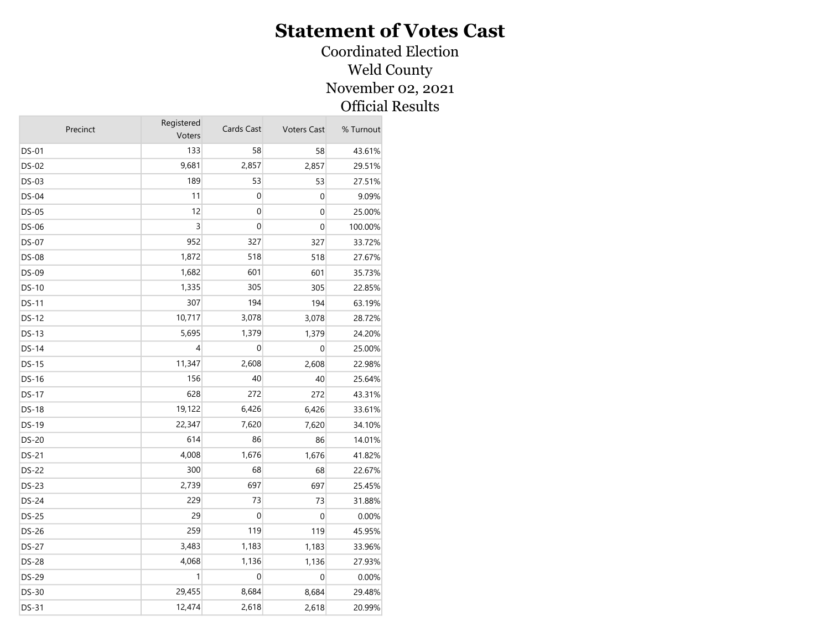#### Coordinated Election Weld County November 02, 2021 Official Results

| 133<br>58<br><b>DS-01</b><br>58<br>43.61%<br>9,681<br>2,857<br><b>DS-02</b><br>2,857<br>29.51%<br>189<br>53<br>DS-03<br>53<br>27.51%<br>11<br>DS-04<br>0<br>$\mathbf 0$<br>9.09%<br>12<br>0<br>$\mathbf 0$<br><b>DS-05</b><br>25.00%<br>3<br>0<br>$\mathbf 0$<br>DS-06<br>100.00%<br>952<br>327<br><b>DS-07</b><br>327<br>33.72%<br>1,872<br>518<br><b>DS-08</b><br>518<br>27.67%<br>1,682<br>601<br>DS-09<br>601<br>35.73%<br>1,335<br>305<br>305<br><b>DS-10</b><br>22.85%<br>307<br>194<br>DS-11<br>194<br>63.19%<br>10,717<br>3,078<br><b>DS-12</b><br>3,078<br>28.72%<br><b>DS-13</b><br>5,695<br>1,379<br>1,379<br>24.20%<br>4<br>0<br><b>DS-14</b><br>0<br>25.00%<br>11,347<br>2,608<br>$DS-15$<br>2,608<br>22.98%<br>156<br>40<br>40<br>DS-16<br>25.64%<br>628<br>272<br><b>DS-17</b><br>272<br>43.31%<br>19,122<br>6,426<br><b>DS-18</b><br>6,426<br>33.61%<br>22,347<br>7,620<br>DS-19<br>7,620<br>34.10%<br>614<br><b>DS-20</b><br>86<br>86<br>14.01%<br>DS-21<br>4,008<br>1,676<br>1,676<br>41.82%<br><b>DS-22</b><br>300<br>68<br>68<br>22.67%<br>2,739<br>697<br><b>DS-23</b><br>697<br>25.45%<br>229<br><b>DS-24</b><br>73<br>73<br>31.88%<br>29<br>0<br>$\mathbf 0$<br><b>DS-25</b><br>0.00%<br>259<br>119<br>119<br>DS-26<br>45.95%<br>3,483<br>1,183<br>DS-27<br>1,183<br>33.96%<br><b>DS-28</b><br>4,068<br>1,136<br>27.93%<br>1,136<br>1<br>0<br><b>DS-29</b><br>0<br>0.00%<br>29,455<br>8,684<br>DS-30<br>8,684<br>29.48%<br>DS-31<br>12,474<br>2,618<br>2,618<br>20.99% | Precinct | Registered<br>Voters | Cards Cast | <b>Voters Cast</b> | % Turnout |
|-----------------------------------------------------------------------------------------------------------------------------------------------------------------------------------------------------------------------------------------------------------------------------------------------------------------------------------------------------------------------------------------------------------------------------------------------------------------------------------------------------------------------------------------------------------------------------------------------------------------------------------------------------------------------------------------------------------------------------------------------------------------------------------------------------------------------------------------------------------------------------------------------------------------------------------------------------------------------------------------------------------------------------------------------------------------------------------------------------------------------------------------------------------------------------------------------------------------------------------------------------------------------------------------------------------------------------------------------------------------------------------------------------------------------------------------------------------------------------------------------|----------|----------------------|------------|--------------------|-----------|
|                                                                                                                                                                                                                                                                                                                                                                                                                                                                                                                                                                                                                                                                                                                                                                                                                                                                                                                                                                                                                                                                                                                                                                                                                                                                                                                                                                                                                                                                                               |          |                      |            |                    |           |
|                                                                                                                                                                                                                                                                                                                                                                                                                                                                                                                                                                                                                                                                                                                                                                                                                                                                                                                                                                                                                                                                                                                                                                                                                                                                                                                                                                                                                                                                                               |          |                      |            |                    |           |
|                                                                                                                                                                                                                                                                                                                                                                                                                                                                                                                                                                                                                                                                                                                                                                                                                                                                                                                                                                                                                                                                                                                                                                                                                                                                                                                                                                                                                                                                                               |          |                      |            |                    |           |
|                                                                                                                                                                                                                                                                                                                                                                                                                                                                                                                                                                                                                                                                                                                                                                                                                                                                                                                                                                                                                                                                                                                                                                                                                                                                                                                                                                                                                                                                                               |          |                      |            |                    |           |
|                                                                                                                                                                                                                                                                                                                                                                                                                                                                                                                                                                                                                                                                                                                                                                                                                                                                                                                                                                                                                                                                                                                                                                                                                                                                                                                                                                                                                                                                                               |          |                      |            |                    |           |
|                                                                                                                                                                                                                                                                                                                                                                                                                                                                                                                                                                                                                                                                                                                                                                                                                                                                                                                                                                                                                                                                                                                                                                                                                                                                                                                                                                                                                                                                                               |          |                      |            |                    |           |
|                                                                                                                                                                                                                                                                                                                                                                                                                                                                                                                                                                                                                                                                                                                                                                                                                                                                                                                                                                                                                                                                                                                                                                                                                                                                                                                                                                                                                                                                                               |          |                      |            |                    |           |
|                                                                                                                                                                                                                                                                                                                                                                                                                                                                                                                                                                                                                                                                                                                                                                                                                                                                                                                                                                                                                                                                                                                                                                                                                                                                                                                                                                                                                                                                                               |          |                      |            |                    |           |
|                                                                                                                                                                                                                                                                                                                                                                                                                                                                                                                                                                                                                                                                                                                                                                                                                                                                                                                                                                                                                                                                                                                                                                                                                                                                                                                                                                                                                                                                                               |          |                      |            |                    |           |
|                                                                                                                                                                                                                                                                                                                                                                                                                                                                                                                                                                                                                                                                                                                                                                                                                                                                                                                                                                                                                                                                                                                                                                                                                                                                                                                                                                                                                                                                                               |          |                      |            |                    |           |
|                                                                                                                                                                                                                                                                                                                                                                                                                                                                                                                                                                                                                                                                                                                                                                                                                                                                                                                                                                                                                                                                                                                                                                                                                                                                                                                                                                                                                                                                                               |          |                      |            |                    |           |
|                                                                                                                                                                                                                                                                                                                                                                                                                                                                                                                                                                                                                                                                                                                                                                                                                                                                                                                                                                                                                                                                                                                                                                                                                                                                                                                                                                                                                                                                                               |          |                      |            |                    |           |
|                                                                                                                                                                                                                                                                                                                                                                                                                                                                                                                                                                                                                                                                                                                                                                                                                                                                                                                                                                                                                                                                                                                                                                                                                                                                                                                                                                                                                                                                                               |          |                      |            |                    |           |
|                                                                                                                                                                                                                                                                                                                                                                                                                                                                                                                                                                                                                                                                                                                                                                                                                                                                                                                                                                                                                                                                                                                                                                                                                                                                                                                                                                                                                                                                                               |          |                      |            |                    |           |
|                                                                                                                                                                                                                                                                                                                                                                                                                                                                                                                                                                                                                                                                                                                                                                                                                                                                                                                                                                                                                                                                                                                                                                                                                                                                                                                                                                                                                                                                                               |          |                      |            |                    |           |
|                                                                                                                                                                                                                                                                                                                                                                                                                                                                                                                                                                                                                                                                                                                                                                                                                                                                                                                                                                                                                                                                                                                                                                                                                                                                                                                                                                                                                                                                                               |          |                      |            |                    |           |
|                                                                                                                                                                                                                                                                                                                                                                                                                                                                                                                                                                                                                                                                                                                                                                                                                                                                                                                                                                                                                                                                                                                                                                                                                                                                                                                                                                                                                                                                                               |          |                      |            |                    |           |
|                                                                                                                                                                                                                                                                                                                                                                                                                                                                                                                                                                                                                                                                                                                                                                                                                                                                                                                                                                                                                                                                                                                                                                                                                                                                                                                                                                                                                                                                                               |          |                      |            |                    |           |
|                                                                                                                                                                                                                                                                                                                                                                                                                                                                                                                                                                                                                                                                                                                                                                                                                                                                                                                                                                                                                                                                                                                                                                                                                                                                                                                                                                                                                                                                                               |          |                      |            |                    |           |
|                                                                                                                                                                                                                                                                                                                                                                                                                                                                                                                                                                                                                                                                                                                                                                                                                                                                                                                                                                                                                                                                                                                                                                                                                                                                                                                                                                                                                                                                                               |          |                      |            |                    |           |
|                                                                                                                                                                                                                                                                                                                                                                                                                                                                                                                                                                                                                                                                                                                                                                                                                                                                                                                                                                                                                                                                                                                                                                                                                                                                                                                                                                                                                                                                                               |          |                      |            |                    |           |
|                                                                                                                                                                                                                                                                                                                                                                                                                                                                                                                                                                                                                                                                                                                                                                                                                                                                                                                                                                                                                                                                                                                                                                                                                                                                                                                                                                                                                                                                                               |          |                      |            |                    |           |
|                                                                                                                                                                                                                                                                                                                                                                                                                                                                                                                                                                                                                                                                                                                                                                                                                                                                                                                                                                                                                                                                                                                                                                                                                                                                                                                                                                                                                                                                                               |          |                      |            |                    |           |
|                                                                                                                                                                                                                                                                                                                                                                                                                                                                                                                                                                                                                                                                                                                                                                                                                                                                                                                                                                                                                                                                                                                                                                                                                                                                                                                                                                                                                                                                                               |          |                      |            |                    |           |
|                                                                                                                                                                                                                                                                                                                                                                                                                                                                                                                                                                                                                                                                                                                                                                                                                                                                                                                                                                                                                                                                                                                                                                                                                                                                                                                                                                                                                                                                                               |          |                      |            |                    |           |
|                                                                                                                                                                                                                                                                                                                                                                                                                                                                                                                                                                                                                                                                                                                                                                                                                                                                                                                                                                                                                                                                                                                                                                                                                                                                                                                                                                                                                                                                                               |          |                      |            |                    |           |
|                                                                                                                                                                                                                                                                                                                                                                                                                                                                                                                                                                                                                                                                                                                                                                                                                                                                                                                                                                                                                                                                                                                                                                                                                                                                                                                                                                                                                                                                                               |          |                      |            |                    |           |
|                                                                                                                                                                                                                                                                                                                                                                                                                                                                                                                                                                                                                                                                                                                                                                                                                                                                                                                                                                                                                                                                                                                                                                                                                                                                                                                                                                                                                                                                                               |          |                      |            |                    |           |
|                                                                                                                                                                                                                                                                                                                                                                                                                                                                                                                                                                                                                                                                                                                                                                                                                                                                                                                                                                                                                                                                                                                                                                                                                                                                                                                                                                                                                                                                                               |          |                      |            |                    |           |
|                                                                                                                                                                                                                                                                                                                                                                                                                                                                                                                                                                                                                                                                                                                                                                                                                                                                                                                                                                                                                                                                                                                                                                                                                                                                                                                                                                                                                                                                                               |          |                      |            |                    |           |
|                                                                                                                                                                                                                                                                                                                                                                                                                                                                                                                                                                                                                                                                                                                                                                                                                                                                                                                                                                                                                                                                                                                                                                                                                                                                                                                                                                                                                                                                                               |          |                      |            |                    |           |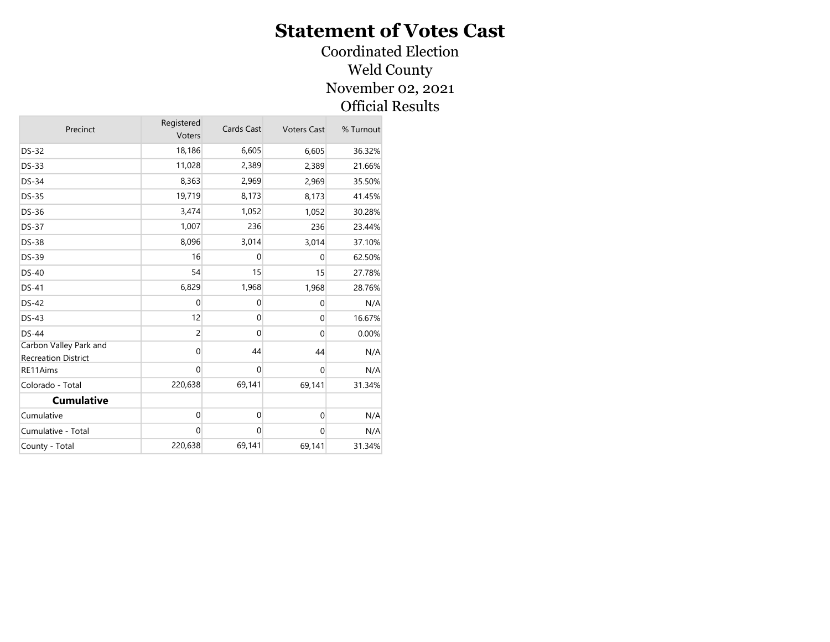#### Coordinated Election Weld County November 02, 2021 Official Results

| Precinct                                             | Registered<br>Voters | Cards Cast  | <b>Voters Cast</b> | % Turnout |
|------------------------------------------------------|----------------------|-------------|--------------------|-----------|
| <b>DS-32</b>                                         | 18,186               | 6,605       | 6,605              | 36.32%    |
| <b>DS-33</b>                                         | 11,028               | 2,389       | 2,389              | 21.66%    |
| <b>DS-34</b>                                         | 8,363                | 2,969       | 2,969              | 35.50%    |
| <b>DS-35</b>                                         | 19,719               | 8,173       | 8,173              | 41.45%    |
| <b>DS-36</b>                                         | 3,474                | 1,052       | 1,052              | 30.28%    |
| <b>DS-37</b>                                         | 1,007                | 236         | 236                | 23.44%    |
| <b>DS-38</b>                                         | 8,096                | 3,014       | 3,014              | 37.10%    |
| <b>DS-39</b>                                         | 16                   | $\mathbf 0$ | $\Omega$           | 62.50%    |
| $DS-40$                                              | 54                   | 15          | 15                 | 27.78%    |
| DS-41                                                | 6,829                | 1,968       | 1,968              | 28.76%    |
| <b>DS-42</b>                                         | 0                    | $\mathbf 0$ | $\Omega$           | N/A       |
| $DS-43$                                              | 12                   | $\mathbf 0$ | $\Omega$           | 16.67%    |
| <b>DS-44</b>                                         | $\overline{c}$       | $\mathbf 0$ | $\mathbf{0}$       | 0.00%     |
| Carbon Valley Park and<br><b>Recreation District</b> | 0                    | 44          | 44                 | N/A       |
| RE11Aims                                             | $\mathbf 0$          | $\mathbf 0$ | $\Omega$           | N/A       |
| Colorado - Total                                     | 220,638              | 69,141      | 69,141             | 31.34%    |
| <b>Cumulative</b>                                    |                      |             |                    |           |
| Cumulative                                           | $\mathbf 0$          | $\mathbf 0$ | $\mathbf 0$        | N/A       |
| Cumulative - Total                                   | $\mathbf 0$          | $\mathbf 0$ | $\Omega$           | N/A       |
| County - Total                                       | 220,638              | 69,141      | 69,141             | 31.34%    |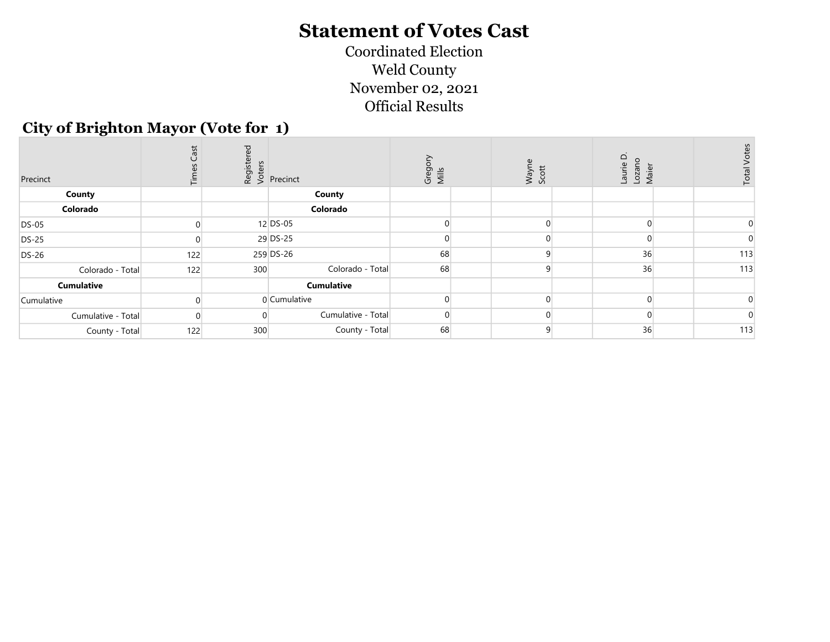Coordinated Election Weld County November 02, 2021 Official Results

#### City of Brighton Mayor (Vote for 1)

| Precinct           | Cast<br>這 | ರ   | $\begin{array}{c} \n\frac{1}{2} & \text{if } \\ \n\frac{1}{2} & \text{if } \\ \n\frac{1}{2} & \text{if } \\ \n\frac{1}{2} & \text{if } \\ \n\frac{1}{2} & \text{if } \\ \n\frac{1}{2} & \text{if } \\ \n\frac{1}{2} & \text{if } \\ \n\frac{1}{2} & \text{if } \\ \n\frac{1}{2} & \text{if } \\ \n\frac{1}{2} & \text{if } \\ \n\frac{1}{2} & \text{if } \\ \n\frac{1}{2} & \text{if } \\ \n\frac{1}{2} & \text{if } \\ \n\frac{$ | Gregory<br>Mills | Wayne<br>Scott | Laurie D.<br>Lozano<br>Maier | <b>Total Vote</b> |
|--------------------|-----------|-----|-----------------------------------------------------------------------------------------------------------------------------------------------------------------------------------------------------------------------------------------------------------------------------------------------------------------------------------------------------------------------------------------------------------------------------------|------------------|----------------|------------------------------|-------------------|
| County             |           |     | County                                                                                                                                                                                                                                                                                                                                                                                                                            |                  |                |                              |                   |
| Colorado           |           |     | Colorado                                                                                                                                                                                                                                                                                                                                                                                                                          |                  |                |                              |                   |
| <b>DS-05</b>       |           |     | 12 DS-05                                                                                                                                                                                                                                                                                                                                                                                                                          |                  |                |                              |                   |
| <b>DS-25</b>       |           |     | 29 DS-25                                                                                                                                                                                                                                                                                                                                                                                                                          |                  |                |                              |                   |
| <b>DS-26</b>       | 122       |     | 259 DS-26                                                                                                                                                                                                                                                                                                                                                                                                                         | 68               |                | 36                           | 113               |
| Colorado - Total   | 122       | 300 | Colorado - Total                                                                                                                                                                                                                                                                                                                                                                                                                  | 68               |                | 36                           | 113               |
| <b>Cumulative</b>  |           |     | <b>Cumulative</b>                                                                                                                                                                                                                                                                                                                                                                                                                 |                  |                |                              |                   |
| Cumulative         |           |     | 0 Cumulative                                                                                                                                                                                                                                                                                                                                                                                                                      |                  |                |                              |                   |
| Cumulative - Total |           |     | Cumulative - Total                                                                                                                                                                                                                                                                                                                                                                                                                |                  |                |                              |                   |
| County - Total     | 122       | 300 | County - Total                                                                                                                                                                                                                                                                                                                                                                                                                    | 68               |                | 36                           | 113               |
|                    |           |     |                                                                                                                                                                                                                                                                                                                                                                                                                                   |                  |                |                              |                   |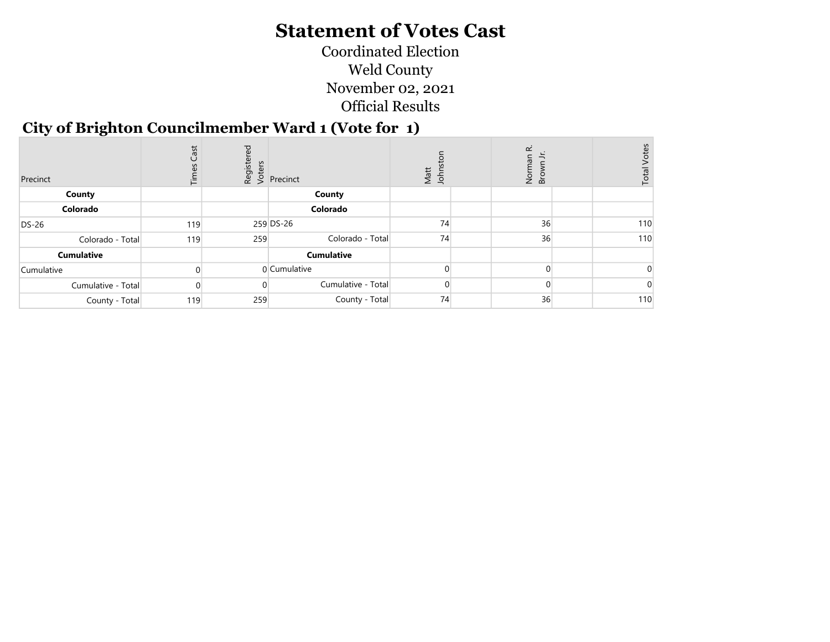Coordinated Election Weld County November 02, 2021 Official Results

# City of Brighton Councilmember Ward 1 (Vote for 1)

| Precinct           | Cast<br>iμ | ᄝ   | $\begin{array}{c} \n\frac{1}{2} & \text{if } \\ \n\frac{1}{2} & \text{if } \\ \n\frac{1}{2} & \text{if } \\ \n\frac{1}{2} & \text{if } \\ \n\frac{1}{2} & \text{if } \\ \n\frac{1}{2} & \text{if } \\ \n\frac{1}{2} & \text{if } \\ \n\frac{1}{2} & \text{if } \\ \n\frac{1}{2} & \text{if } \\ \n\frac{1}{2} & \text{if } \\ \n\frac{1}{2} & \text{if } \\ \n\frac{1}{2} & \text{if } \\ \n\frac{1}{2} & \text{if } \\ \n\frac{$ | Matt<br>Johns | œ<br>oz<br>S<br>S | <b>Total Votes</b> |
|--------------------|------------|-----|-----------------------------------------------------------------------------------------------------------------------------------------------------------------------------------------------------------------------------------------------------------------------------------------------------------------------------------------------------------------------------------------------------------------------------------|---------------|-------------------|--------------------|
| County             |            |     | County                                                                                                                                                                                                                                                                                                                                                                                                                            |               |                   |                    |
| Colorado           |            |     | Colorado                                                                                                                                                                                                                                                                                                                                                                                                                          |               |                   |                    |
| <b>DS-26</b>       | 119        |     | 259 DS-26                                                                                                                                                                                                                                                                                                                                                                                                                         | 74            | 36                | 110                |
| Colorado - Total   | 119        | 259 | Colorado - Total                                                                                                                                                                                                                                                                                                                                                                                                                  | 74            | 36                | 110                |
| <b>Cumulative</b>  |            |     | <b>Cumulative</b>                                                                                                                                                                                                                                                                                                                                                                                                                 |               |                   |                    |
| Cumulative         |            |     | 0 Cumulative                                                                                                                                                                                                                                                                                                                                                                                                                      |               |                   |                    |
| Cumulative - Total |            |     | Cumulative - Total                                                                                                                                                                                                                                                                                                                                                                                                                |               |                   |                    |
| County - Total     | 119        | 259 | County - Total                                                                                                                                                                                                                                                                                                                                                                                                                    | 74            | 36                | 110                |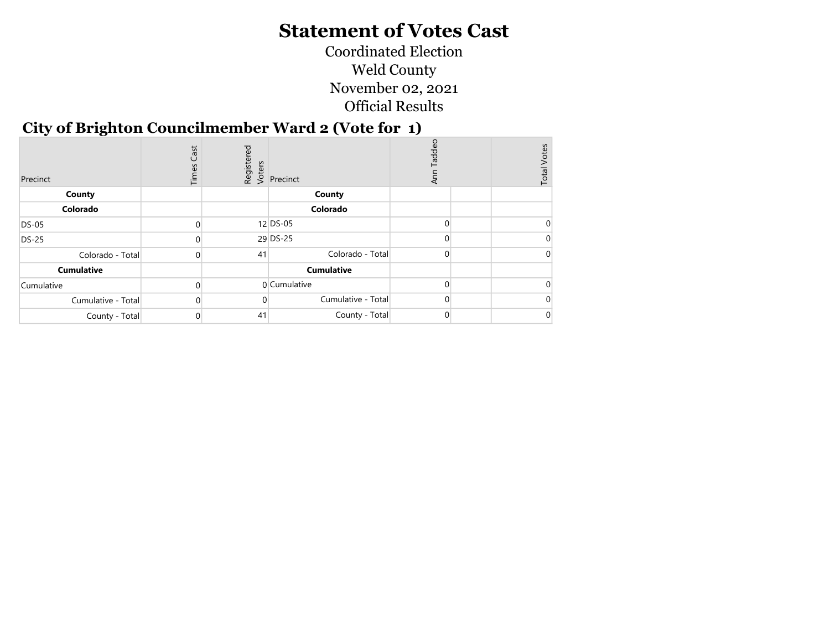Coordinated Election Weld County November 02, 2021 Official Results

## City of Brighton Councilmember Ward 2 (Vote for 1)

| Precinct           | Cast<br>Times |    | Registered<br>Voters<br>Se Precinct | Taddeo<br>₹  | <b>Total Votes</b> |
|--------------------|---------------|----|-------------------------------------|--------------|--------------------|
| County             |               |    | County                              |              |                    |
| Colorado           |               |    | Colorado                            |              |                    |
| DS-05              |               |    | $12$ DS-05                          |              |                    |
| <b>DS-25</b>       |               |    | 29 DS-25                            |              |                    |
| Colorado - Total   |               | 41 | Colorado - Total                    | <sup>0</sup> |                    |
| <b>Cumulative</b>  |               |    | <b>Cumulative</b>                   |              |                    |
| Cumulative         |               |    | 0 Cumulative                        |              |                    |
| Cumulative - Total |               |    | Cumulative - Total                  |              |                    |
| County - Total     |               | 41 | County - Total                      | 0            |                    |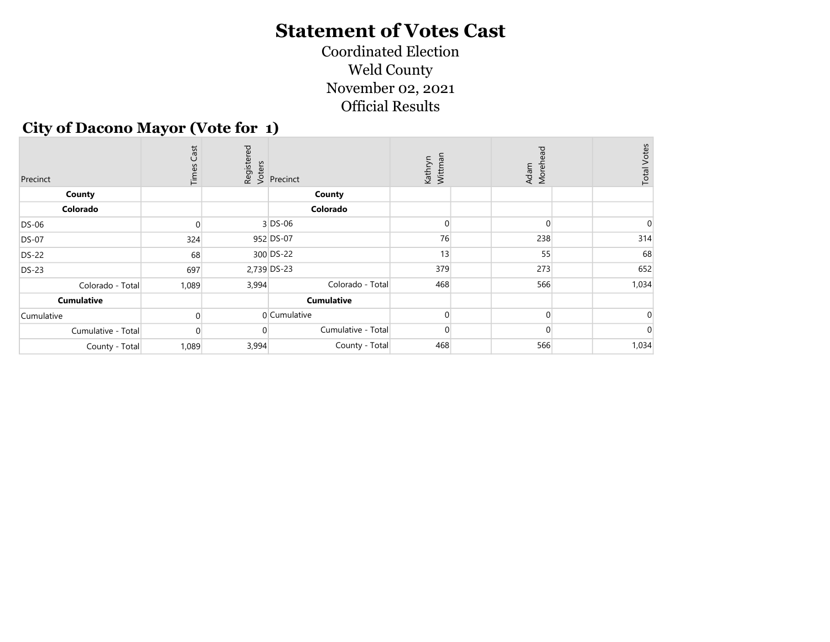Coordinated Election Weld County November 02, 2021 Official Results

#### City of Dacono Mayor (Vote for 1)

| Precinct           | <b>Times Cast</b> |       | Registered<br>Voters<br>Precinct | Kathryn<br>Wittman | Adam<br>Morehead | <b>Total Votes</b> |
|--------------------|-------------------|-------|----------------------------------|--------------------|------------------|--------------------|
| County             |                   |       | County                           |                    |                  |                    |
| Colorado           |                   |       | Colorado                         |                    |                  |                    |
| <b>DS-06</b>       |                   |       | $3$ DS-06                        |                    |                  |                    |
| <b>DS-07</b>       | 324               |       | 952 DS-07                        | 76                 | 238              | 314                |
| <b>DS-22</b>       | 68                |       | 300 DS-22                        | 13                 | 55               | 68                 |
| <b>DS-23</b>       | 697               |       | 2,739 DS-23                      | 379                | 273              | 652                |
| Colorado - Total   | 1,089             | 3,994 | Colorado - Total                 | 468                | 566              | 1,034              |
| <b>Cumulative</b>  |                   |       | <b>Cumulative</b>                |                    |                  |                    |
| Cumulative         |                   |       | 0 Cumulative                     |                    |                  |                    |
| Cumulative - Total | $\Omega$          | 0     | Cumulative - Total               | $\Omega$           |                  |                    |
| County - Total     | 1,089             | 3,994 | County - Total                   | 468                | 566              | 1,034              |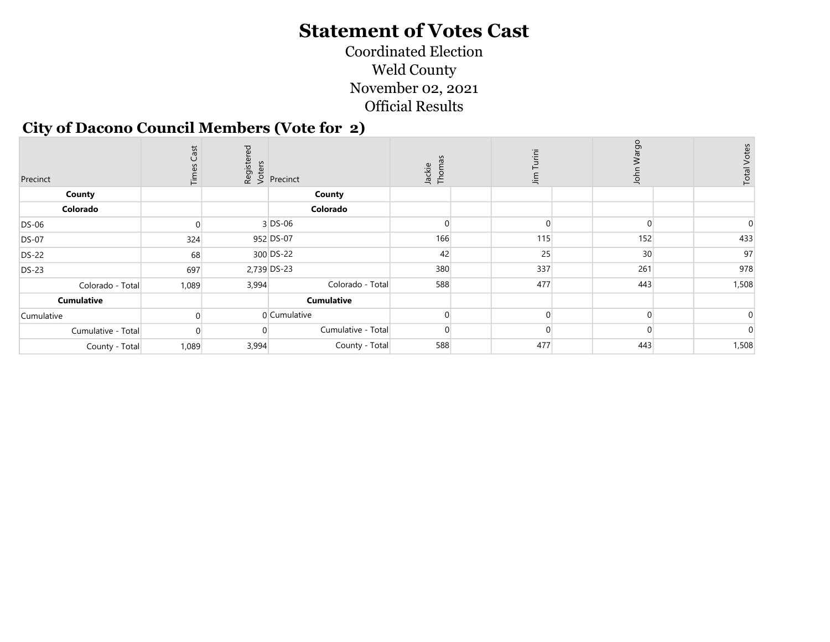Coordinated Election Weld County November 02, 2021 Official Results

#### City of Dacono Council Members (Vote for 2)

| Precinct           | Cast<br>こ | ЪЪ    | dister<br>endiscus<br>endiscus<br>endiscus<br>endiscus<br>endiscus | Thomas<br>Jackie | Ϊä<br>$\lim$ | рg<br>wa<br>$\overline{5}$ | <b>Total Votes</b> |
|--------------------|-----------|-------|--------------------------------------------------------------------|------------------|--------------|----------------------------|--------------------|
| County             |           |       | County                                                             |                  |              |                            |                    |
| Colorado           |           |       | Colorado                                                           |                  |              |                            |                    |
| DS-06              |           |       | $3$ DS-06                                                          |                  |              |                            |                    |
| <b>DS-07</b>       | 324       |       | 952 DS-07                                                          | 166              | 115          | 152                        | 433                |
| <b>DS-22</b>       | 68        |       | 300 DS-22                                                          | 42               | 25           | 30 <sup>2</sup>            | 97                 |
| <b>DS-23</b>       | 697       |       | 2,739 DS-23                                                        | 380              | 337          | 261                        | 978                |
| Colorado - Total   | 1,089     | 3,994 | Colorado - Total                                                   | 588              | 477          | 443                        | 1,508              |
| <b>Cumulative</b>  |           |       | <b>Cumulative</b>                                                  |                  |              |                            |                    |
| Cumulative         |           |       | 0 Cumulative                                                       |                  |              |                            |                    |
| Cumulative - Total |           |       | Cumulative - Total                                                 |                  |              |                            |                    |
| County - Total     | 1,089     | 3,994 | County - Total                                                     | 588              | 477          | 443                        | 1,508              |
|                    |           |       |                                                                    |                  |              |                            |                    |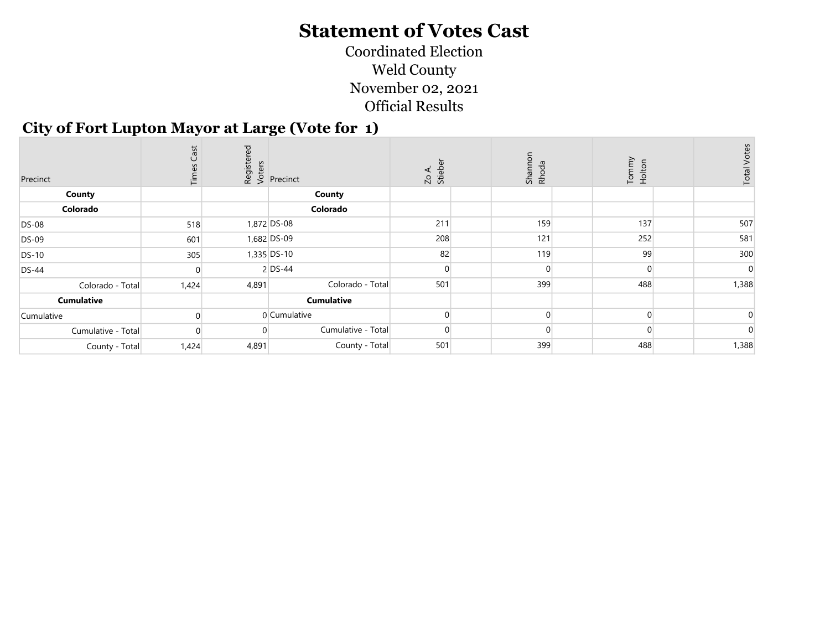Coordinated Election Weld County November 02, 2021 Official Results

#### City of Fort Lupton Mayor at Large (Vote for 1)

| Precinct           | Cast<br>Time: | 9g    | enters<br>enters<br>enternet<br>enternet | Zo A.<br>Stieber | Shannon<br>Rhoda | Tommy<br>Holton | $\mathsf{v}$<br><b>Total Vote</b> |
|--------------------|---------------|-------|------------------------------------------|------------------|------------------|-----------------|-----------------------------------|
| County             |               |       | County                                   |                  |                  |                 |                                   |
| Colorado           |               |       | Colorado                                 |                  |                  |                 |                                   |
| <b>DS-08</b>       | 518           |       | 1,872 DS-08                              | 211              | 159              | 137             | 507                               |
| <b>DS-09</b>       | 601           |       | 1,682 DS-09                              | 208              | 121              | 252             | 581                               |
| <b>DS-10</b>       | 305           |       | 1,335 DS-10                              | 82               | 119              | 99              | 300                               |
| <b>DS-44</b>       |               |       | $2$ DS-44                                |                  |                  |                 |                                   |
| Colorado - Total   | 1,424         | 4,891 | Colorado - Total                         | 501              | 399              | 488             | 1,388                             |
| Cumulative         |               |       | <b>Cumulative</b>                        |                  |                  |                 |                                   |
| Cumulative         |               |       | 0 Cumulative                             |                  |                  |                 |                                   |
| Cumulative - Total |               |       | Cumulative - Total                       |                  |                  |                 |                                   |
| County - Total     | 1,424         | 4,891 | County - Total                           | 501              | 399              | 488             | 1,388                             |
|                    |               |       |                                          |                  |                  |                 |                                   |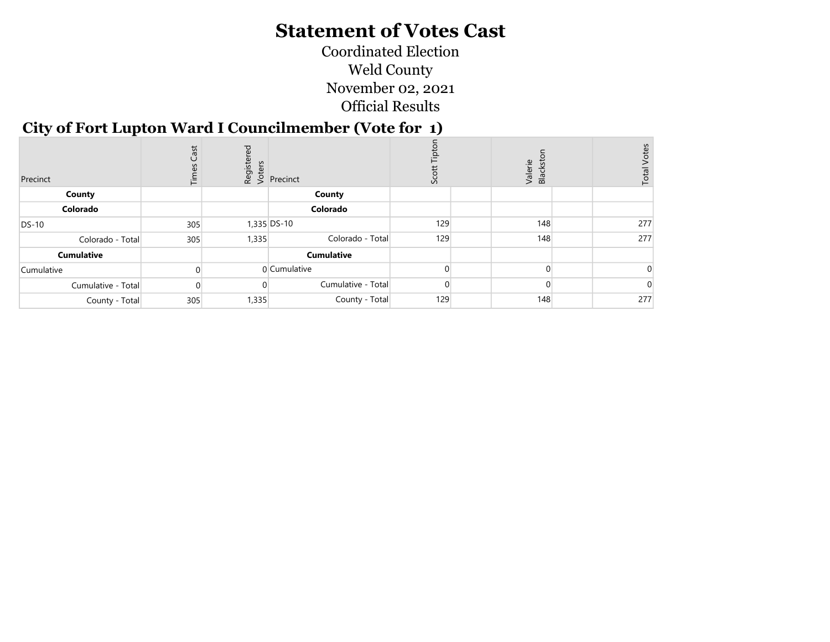Coordinated Election Weld County November 02, 2021 Official Results

#### City of Fort Lupton Ward I Councilmember (Vote for 1)

| Precinct           | Cast<br>Time: | red   | $\begin{array}{c} \n\frac{1}{2} & \text{if } \\ \n\frac{1}{2} & \text{if } \\ \n\frac{1}{2} & \text{if } \\ \n\frac{1}{2} & \text{if } \\ \n\frac{1}{2} & \text{if } \\ \n\frac{1}{2} & \text{if } \\ \n\frac{1}{2} & \text{if } \\ \n\frac{1}{2} & \text{if } \\ \n\frac{1}{2} & \text{if } \\ \n\frac{1}{2} & \text{if } \\ \n\frac{1}{2} & \text{if } \\ \n\frac{1}{2} & \text{if } \\ \n\frac{1}{2} & \text{if } \\ \n\frac{$ | Sco |  |     | Valerie<br>Blacksto |     | Votes<br>Total |  |
|--------------------|---------------|-------|-----------------------------------------------------------------------------------------------------------------------------------------------------------------------------------------------------------------------------------------------------------------------------------------------------------------------------------------------------------------------------------------------------------------------------------|-----|--|-----|---------------------|-----|----------------|--|
| County             |               |       | County                                                                                                                                                                                                                                                                                                                                                                                                                            |     |  |     |                     |     |                |  |
| Colorado           |               |       | Colorado                                                                                                                                                                                                                                                                                                                                                                                                                          |     |  |     |                     |     |                |  |
| <b>DS-10</b>       | 305           |       | 1,335 DS-10                                                                                                                                                                                                                                                                                                                                                                                                                       | 129 |  | 148 |                     | 277 |                |  |
| Colorado - Total   | 305           | 1,335 | Colorado - Total                                                                                                                                                                                                                                                                                                                                                                                                                  | 129 |  | 148 |                     | 277 |                |  |
| <b>Cumulative</b>  |               |       | <b>Cumulative</b>                                                                                                                                                                                                                                                                                                                                                                                                                 |     |  |     |                     |     |                |  |
| Cumulative         |               |       | 0 Cumulative                                                                                                                                                                                                                                                                                                                                                                                                                      |     |  |     |                     |     |                |  |
| Cumulative - Total |               |       | Cumulative - Total                                                                                                                                                                                                                                                                                                                                                                                                                |     |  |     |                     |     |                |  |
| County - Total     | 305           | 1,335 | County - Total                                                                                                                                                                                                                                                                                                                                                                                                                    | 129 |  | 148 |                     | 277 |                |  |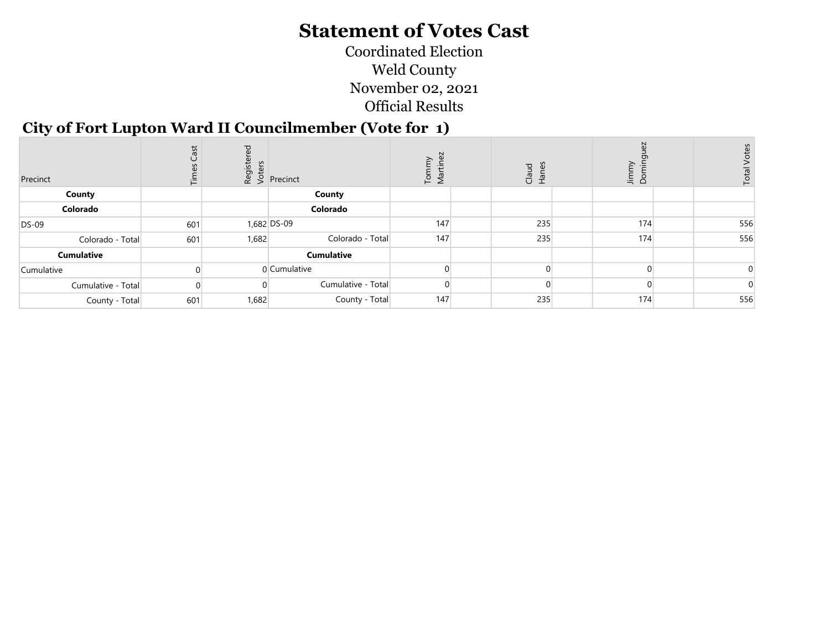Coordinated Election Weld County November 02, 2021 Official Results

#### City of Fort Lupton Ward II Councilmember (Vote for 1)

|     |                   | λĀ<br>$\sum_{a}$<br>ЙŪ                                                                                                 |                                                          | Claud<br>Hanes    | Jimmy<br>് | S<br>$\mathbf{a}$<br>ਠੋ |       |
|-----|-------------------|------------------------------------------------------------------------------------------------------------------------|----------------------------------------------------------|-------------------|------------|-------------------------|-------|
|     | County            |                                                                                                                        |                                                          |                   |            |                         |       |
|     | Colorado          |                                                                                                                        |                                                          |                   |            |                         |       |
| 601 |                   |                                                                                                                        |                                                          | 235               | 174        | 556                     |       |
| 601 |                   |                                                                                                                        |                                                          |                   |            | 556                     |       |
|     | <b>Cumulative</b> |                                                                                                                        |                                                          |                   |            |                         |       |
|     |                   |                                                                                                                        |                                                          |                   |            |                         |       |
|     |                   |                                                                                                                        |                                                          |                   |            |                         |       |
| 601 |                   |                                                                                                                        |                                                          |                   | 174        | 556                     |       |
|     |                   | $\begin{bmatrix} 16 & 16 \\ 20 & 36 \\ 6 & 36 \end{bmatrix}$ Precinct<br>1,682 DS-09<br>1,682<br>0 Cumulative<br>1,682 | Colorado - Total<br>Cumulative - Total<br>County - Total | 147<br>147<br>147 | 235<br>235 | 174                     | Total |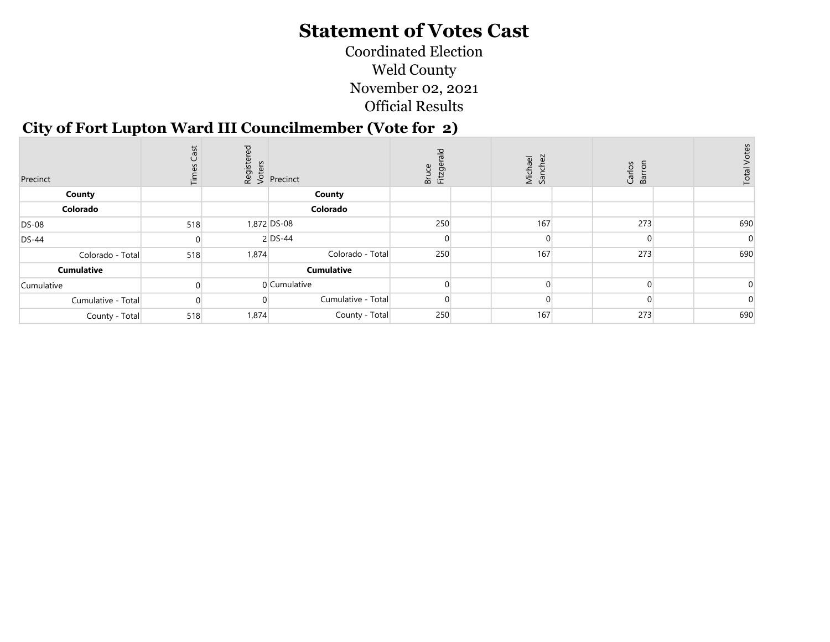Coordinated Election Weld County November 02, 2021 Official Results

#### City of Fort Lupton Ward III Councilmember (Vote for 2)

| Precinct           | 51<br>ී<br>评 | ਨ     | $\begin{array}{c} \n\frac{1}{2} & \text{if } \\ \n\frac{1}{2} & \text{if } \\ \n\frac{1}{2} & \text{if } \\ \n\frac{1}{2} & \text{if } \\ \n\frac{1}{2} & \text{if } \\ \n\frac{1}{2} & \text{if } \\ \n\frac{1}{2} & \text{if } \\ \n\frac{1}{2} & \text{if } \\ \n\frac{1}{2} & \text{if } \\ \n\frac{1}{2} & \text{if } \\ \n\frac{1}{2} & \text{if } \\ \n\frac{1}{2} & \text{if } \\ \n\frac{1}{2} & \text{if } \\ \n\frac{$ | ᠊ᠣ<br>Fitzge<br>uce<br>ă | Michael<br>Sanchez | Carlos<br>Barron<br>$\overline{5}$ | Total |  |
|--------------------|--------------|-------|-----------------------------------------------------------------------------------------------------------------------------------------------------------------------------------------------------------------------------------------------------------------------------------------------------------------------------------------------------------------------------------------------------------------------------------|--------------------------|--------------------|------------------------------------|-------|--|
| County             |              |       | County                                                                                                                                                                                                                                                                                                                                                                                                                            |                          |                    |                                    |       |  |
| Colorado           |              |       | Colorado                                                                                                                                                                                                                                                                                                                                                                                                                          |                          |                    |                                    |       |  |
| <b>DS-08</b>       | 518          |       | 1,872 DS-08                                                                                                                                                                                                                                                                                                                                                                                                                       | 250                      | 167                | 273                                | 690   |  |
| <b>DS-44</b>       |              |       | $2$ DS-44                                                                                                                                                                                                                                                                                                                                                                                                                         |                          |                    |                                    |       |  |
| Colorado - Total   | 518          | 1,874 | Colorado - Total                                                                                                                                                                                                                                                                                                                                                                                                                  | 250                      | 167                | 273                                | 690   |  |
| <b>Cumulative</b>  |              |       | <b>Cumulative</b>                                                                                                                                                                                                                                                                                                                                                                                                                 |                          |                    |                                    |       |  |
| Cumulative         |              |       | 0 Cumulative                                                                                                                                                                                                                                                                                                                                                                                                                      |                          |                    |                                    |       |  |
| Cumulative - Total |              |       | Cumulative - Total                                                                                                                                                                                                                                                                                                                                                                                                                |                          |                    |                                    |       |  |
| County - Total     | 518          | 1,874 | County - Total                                                                                                                                                                                                                                                                                                                                                                                                                    | 250                      | 167                | 273                                | 690   |  |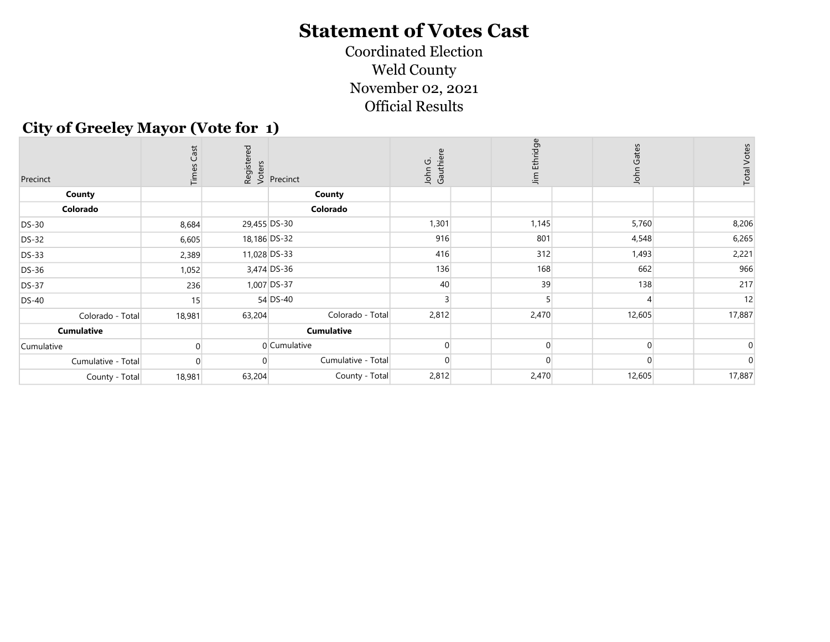Official Results Coordinated Election Weld County November 02, 2021

#### City of Greeley Mayor (Vote for 1)

| Precinct           | Cast<br>i≒ | red    | dister<br><b>E</b><br><b>E</b><br><b>E</b><br><b>E</b><br><b>E</b><br><b>Precinct</b> | Gauthiere<br>John G. | Jim Ethridge | Gates<br>John | <b>Total Votes</b> |
|--------------------|------------|--------|---------------------------------------------------------------------------------------|----------------------|--------------|---------------|--------------------|
| County             |            |        | County                                                                                |                      |              |               |                    |
| Colorado           |            |        | Colorado                                                                              |                      |              |               |                    |
| <b>DS-30</b>       | 8,684      |        | 29,455 DS-30                                                                          | 1,301                | 1,145        | 5,760         | 8,206              |
| <b>DS-32</b>       | 6,605      |        | 18,186 DS-32                                                                          | 916                  | 801          | 4,548         | 6,265              |
| <b>DS-33</b>       | 2,389      |        | 11,028 DS-33                                                                          | 416                  | 312          | 1,493         | 2,221              |
| <b>DS-36</b>       | 1,052      |        | 3,474 DS-36                                                                           | 136                  | 168          | 662           | 966                |
| <b>DS-37</b>       | 236        |        | 1,007 DS-37                                                                           | 40                   | 39           | 138           | 217                |
| <b>DS-40</b>       | 15         |        | 54 DS-40                                                                              |                      |              |               | 12                 |
| Colorado - Total   | 18,981     | 63,204 | Colorado - Total                                                                      | 2,812                | 2,470        | 12,605        | 17,887             |
| <b>Cumulative</b>  |            |        | <b>Cumulative</b>                                                                     |                      |              |               |                    |
| Cumulative         |            |        | $0$ Cumulative                                                                        |                      |              |               |                    |
| Cumulative - Total |            |        | Cumulative - Total                                                                    |                      |              |               |                    |
| County - Total     | 18,981     | 63,204 | County - Total                                                                        | 2,812                | 2,470        | 12,605        | 17,887             |
|                    |            |        |                                                                                       |                      |              |               |                    |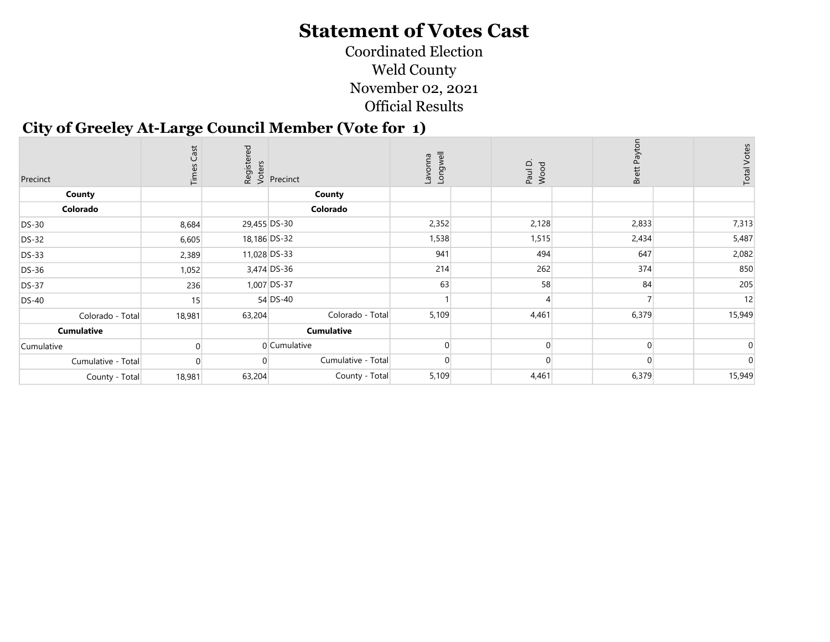Coordinated Election Weld County November 02, 2021 Official Results

#### City of Greeley At-Large Council Member (Vote for 1)

| Precinct           | Cast<br>LĪ |              | Registered<br>Voters<br>Versenct | Longwell<br><b>Euuove</b> | Paul D.<br>Wood | Brett | <b>Total Votes</b> |
|--------------------|------------|--------------|----------------------------------|---------------------------|-----------------|-------|--------------------|
| County             |            |              | County                           |                           |                 |       |                    |
| Colorado           |            |              | Colorado                         |                           |                 |       |                    |
| <b>DS-30</b>       | 8,684      | 29,455 DS-30 |                                  | 2,352                     | 2,128           | 2,833 | 7,313              |
| <b>DS-32</b>       | 6,605      |              | 18,186 DS-32                     | 1,538                     | 1,515           | 2,434 | 5,487              |
| <b>DS-33</b>       | 2,389      |              | 11,028 DS-33                     | 941                       | 494             | 647   | 2,082              |
| DS-36              | 1,052      |              | 3,474 DS-36                      | 214                       | 262             | 374   | 850                |
| <b>DS-37</b>       | 236        |              | 1,007 DS-37                      | 63                        | 58              | 84    | 205                |
| <b>DS-40</b>       | 15         |              | 54 DS-40                         |                           |                 |       | 12                 |
| Colorado - Total   | 18,981     | 63,204       | Colorado - Total                 | 5,109                     | 4,461           | 6,379 | 15,949             |
| <b>Cumulative</b>  |            |              | <b>Cumulative</b>                |                           |                 |       |                    |
| Cumulative         |            |              | 0 Cumulative                     |                           |                 |       |                    |
| Cumulative - Total |            |              | Cumulative - Total               |                           |                 |       |                    |
| County - Total     | 18,981     | 63,204       | County - Total                   | 5,109                     | 4,461           | 6,379 | 15,949             |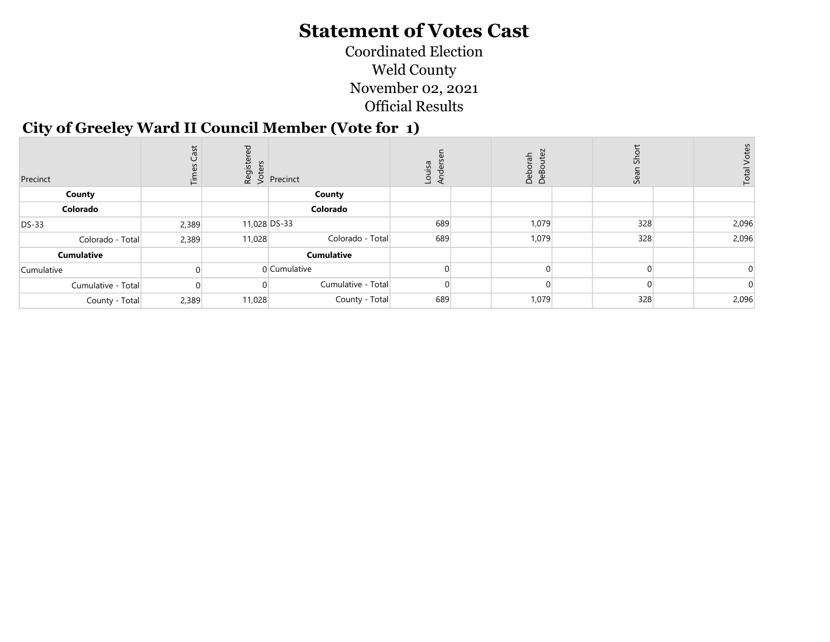Coordinated Election Weld County November 02, 2021 Official Results

#### City of Greeley Ward II Council Member (Vote for 1)

| Precinct           | 這     |        | $\begin{bmatrix} 15 & 16 \\ 20 & 5 \\ 6 & 6 \end{bmatrix}$ Precinct | Louisa<br>Ander | 등<br>a<br>DeB | $\overline{v}$<br>Ğë, | Total |
|--------------------|-------|--------|---------------------------------------------------------------------|-----------------|---------------|-----------------------|-------|
| County             |       |        | County                                                              |                 |               |                       |       |
| Colorado           |       |        | Colorado                                                            |                 |               |                       |       |
| <b>DS-33</b>       | 2,389 |        | 11,028 DS-33                                                        | 689             | 1,079         | 328                   | 2,096 |
| Colorado - Total   | 2,389 | 11,028 | Colorado - Total                                                    | 689             | 1,079         | 328                   | 2,096 |
| <b>Cumulative</b>  |       |        | <b>Cumulative</b>                                                   |                 |               |                       |       |
| Cumulative         |       |        | 0 Cumulative                                                        |                 |               |                       |       |
| Cumulative - Total |       |        | Cumulative - Total                                                  |                 |               |                       |       |
| County - Total     | 2,389 | 11,028 | County - Total                                                      | 689             | 1,079         | 328                   | 2,096 |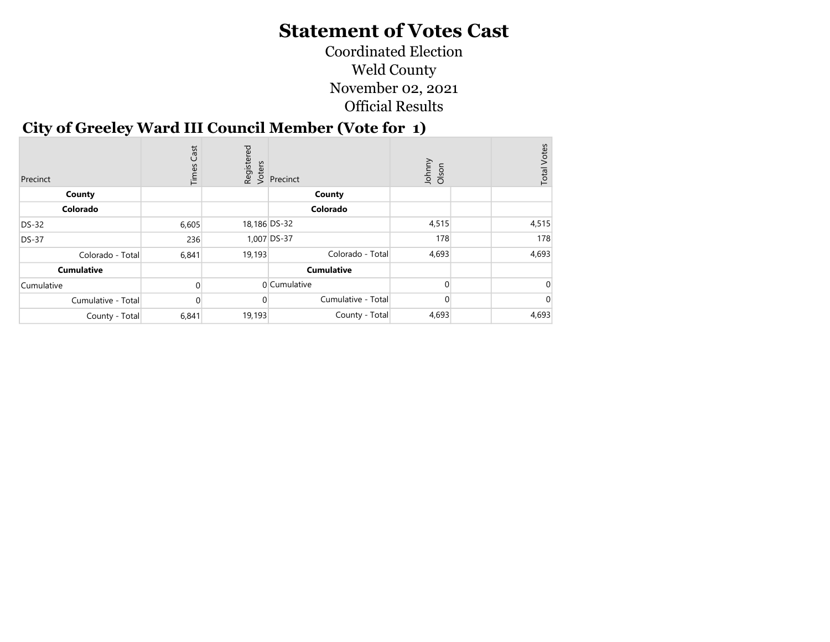Coordinated Election Weld County November 02, 2021 Official Results

#### City of Greeley Ward III Council Member (Vote for 1)

| Precinct           | Cast<br>Times | Registered<br>Voters | Precinct           | Johnny<br>Olson | <b>Total Votes</b> |
|--------------------|---------------|----------------------|--------------------|-----------------|--------------------|
| County             |               |                      | County             |                 |                    |
| Colorado           |               |                      | Colorado           |                 |                    |
| <b>DS-32</b>       | 6,605         | 18,186 DS-32         |                    | 4,515           | 4,515              |
| <b>DS-37</b>       | 236           |                      | 1,007 DS-37        | 178             | 178                |
| Colorado - Total   | 6,841         | 19,193               | Colorado - Total   | 4,693           | 4,693              |
| <b>Cumulative</b>  |               |                      | <b>Cumulative</b>  |                 |                    |
| Cumulative         |               |                      | 0 Cumulative       |                 |                    |
| Cumulative - Total | $\Omega$      |                      | Cumulative - Total |                 |                    |
| County - Total     | 6,841         | 19,193               | County - Total     | 4,693           | 4,693              |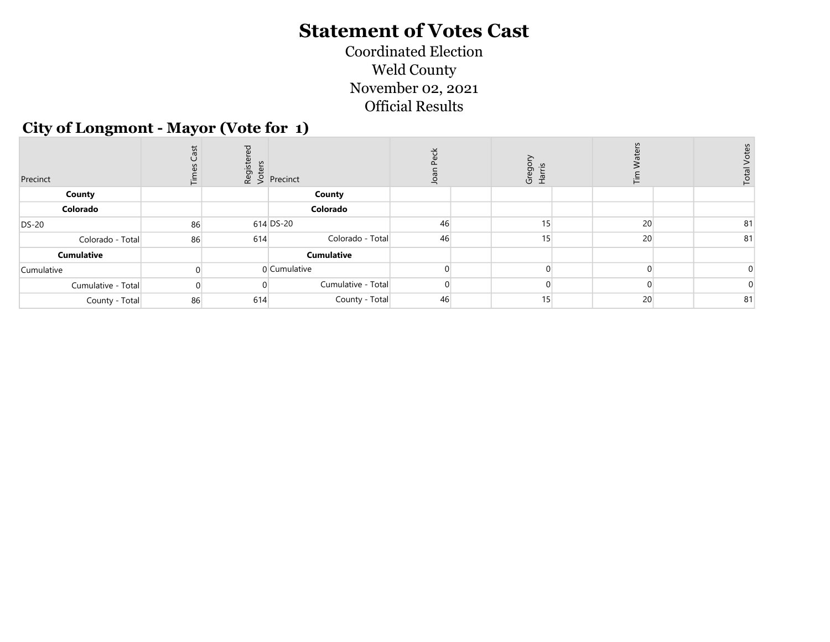Coordinated Election Weld County November 02, 2021 Official Results

#### City of Longmont - Mayor (Vote for 1)

| Precinct           |    |     | $\begin{bmatrix} 1 & 0 & 0 \\ 0 & 0 & 0 \\ 0 & 0 & 0 \end{bmatrix}$ Precinct | ⊸  | Gregon<br>Harris | 讵  | Tota |
|--------------------|----|-----|------------------------------------------------------------------------------|----|------------------|----|------|
| County             |    |     | County                                                                       |    |                  |    |      |
| Colorado           |    |     | Colorado                                                                     |    |                  |    |      |
| <b>DS-20</b>       | 86 |     | 614 DS-20                                                                    | 46 | 15               | 20 | 81   |
| Colorado - Total   | 86 | 614 | Colorado - Total                                                             | 46 | 15               | 20 | 81   |
| <b>Cumulative</b>  |    |     | <b>Cumulative</b>                                                            |    |                  |    |      |
| Cumulative         |    |     | 0 Cumulative                                                                 |    |                  |    |      |
| Cumulative - Total |    |     | Cumulative - Total                                                           |    |                  |    |      |
| County - Total     | 86 | 614 | County - Total                                                               | 46 | 15               | 20 | 81   |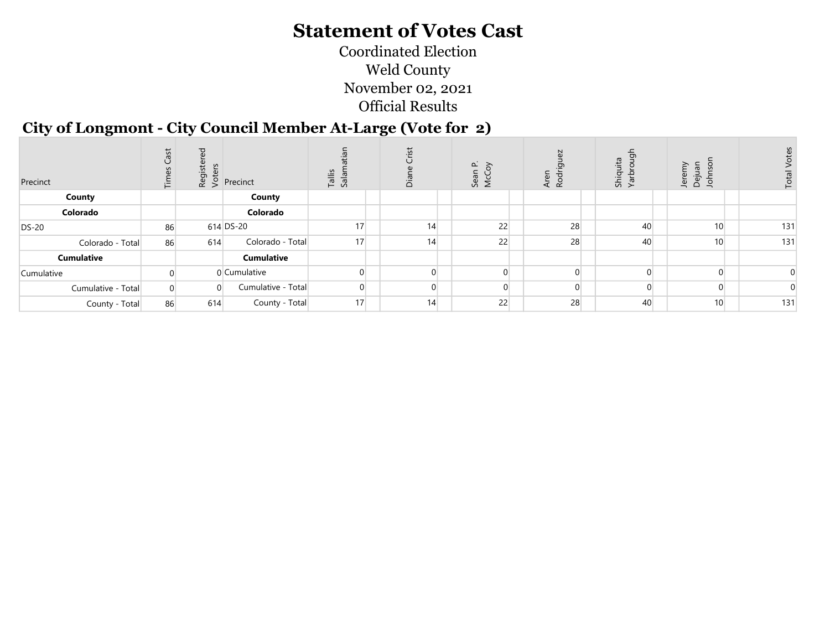Coordinated Election Weld County November 02, 2021 Official Results

#### City of Longmont - City Council Member At-Large (Vote for 2)

| Precinct           | ق  | <b>D</b><br>iη | $\begin{bmatrix} 1 & 0 \\ 0 & 0 \\ 0 & 0 \end{bmatrix}$ Precinct | Tallis<br>Salam | <u>in</u><br>ة | $\sim$<br>$\sigma$<br>S | ಾ<br>R <sub>O</sub> | ģ<br>uita<br>c<br>Shiqi<br>Yarb | ξ<br>$\sigma$<br>Jere<br>$\overline{5}$<br>jeg |     |
|--------------------|----|----------------|------------------------------------------------------------------|-----------------|----------------|-------------------------|---------------------|---------------------------------|------------------------------------------------|-----|
| County             |    |                | County                                                           |                 |                |                         |                     |                                 |                                                |     |
| Colorado           |    |                | Colorado                                                         |                 |                |                         |                     |                                 |                                                |     |
| <b>DS-20</b>       | 86 |                | 614 DS-20                                                        | 17              | 14             | 22                      | 28                  | 40                              | 10 <sup>1</sup>                                | 131 |
| Colorado - Total   | 86 | 614            | Colorado - Total                                                 | 17              | 14             | 22                      | 28                  | 40                              | 10 <sup>1</sup>                                | 131 |
| <b>Cumulative</b>  |    |                | <b>Cumulative</b>                                                |                 |                |                         |                     |                                 |                                                |     |
| Cumulative         |    |                | 0 Cumulative                                                     |                 |                |                         |                     |                                 |                                                |     |
| Cumulative - Total |    | $\cap$         | Cumulative - Total                                               |                 | $\Omega$       |                         |                     |                                 |                                                |     |
| County - Total     | 86 | 614            | County - Total                                                   | 17              | 14             | 22                      | 28                  | 40                              | 10 <sup>1</sup>                                | 131 |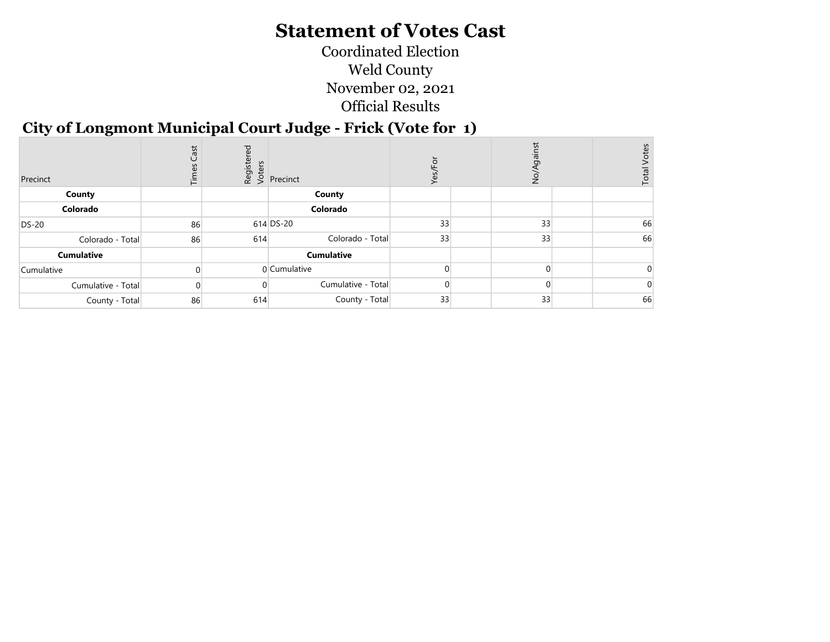Coordinated Election Weld County November 02, 2021 Official Results

#### City of Longmont Municipal Court Judge - Frick (Vote for 1)

| Precinct           | Cast<br>這 | <b>P</b> | dister<br>& S<br>Precinct | $\succ$ | ş  | Votes<br>Total |
|--------------------|-----------|----------|---------------------------|---------|----|----------------|
| County             |           |          | County                    |         |    |                |
| Colorado           |           |          | Colorado                  |         |    |                |
| <b>DS-20</b>       | 86        |          | $614$ DS-20               | 33      | 33 | 66             |
| Colorado - Total   | 86        | 614      | Colorado - Total          | 33      | 33 | 66             |
| <b>Cumulative</b>  |           |          | <b>Cumulative</b>         |         |    |                |
| Cumulative         |           |          | 0 Cumulative              |         |    |                |
| Cumulative - Total |           |          | Cumulative - Total        |         |    |                |
| County - Total     | 86        | 614      | County - Total            | 33      | 33 | 66             |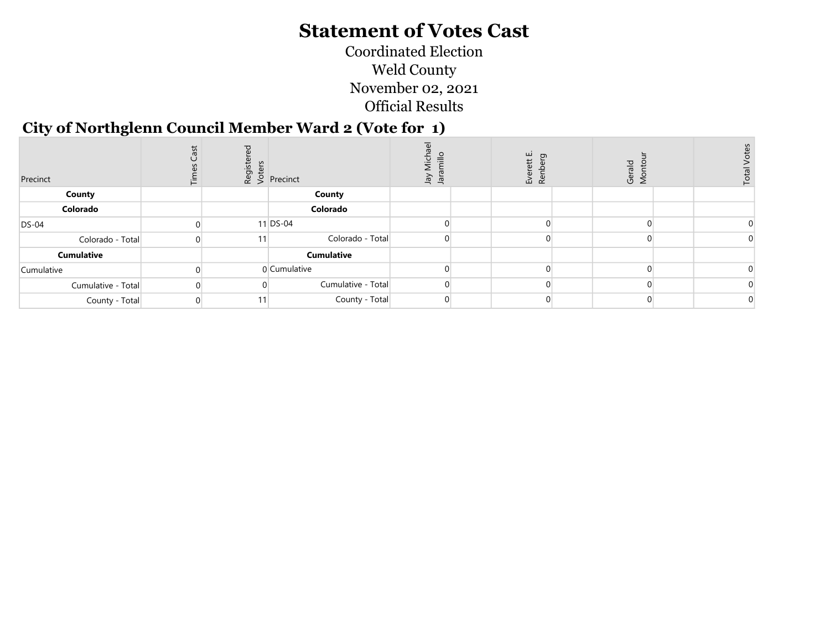Coordinated Election Weld County November 02, 2021 Official Results

#### City of Northglenn Council Member Ward 2 (Vote for 1)

| Precinct           |    | $\begin{bmatrix} 1 & 1 \\ 0 & 0 \\ 0 & 0 \end{bmatrix}$ Precinct | $rac{1}{\sqrt{2}}$<br><u>는</u><br>sig<br>Vel | ш<br>$\sigma$<br>td<br>ะ<br>คล<br>คล | Gerald<br>Monto | Total |  |
|--------------------|----|------------------------------------------------------------------|----------------------------------------------|--------------------------------------|-----------------|-------|--|
| <b>County</b>      |    | County                                                           |                                              |                                      |                 |       |  |
| Colorado           |    | Colorado                                                         |                                              |                                      |                 |       |  |
| <b>DS-04</b>       |    | 11 DS-04                                                         |                                              |                                      |                 |       |  |
| Colorado - Total   | 11 | Colorado - Total                                                 |                                              |                                      |                 |       |  |
| <b>Cumulative</b>  |    | <b>Cumulative</b>                                                |                                              |                                      |                 |       |  |
| Cumulative         |    | 0 Cumulative                                                     |                                              |                                      |                 |       |  |
| Cumulative - Total |    | Cumulative - Total                                               |                                              |                                      |                 |       |  |
| County - Total     | 11 | County - Total                                                   |                                              |                                      |                 |       |  |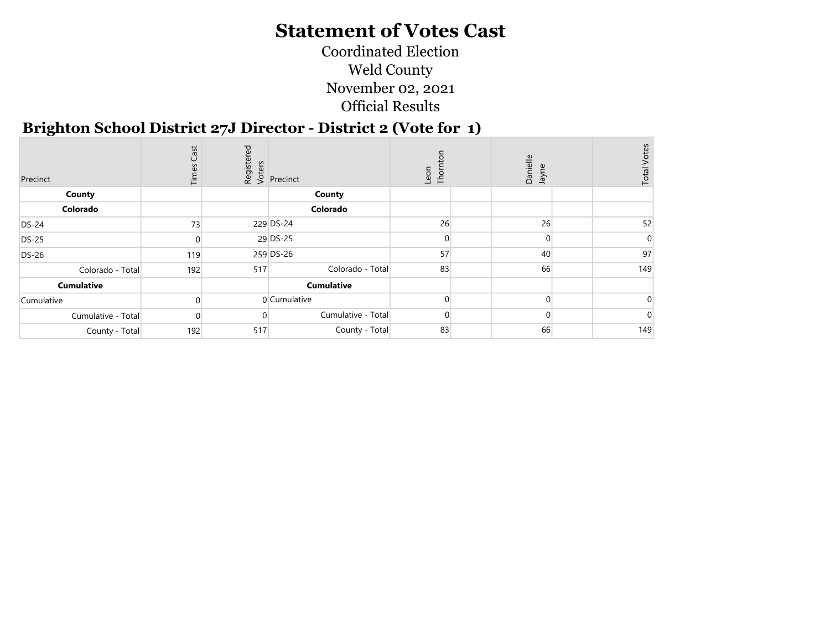Coordinated Election Weld County November 02, 2021 Official Results

#### Brighton School District 27J Director - District 2 (Vote for 1)

| Precinct           | Cast<br>Time |     | Registered<br>Voters<br>Precinct | Thomton<br>Leon | Danielle<br>Jayne | <b>Total Votes</b> |
|--------------------|--------------|-----|----------------------------------|-----------------|-------------------|--------------------|
| County             |              |     | County                           |                 |                   |                    |
| Colorado           |              |     | Colorado                         |                 |                   |                    |
| <b>DS-24</b>       | 73           |     | 229 DS-24                        | 26              | 26                | 52                 |
| <b>DS-25</b>       |              |     | 29 DS-25                         |                 | $\Omega$          |                    |
| <b>DS-26</b>       | 119          |     | 259 DS-26                        | 57              | 40                | 97                 |
| Colorado - Total   | 192          | 517 | Colorado - Total                 | 83              | 66                | 149                |
| <b>Cumulative</b>  |              |     | <b>Cumulative</b>                |                 |                   |                    |
| Cumulative         |              |     | 0 Cumulative                     |                 | $\Omega$          |                    |
| Cumulative - Total | 0            |     | Cumulative - Total               | $\Omega$        |                   |                    |
| County - Total     | 192          | 517 | County - Total                   | 83              | 66                | 149                |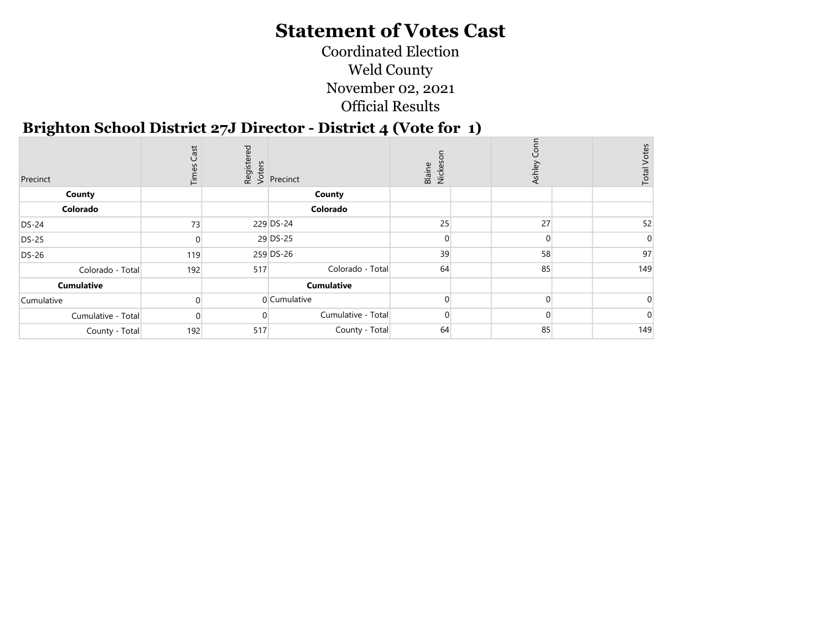Coordinated Election Weld County November 02, 2021 Official Results

#### Brighton School District 27J Director - District 4 (Vote for 1)

| Precinct           | Cast<br>Times |     | Registered<br>Voters<br>Versinct | Blaine<br>Nickes | Ashley   | <b>Total Votes</b> |
|--------------------|---------------|-----|----------------------------------|------------------|----------|--------------------|
| County             |               |     | County                           |                  |          |                    |
| Colorado           |               |     | Colorado                         |                  |          |                    |
| <b>DS-24</b>       | 73            |     | 229 DS-24                        | 25               | 27       | 52                 |
| <b>DS-25</b>       |               |     | 29 DS-25                         |                  | $\Omega$ |                    |
| <b>DS-26</b>       | 119           |     | 259 DS-26                        | 39               | 58       | 97                 |
| Colorado - Total   | 192           | 517 | Colorado - Total                 | 64               | 85       | 149                |
| <b>Cumulative</b>  |               |     | <b>Cumulative</b>                |                  |          |                    |
| Cumulative         |               |     | 0 Cumulative                     |                  | $\Omega$ |                    |
| Cumulative - Total | n             |     | Cumulative - Total               | $\Omega$         |          |                    |
| County - Total     | 192           | 517 | County - Total                   | 64               | 85       | 149                |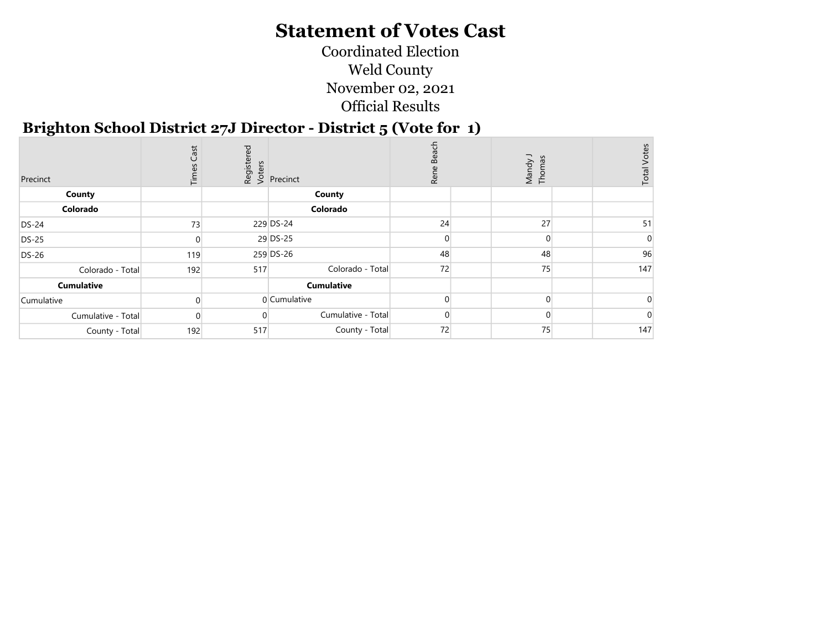Coordinated Election Weld County November 02, 2021 Official Results

#### Brighton School District 27J Director - District 5 (Vote for 1)

| Precinct           | Cast<br>Time: |     | Registered<br>Voters<br>Precinct | ach<br>ë.<br>Ren | Mandy J<br>Thomas | <b>Total Votes</b> |
|--------------------|---------------|-----|----------------------------------|------------------|-------------------|--------------------|
| County             |               |     | County                           |                  |                   |                    |
| Colorado           |               |     | Colorado                         |                  |                   |                    |
| <b>DS-24</b>       | 73            |     | 229 DS-24                        | 24               | 27                | 51                 |
| <b>DS-25</b>       |               |     | 29 DS-25                         |                  | $\Omega$          |                    |
| <b>DS-26</b>       | 119           |     | 259 DS-26                        | 48               | 48                | 96                 |
| Colorado - Total   | 192           | 517 | Colorado - Total                 | 72               | 75                | 147                |
| <b>Cumulative</b>  |               |     | <b>Cumulative</b>                |                  |                   |                    |
| Cumulative         |               |     | 0 Cumulative                     |                  | $\Omega$          |                    |
| Cumulative - Total | 0             |     | Cumulative - Total               |                  |                   |                    |
| County - Total     | 192           | 517 | County - Total                   | 72               | 75                | 147                |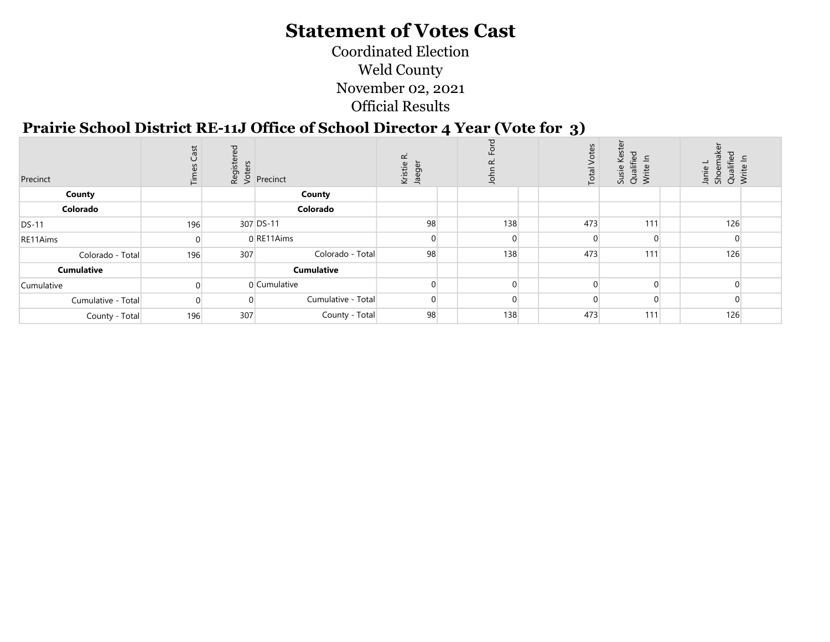Coordinated Election Weld County November 02, 2021 Official Results

#### Prairie School District RE-11J Office of School Director 4 Year (Vote for 3)

| Precinct           | Cast<br>$\overline{E}$ | ਹ   | $\frac{1}{2}$<br>$\frac{1}{2}$ $\frac{1}{2}$ Precinct | ≃<br>Kristie<br>Jaeger | ए<br>$\alpha$<br>John |          | Vote:<br>Total | Keste<br>Susie Kest<br>Qualified<br>Write In | aker<br>ਠ<br>Janie L<br>Shoema<br>Qualifiec<br>Write In | $\equiv$ |
|--------------------|------------------------|-----|-------------------------------------------------------|------------------------|-----------------------|----------|----------------|----------------------------------------------|---------------------------------------------------------|----------|
| County             |                        |     | County                                                |                        |                       |          |                |                                              |                                                         |          |
| Colorado           |                        |     | Colorado                                              |                        |                       |          |                |                                              |                                                         |          |
| <b>DS-11</b>       | 196                    |     | 307 DS-11                                             | 98                     |                       | 138      | 473            | 111                                          | 126                                                     |          |
| RE11Aims           |                        |     | 0 RE11Aims                                            | $\Omega$               |                       |          |                |                                              |                                                         |          |
| Colorado - Total   | 196                    | 307 | Colorado - Total                                      | 98                     |                       | 138      | 473            | 111                                          | 126                                                     |          |
| <b>Cumulative</b>  |                        |     | <b>Cumulative</b>                                     |                        |                       |          |                |                                              |                                                         |          |
| Cumulative         |                        |     | 0 Cumulative                                          | $\overline{0}$         |                       | $\cap$   |                | 0                                            |                                                         |          |
| Cumulative - Total |                        |     | Cumulative - Total                                    | $\overline{0}$         |                       | $\Omega$ |                | $\Omega$                                     |                                                         |          |
| County - Total     | 196                    | 307 | County - Total                                        | 98                     |                       | 138      | 473            | 111                                          | 126                                                     |          |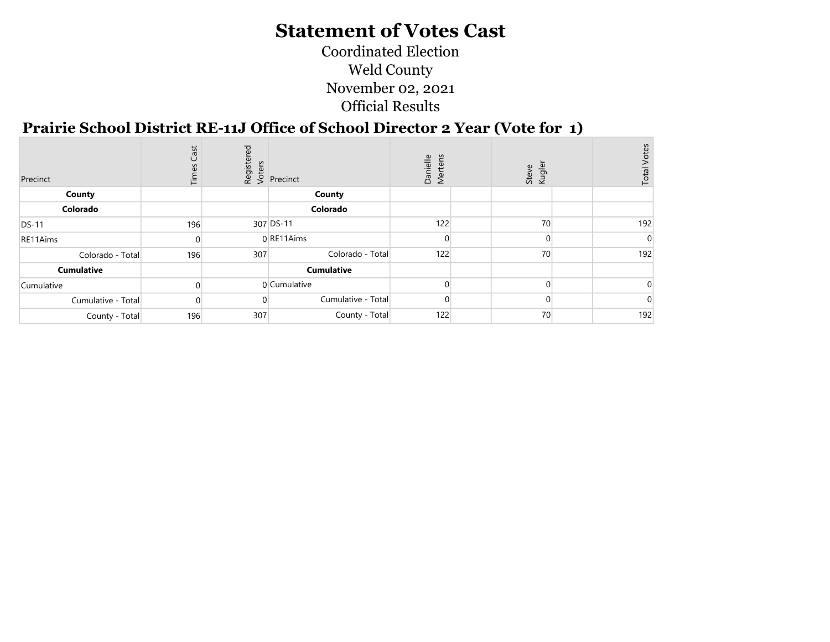Coordinated Election Weld County November 02, 2021 Official Results

#### Prairie School District RE-11J Office of School Director 2 Year (Vote for 1)

| Precinct           | Cast<br>Time: |     | Registered<br>Voters<br><i>V</i> Precinct | Mertens<br>Danielle | Steve<br>Kugler | <b>Total Votes</b> |
|--------------------|---------------|-----|-------------------------------------------|---------------------|-----------------|--------------------|
| County             |               |     | County                                    |                     |                 |                    |
| Colorado           |               |     | Colorado                                  |                     |                 |                    |
| <b>DS-11</b>       | 196           |     | 307 DS-11                                 | 122                 | 70              | 192                |
| RE11Aims           |               |     | 0 RE11Aims                                |                     | 0               |                    |
| Colorado - Total   | 196           | 307 | Colorado - Total                          | 122                 | 70              | 192                |
| <b>Cumulative</b>  |               |     | <b>Cumulative</b>                         |                     |                 |                    |
| Cumulative         |               |     | 0 Cumulative                              |                     | ∩               |                    |
| Cumulative - Total |               |     | Cumulative - Total                        |                     |                 |                    |
| County - Total     | 196           | 307 | County - Total                            | 122                 | 70              | 192                |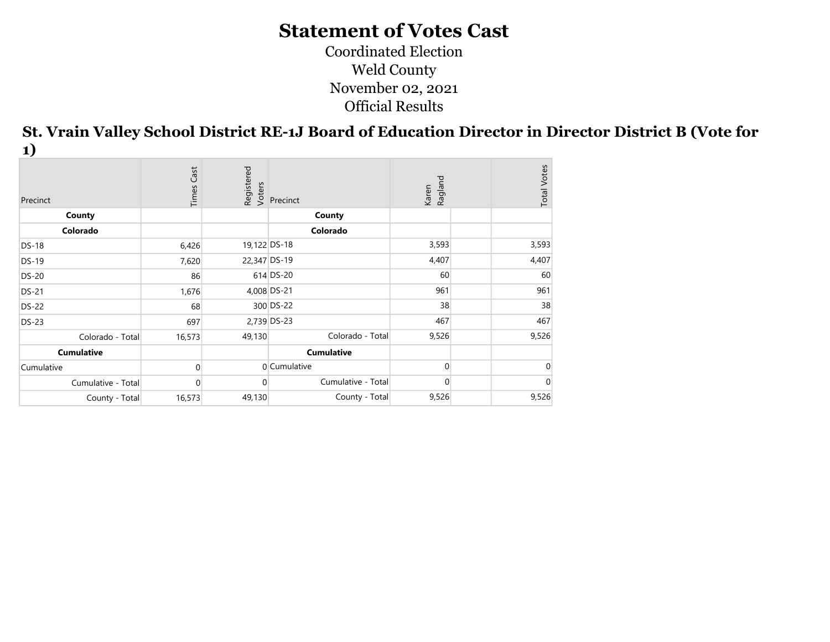Coordinated Election Weld County November 02, 2021 Official Results

St. Vrain Valley School District RE-1J Board of Education Director in Director District B (Vote for 1)

| Precinct           | Cast<br>Times | Registered<br>Voters | Precinct           | Ragland<br>Karen | <b>Total Votes</b> |
|--------------------|---------------|----------------------|--------------------|------------------|--------------------|
| County             |               |                      | County             |                  |                    |
| Colorado           |               |                      | Colorado           |                  |                    |
| <b>DS-18</b>       | 6,426         | 19,122 DS-18         |                    | 3,593            | 3,593              |
| $DS-19$            | 7,620         | 22,347 DS-19         |                    | 4,407            | 4,407              |
| <b>DS-20</b>       | 86            |                      | 614 DS-20          | 60               | 60                 |
| <b>DS-21</b>       | 1,676         |                      | 4,008 DS-21        | 961              | 961                |
| <b>DS-22</b>       | 68            |                      | 300 DS-22          | 38               | 38                 |
| <b>DS-23</b>       | 697           |                      | 2,739 DS-23        | 467              | 467                |
| Colorado - Total   | 16,573        | 49,130               | Colorado - Total   | 9,526            | 9,526              |
| <b>Cumulative</b>  |               |                      | <b>Cumulative</b>  |                  |                    |
| Cumulative         |               |                      | 0 Cumulative       | $\Omega$         | ∩                  |
| Cumulative - Total | $\Omega$      | 0                    | Cumulative - Total | $\overline{0}$   |                    |
| County - Total     | 16,573        | 49,130               | County - Total     | 9,526            | 9,526              |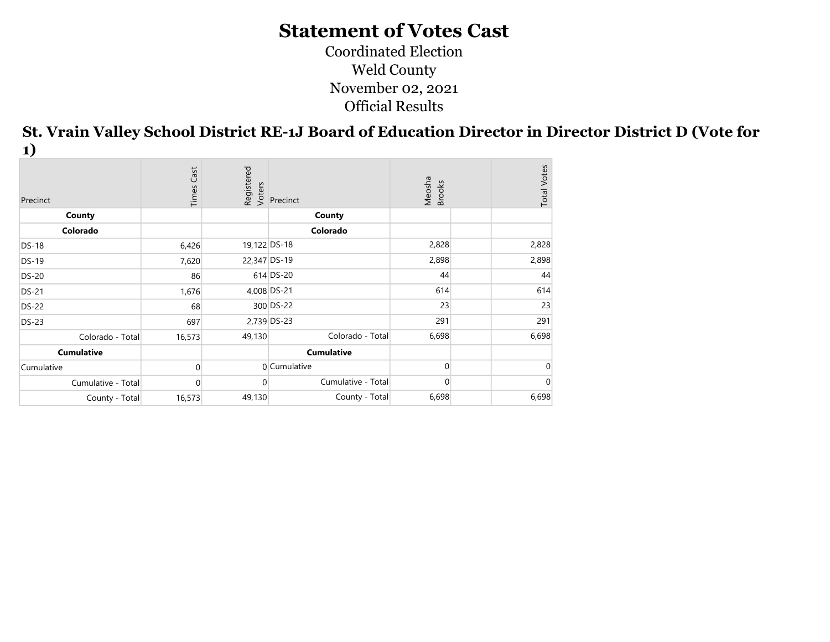Coordinated Election Weld County November 02, 2021 Official Results

St. Vrain Valley School District RE-1J Board of Education Director in Director District D (Vote for 1)

| Precinct           | Cast<br>Times | Registered<br>Voters | Precinct           | Meosha<br>Brooks | <b>Total Votes</b> |
|--------------------|---------------|----------------------|--------------------|------------------|--------------------|
| County             |               |                      | County             |                  |                    |
| Colorado           |               |                      | Colorado           |                  |                    |
| DS-18              | 6,426         | 19,122 DS-18         |                    | 2,828            | 2,828              |
| $DS-19$            | 7,620         | 22,347 DS-19         |                    | 2,898            | 2,898              |
| <b>DS-20</b>       | 86            |                      | 614 DS-20          | 44               | 44                 |
| <b>DS-21</b>       | 1,676         |                      | 4,008 DS-21        | 614              | 614                |
| <b>DS-22</b>       | 68            |                      | 300 DS-22          | 23               | 23                 |
| <b>DS-23</b>       | 697           |                      | 2,739 DS-23        | 291              | 291                |
| Colorado - Total   | 16,573        | 49,130               | Colorado - Total   | 6,698            | 6,698              |
| <b>Cumulative</b>  |               |                      | <b>Cumulative</b>  |                  |                    |
| Cumulative         |               |                      | 0 Cumulative       | $\Omega$         |                    |
| Cumulative - Total | O.            | 0                    | Cumulative - Total | $\overline{0}$   |                    |
| County - Total     | 16,573        | 49,130               | County - Total     | 6,698            | 6,698              |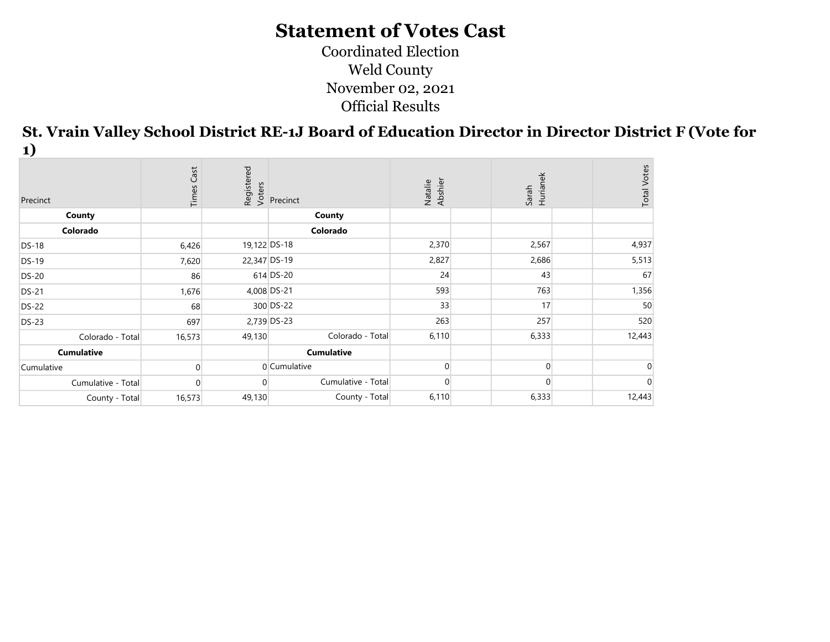Coordinated Election Weld County November 02, 2021 Official Results

St. Vrain Valley School District RE-1J Board of Education Director in Director District F (Vote for 1)

| Precinct           | Cast<br>Times |              | Registered<br>Voters<br>Precinct | Natalie<br>Abshier | Sarah<br>Hurianek | <b>Total Votes</b> |
|--------------------|---------------|--------------|----------------------------------|--------------------|-------------------|--------------------|
| County             |               |              | County                           |                    |                   |                    |
| Colorado           |               |              | Colorado                         |                    |                   |                    |
| <b>DS-18</b>       | 6,426         | 19,122 DS-18 |                                  | 2,370              | 2,567             | 4,937              |
| <b>DS-19</b>       | 7,620         | 22,347 DS-19 |                                  | 2,827              | 2,686             | 5,513              |
| <b>DS-20</b>       | 86            |              | 614 DS-20                        | 24                 | 43                | 67                 |
| <b>DS-21</b>       | 1,676         |              | 4,008 DS-21                      | 593                | 763               | 1,356              |
| <b>DS-22</b>       | 68            |              | 300 DS-22                        | 33                 | 17                | 50                 |
| <b>DS-23</b>       | 697           |              | 2,739 DS-23                      | 263                | 257               | 520                |
| Colorado - Total   | 16,573        | 49,130       | Colorado - Total                 | 6,110              | 6,333             | 12,443             |
| <b>Cumulative</b>  |               |              | <b>Cumulative</b>                |                    |                   |                    |
| Cumulative         |               |              | 0 Cumulative                     |                    | $\Omega$          |                    |
| Cumulative - Total |               |              | Cumulative - Total               |                    |                   |                    |
| County - Total     | 16,573        | 49,130       | County - Total                   | 6,110              | 6,333             | 12,443             |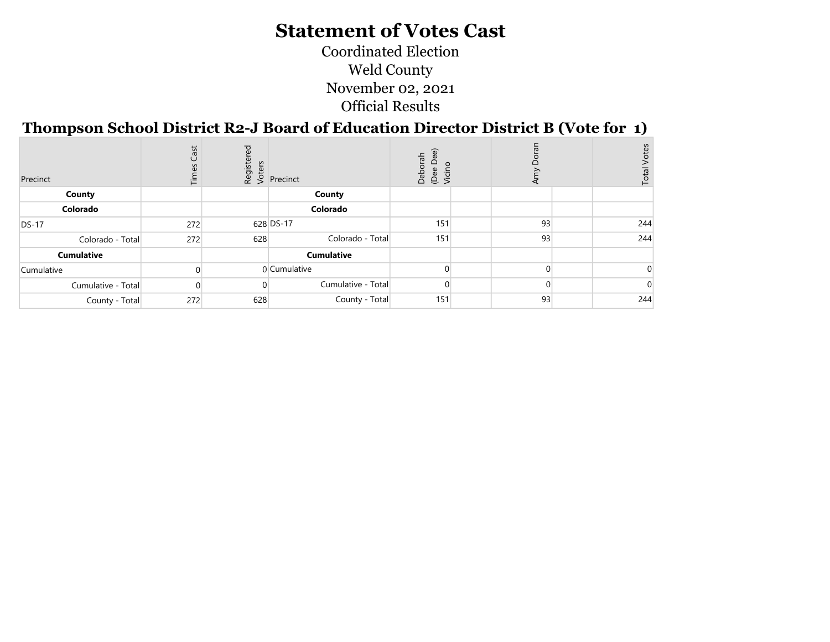Coordinated Election Weld County November 02, 2021 Official Results

#### Thompson School District R2-J Board of Education Director District B (Vote for 1)

| Precinct           | Cast<br>Times | ठ<br>Registe<br>Voters | Precinct           | Deborah<br>(Dee Dee<br>Vicino | Amy | Votes<br>Total <sup>'</sup> |
|--------------------|---------------|------------------------|--------------------|-------------------------------|-----|-----------------------------|
| County             |               |                        | County             |                               |     |                             |
| Colorado           |               |                        | Colorado           |                               |     |                             |
| <b>DS-17</b>       | 272           |                        | 628 DS-17          | 151                           | 93  | 244                         |
| Colorado - Total   | 272           | 628                    | Colorado - Total   | 151                           | 93  | 244                         |
| <b>Cumulative</b>  |               |                        | <b>Cumulative</b>  |                               |     |                             |
| Cumulative         |               |                        | 0 Cumulative       |                               |     |                             |
| Cumulative - Total |               |                        | Cumulative - Total |                               |     |                             |
| County - Total     | 272           | 628                    | County - Total     | 151                           | 93  | 244                         |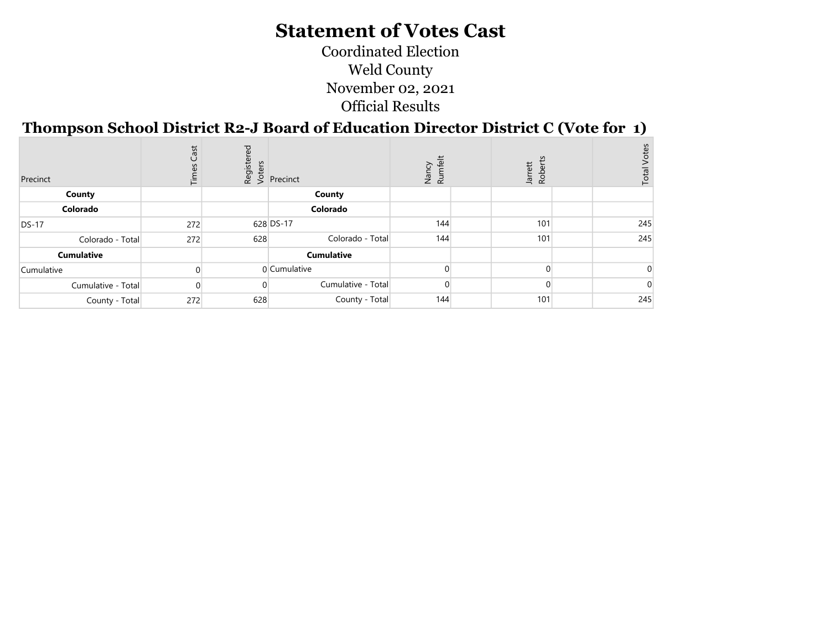Coordinated Election Weld County November 02, 2021 Official Results

#### Thompson School District R2-J Board of Education Director District C (Vote for 1)

| Precinct           | Cast<br>Times | red | tions<br><b>Exercise</b><br>Precinct | Nancy<br>Rumfelt | Jarrett<br>Robert | <b>Total Votes</b> |
|--------------------|---------------|-----|--------------------------------------|------------------|-------------------|--------------------|
| County             |               |     | County                               |                  |                   |                    |
| Colorado           |               |     | Colorado                             |                  |                   |                    |
| $DS-17$            | 272           |     | 628 DS-17                            | 144              | 101               | 245                |
| Colorado - Total   | 272           | 628 | Colorado - Total                     | 144              | 101               | 245                |
| <b>Cumulative</b>  |               |     | <b>Cumulative</b>                    |                  |                   |                    |
| Cumulative         |               |     | 0 Cumulative                         |                  |                   |                    |
| Cumulative - Total |               |     | Cumulative - Total                   |                  |                   |                    |
| County - Total     | 272           | 628 | County - Total                       | 144              | 101               | 245                |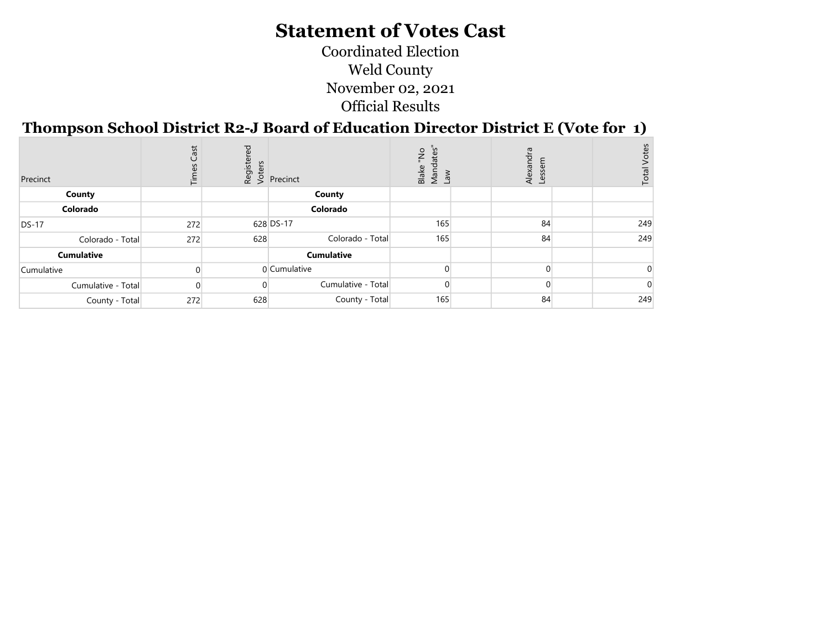Coordinated Election Weld County November 02, 2021 Official Results

#### Thompson School District R2-J Board of Education Director District E (Vote for 1)

| Precinct           | ast<br>$\cup$<br>Ϊř | Register<br>Voters | Precinct           | oN.<br>$\mathbf{d}$<br>Blake<br>Wano<br>Law | Alexandra<br>ق |  |     |
|--------------------|---------------------|--------------------|--------------------|---------------------------------------------|----------------|--|-----|
| County             |                     |                    | County             |                                             |                |  |     |
| Colorado           |                     |                    | Colorado           |                                             |                |  |     |
| $DS-17$            | 272                 |                    | 628 DS-17          | 165                                         | 84             |  | 249 |
| Colorado - Total   | 272                 | 628                | Colorado - Total   | 165                                         | 84             |  | 249 |
| <b>Cumulative</b>  |                     |                    | <b>Cumulative</b>  |                                             |                |  |     |
| Cumulative         |                     |                    | 0 Cumulative       |                                             |                |  |     |
| Cumulative - Total |                     |                    | Cumulative - Total |                                             | $\Omega$       |  |     |
| County - Total     | 272                 | 628                | County - Total     | 165                                         | 84             |  | 249 |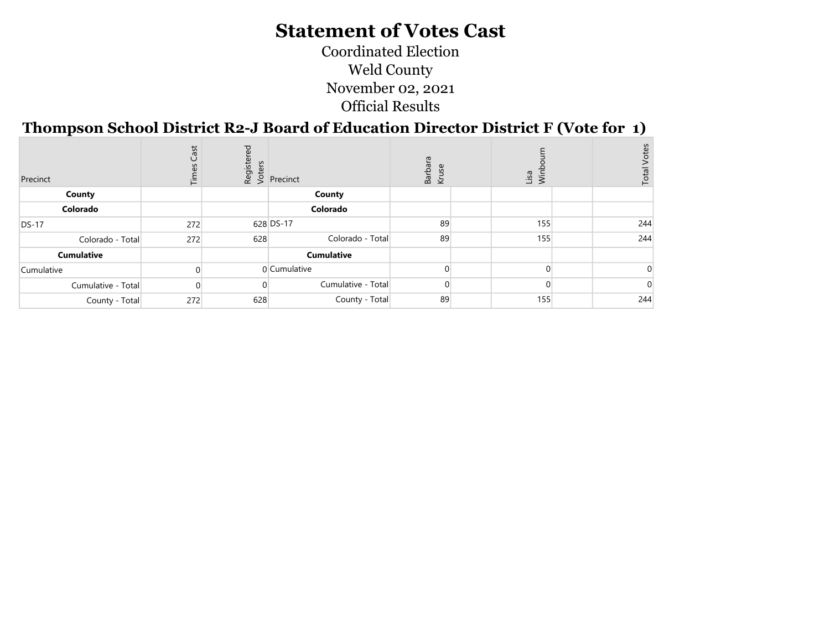Coordinated Election Weld County November 02, 2021 Official Results

## Thompson School District R2-J Board of Education Director District F (Vote for 1)

| Precinct           | Cast<br><b>Time:</b> | ರ<br>Registe<br>Voters | Precinct           | Barbar<br>Kruse<br>use | Lisa<br>Wint | Votes<br>Total <sup>-</sup> |
|--------------------|----------------------|------------------------|--------------------|------------------------|--------------|-----------------------------|
| County             |                      |                        | County             |                        |              |                             |
| Colorado           |                      |                        | Colorado           |                        |              |                             |
| <b>DS-17</b>       | 272                  |                        | 628 DS-17          | 89                     | 155          | 244                         |
| Colorado - Total   | 272                  | 628                    | Colorado - Total   | 89                     | 155          | 244                         |
| <b>Cumulative</b>  |                      |                        | <b>Cumulative</b>  |                        |              |                             |
| Cumulative         |                      |                        | 0 Cumulative       |                        |              |                             |
| Cumulative - Total |                      |                        | Cumulative - Total |                        |              |                             |
| County - Total     | 272                  | 628                    | County - Total     | 89                     | 155          | 244                         |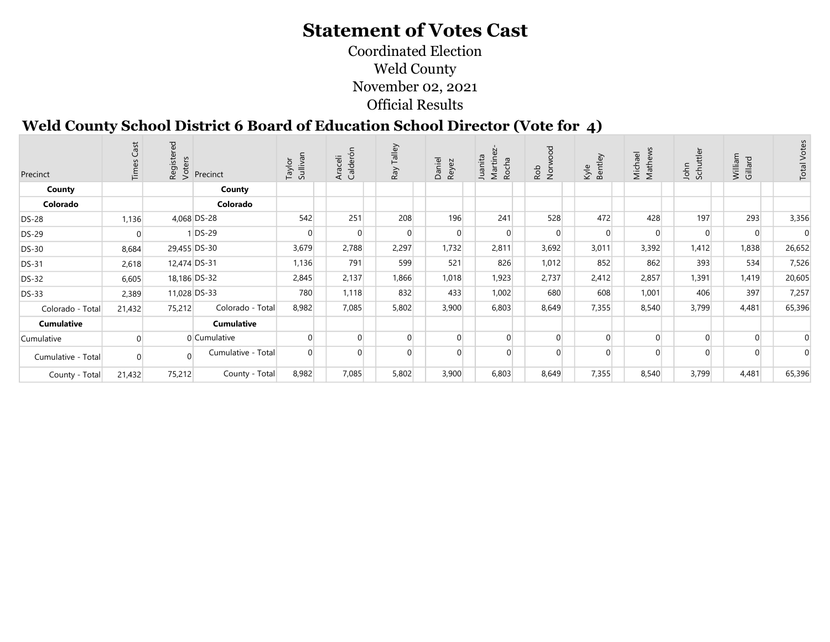Coordinated Election Weld County November 02, 2021 Official Results

## Weld County School District 6 Board of Education School Director (Vote for 4)

| Precinct           | īΔ.    | $\overline{e}$<br>Registe<br>Voters | Precinct           | Sullivan<br>Taylor | Calderón<br>Araceli | Talley<br>Ray | Daniel<br>Reyez | Martinez<br>Juanita<br>Rocha | poow<br>Rob<br>Nor | Bentley<br>Kyle | Mathews<br>Michael | Schuttler<br>John | William<br>Gillard | <b>Total Votes</b> |
|--------------------|--------|-------------------------------------|--------------------|--------------------|---------------------|---------------|-----------------|------------------------------|--------------------|-----------------|--------------------|-------------------|--------------------|--------------------|
| County             |        |                                     | County             |                    |                     |               |                 |                              |                    |                 |                    |                   |                    |                    |
| Colorado           |        |                                     | Colorado           |                    |                     |               |                 |                              |                    |                 |                    |                   |                    |                    |
| <b>DS-28</b>       | 1,136  |                                     | 4,068 DS-28        | 542                | 251                 | 208           | 196             | 241                          | 528                | 472             | 428                | 197               | 293                | 3,356              |
| <b>DS-29</b>       |        |                                     | DS-29              |                    |                     | $\Omega$      | $\overline{0}$  | $\Omega$                     | $\overline{0}$     | $\Omega$        |                    |                   |                    |                    |
| <b>DS-30</b>       | 8,684  |                                     | 29,455 DS-30       | 3,679              | 2,788               | 2,297         | 1,732           | 2,811                        | 3,692              | 3,011           | 3,392              | 1,412             | 1,838              | 26,652             |
| <b>DS-31</b>       | 2,618  |                                     | 12,474 DS-31       | 1,136              | 791                 | 599           | 521             | 826                          | 1,012              | 852             | 862                | 393               | 534                | 7,526              |
| <b>DS-32</b>       | 6,605  |                                     | 18,186 DS-32       | 2,845              | 2,137               | 1,866         | 1,018           | 1,923                        | 2,737              | 2,412           | 2,857              | 1,391             | 1,419              | 20,605             |
| <b>DS-33</b>       | 2,389  |                                     | 11,028 DS-33       | 780                | 1,118               | 832           | 433             | 1,002                        | 680                | 608             | 1,001              | 406               | 397                | 7,257              |
| Colorado - Total   | 21,432 | 75,212                              | Colorado - Total   | 8,982              | 7,085               | 5,802         | 3,900           | 6,803                        | 8,649              | 7,355           | 8,540              | 3,799             | 4,481              | 65,396             |
| <b>Cumulative</b>  |        |                                     | <b>Cumulative</b>  |                    |                     |               |                 |                              |                    |                 |                    |                   |                    |                    |
| Cumulative         |        |                                     | 0 Cumulative       |                    |                     |               | $\Omega$        | $\Omega$                     | $\overline{0}$     |                 |                    |                   |                    |                    |
| Cumulative - Total |        | $\Omega$                            | Cumulative - Total |                    |                     |               |                 | $\Omega$                     | $\Omega$           |                 |                    |                   |                    |                    |
| County - Total     | 21,432 | 75,212                              | County - Total     | 8,982              | 7,085               | 5,802         | 3,900           | 6,803                        | 8,649              | 7,355           | 8,540              | 3,799             | 4,481              | 65,396             |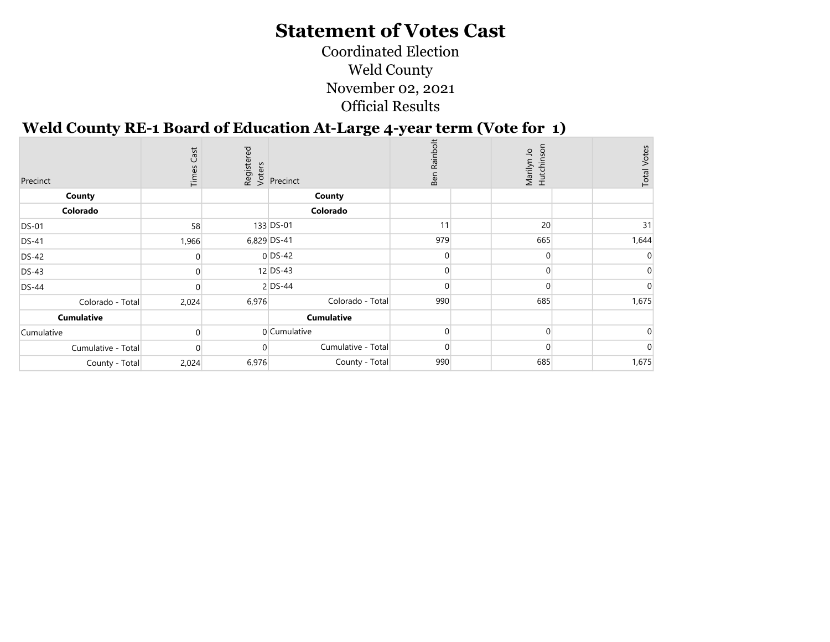#### Coordinated Election Weld County November 02, 2021 Official Results

#### Weld County RE-1 Board of Education At-Large 4-year term (Vote for 1)

| Precinct          |                    | Cast<br>Times |       | Registered<br>Voters<br>Precinct | Ben Rainbolt | Marilyn Jo<br>Hutchinson | <b>Total Votes</b> |
|-------------------|--------------------|---------------|-------|----------------------------------|--------------|--------------------------|--------------------|
| County            |                    |               |       | County                           |              |                          |                    |
| Colorado          |                    |               |       | Colorado                         |              |                          |                    |
| <b>DS-01</b>      |                    | 58            |       | 133 DS-01                        | 11           | 20                       | 31                 |
| <b>DS-41</b>      |                    | 1,966         |       | 6,829 DS-41                      | 979          | 665                      | 1,644              |
| DS-42             |                    |               |       | $0$ DS-42                        |              |                          |                    |
| <b>DS-43</b>      |                    |               |       | 12 DS-43                         |              | $\Omega$                 |                    |
| <b>DS-44</b>      |                    |               |       | $2$ DS-44                        |              |                          |                    |
|                   | Colorado - Total   | 2,024         | 6,976 | Colorado - Total                 | 990          | 685                      | 1,675              |
| <b>Cumulative</b> |                    |               |       | <b>Cumulative</b>                |              |                          |                    |
| Cumulative        |                    |               |       | 0 Cumulative                     | U            | $\Omega$                 |                    |
|                   | Cumulative - Total |               |       | Cumulative - Total               |              | $\Omega$                 |                    |
|                   | County - Total     | 2,024         | 6,976 | County - Total                   | 990          | 685                      | 1,675              |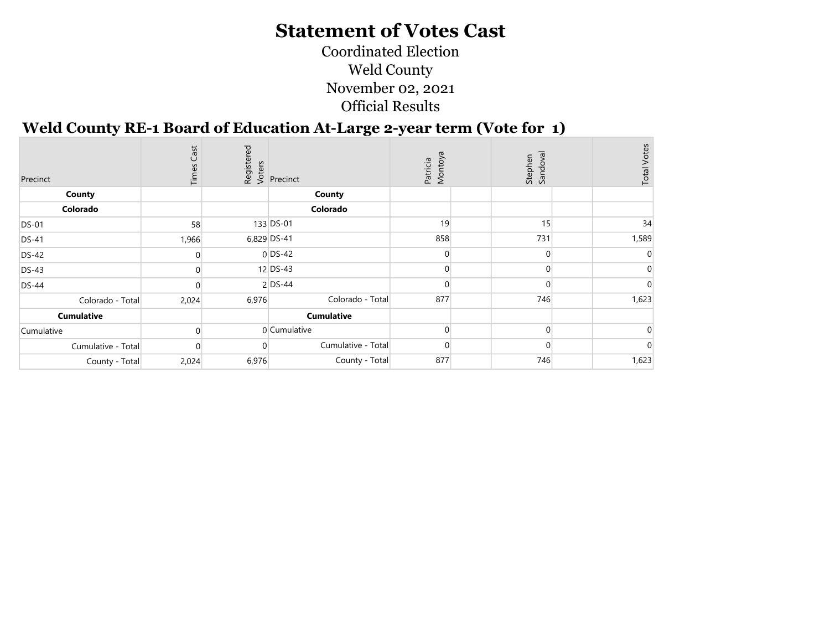Coordinated Election Weld County November 02, 2021 Official Results

#### Weld County RE-1 Board of Education At-Large 2-year term (Vote for 1)

| Precinct           | Times Cast |       | Registered<br>Voters<br>Precinct | Patricia<br>Montoya | Stephen<br>Sandoval | <b>Total Votes</b> |
|--------------------|------------|-------|----------------------------------|---------------------|---------------------|--------------------|
| County             |            |       | County                           |                     |                     |                    |
| Colorado           |            |       | Colorado                         |                     |                     |                    |
| <b>DS-01</b>       | 58         |       | 133 DS-01                        | 19                  | 15                  | 34                 |
| <b>DS-41</b>       | 1,966      |       | 6,829 DS-41                      | 858                 | 731                 | 1,589              |
| <b>DS-42</b>       |            |       | $0$ DS-42                        |                     |                     |                    |
| $DS-43$            | $\Omega$   |       | 12 DS-43                         |                     |                     |                    |
| <b>DS-44</b>       |            |       | $2$ DS-44                        |                     |                     |                    |
| Colorado - Total   | 2,024      | 6,976 | Colorado - Total                 | 877                 | 746                 | 1,623              |
| <b>Cumulative</b>  |            |       | <b>Cumulative</b>                |                     |                     |                    |
| Cumulative         | $\Omega$   |       | 0 Cumulative                     |                     | 0                   |                    |
| Cumulative - Total |            |       | Cumulative - Total               |                     |                     |                    |
| County - Total     | 2,024      | 6,976 | County - Total                   | 877                 | 746                 | 1,623              |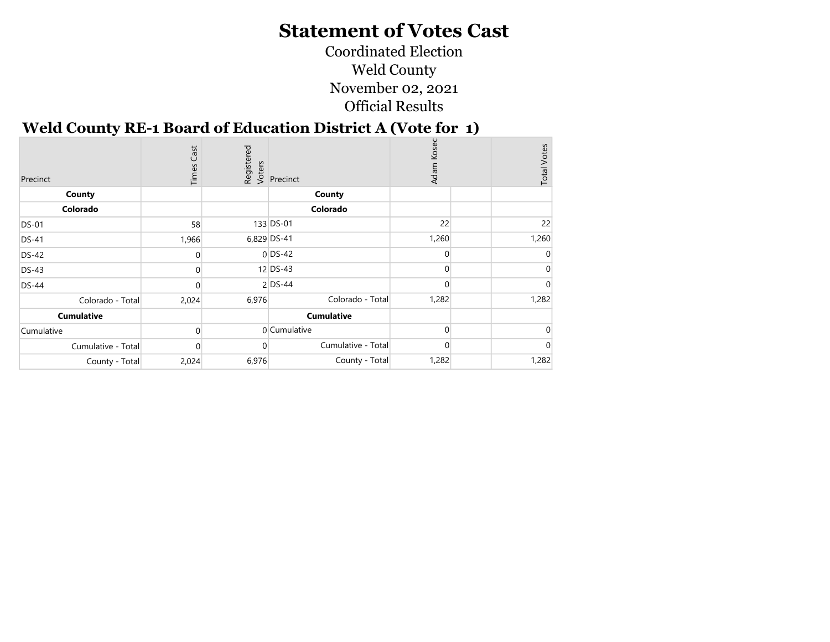Coordinated Election Weld County November 02, 2021 Official Results

#### Weld County RE-1 Board of Education District A (Vote for 1)

| Precinct           | Cast<br>Times |       | Registered<br>Voters<br>Versinct | Adam Kosec | <b>Total Votes</b> |
|--------------------|---------------|-------|----------------------------------|------------|--------------------|
| County             |               |       | County                           |            |                    |
| Colorado           |               |       | Colorado                         |            |                    |
| <b>DS-01</b>       | 58            |       | 133 DS-01                        | 22         | 22                 |
| <b>DS-41</b>       | 1,966         |       | 6,829 DS-41                      | 1,260      | 1,260              |
| <b>DS-42</b>       |               |       | $0$ DS-42                        | U          |                    |
| <b>DS-43</b>       | $\Omega$      |       | 12 DS-43                         | $\Omega$   |                    |
| <b>DS-44</b>       |               |       | $2$ DS-44                        | ი          |                    |
| Colorado - Total   | 2,024         | 6,976 | Colorado - Total                 | 1,282      | 1,282              |
| <b>Cumulative</b>  |               |       | <b>Cumulative</b>                |            |                    |
| Cumulative         | 0             |       | $0$ Cumulative                   | 0          |                    |
| Cumulative - Total |               |       | Cumulative - Total               | ი          |                    |
| County - Total     | 2,024         | 6,976 | County - Total                   | 1,282      | 1,282              |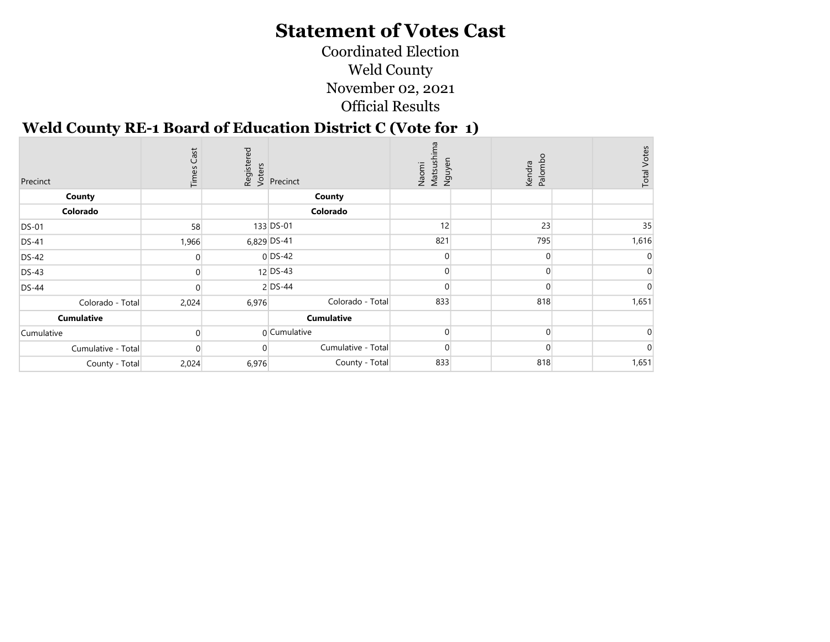Coordinated Election Weld County November 02, 2021 Official Results

#### Weld County RE-1 Board of Education District C (Vote for 1)

| Precinct           | Cast<br>Times |       | Registered<br>Voters<br>Precinct | Naomi<br>Matsushir<br>Nguyen | Kendra<br>Palombo | <b>Total Votes</b> |
|--------------------|---------------|-------|----------------------------------|------------------------------|-------------------|--------------------|
| County             |               |       | County                           |                              |                   |                    |
| Colorado           |               |       | Colorado                         |                              |                   |                    |
| <b>DS-01</b>       | 58            |       | 133 DS-01                        | 12                           | 23                | 35                 |
| <b>DS-41</b>       | 1,966         |       | 6,829 DS-41                      | 821                          | 795               | 1,616              |
| <b>DS-42</b>       |               |       | $0$ DS-42                        |                              | $\Omega$          |                    |
| <b>DS-43</b>       |               |       | $12$ DS-43                       |                              | $\Omega$          |                    |
| <b>DS-44</b>       |               |       | 2 DS-44                          |                              | ∩                 |                    |
| Colorado - Total   | 2,024         | 6,976 | Colorado - Total                 | 833                          | 818               | 1,651              |
| <b>Cumulative</b>  |               |       | <b>Cumulative</b>                |                              |                   |                    |
| Cumulative         |               |       | 0 Cumulative                     | 0                            | $\Omega$          |                    |
| Cumulative - Total |               |       | Cumulative - Total               |                              | $\Omega$          |                    |
| County - Total     | 2,024         | 6,976 | County - Total                   | 833                          | 818               | 1,651              |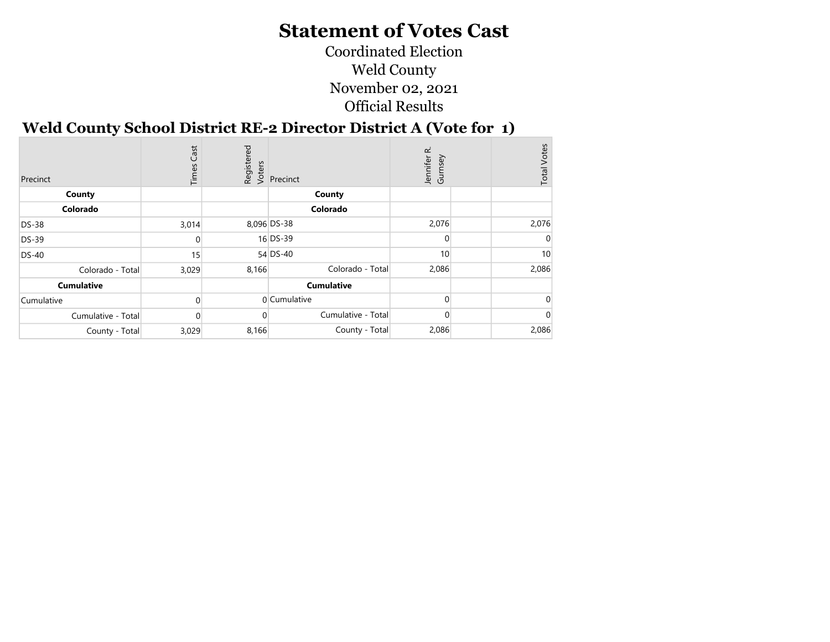Coordinated Election Weld County November 02, 2021 Official Results

÷

#### Weld County School District RE-2 Director District A (Vote for 1)

| Precinct           | Cast<br>Times | Registered<br>Voters | Precinct           | œ<br>Gumsey<br>Jennifer | <b>Total Votes</b> |
|--------------------|---------------|----------------------|--------------------|-------------------------|--------------------|
| County             |               |                      | County             |                         |                    |
| Colorado           |               |                      | Colorado           |                         |                    |
| <b>DS-38</b>       | 3,014         |                      | 8,096 DS-38        | 2,076                   | 2,076              |
| DS-39              |               |                      | 16 DS-39           | U                       |                    |
| <b>DS-40</b>       | 15            |                      | 54 DS-40           | 10                      | 10                 |
| Colorado - Total   | 3,029         | 8,166                | Colorado - Total   | 2,086                   | 2,086              |
| <b>Cumulative</b>  |               |                      | <b>Cumulative</b>  |                         |                    |
| Cumulative         |               |                      | 0 Cumulative       |                         |                    |
| Cumulative - Total |               |                      | Cumulative - Total |                         |                    |
| County - Total     | 3,029         | 8,166                | County - Total     | 2,086                   | 2,086              |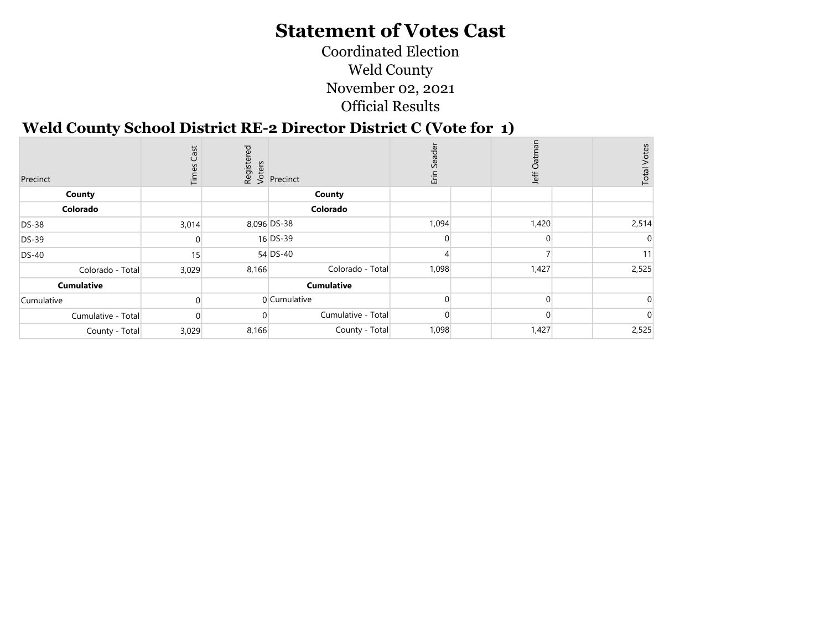Coordinated Election Weld County November 02, 2021 Official Results

#### Weld County School District RE-2 Director District C (Vote for 1)

| Precinct           | Cast<br>Times |       | Registered<br>Voters<br>Versinct | ader<br>$\mathsf{C}$<br>Erin | ö<br>Jeff | <b>Total Votes</b> |
|--------------------|---------------|-------|----------------------------------|------------------------------|-----------|--------------------|
| County             |               |       | County                           |                              |           |                    |
| Colorado           |               |       | Colorado                         |                              |           |                    |
| <b>DS-38</b>       | 3,014         |       | 8,096 DS-38                      | 1,094                        | 1,420     | 2,514              |
| <b>DS-39</b>       |               |       | 16 DS-39                         |                              | $\Omega$  |                    |
| <b>DS-40</b>       | 15            |       | 54 DS-40                         |                              |           | 11                 |
| Colorado - Total   | 3,029         | 8,166 | Colorado - Total                 | 1,098                        | 1,427     | 2,525              |
| <b>Cumulative</b>  |               |       | <b>Cumulative</b>                |                              |           |                    |
| Cumulative         |               |       | 0 Cumulative                     |                              | $\Omega$  |                    |
| Cumulative - Total | $\left($      |       | Cumulative - Total               |                              |           |                    |
| County - Total     | 3,029         | 8,166 | County - Total                   | 1,098                        | 1,427     | 2,525              |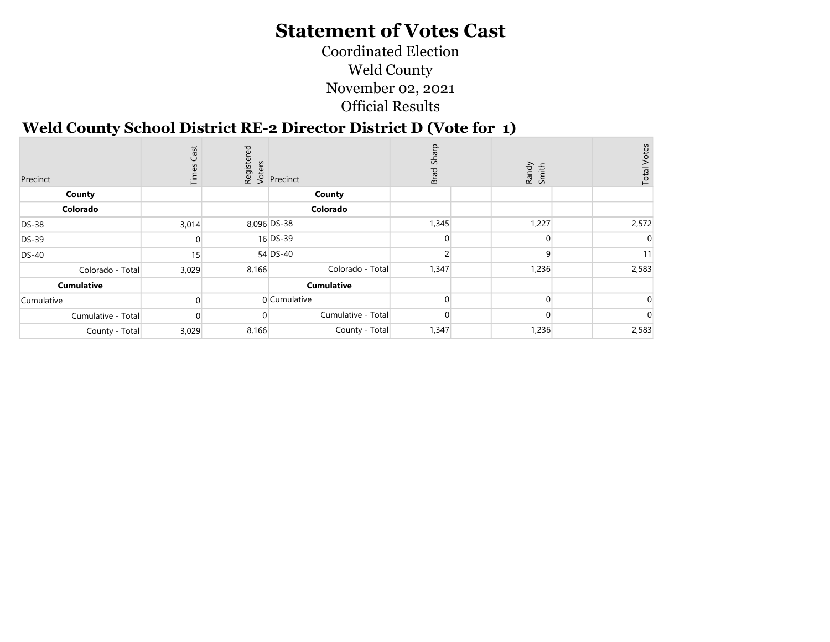Coordinated Election Weld County November 02, 2021 Official Results

#### Weld County School District RE-2 Director District D (Vote for 1)

| Precinct           | Cast<br>Time |       | Registered<br>Voters<br>Precinct | Brad Sharp | Randy<br>Smith | <b>Total Votes</b> |
|--------------------|--------------|-------|----------------------------------|------------|----------------|--------------------|
| County             |              |       | County                           |            |                |                    |
| Colorado           |              |       | Colorado                         |            |                |                    |
| <b>DS-38</b>       | 3,014        |       | 8,096 DS-38                      | 1,345      | 1,227          | 2,572              |
| <b>DS-39</b>       |              |       | 16 DS-39                         |            | $\Omega$       |                    |
| <b>DS-40</b>       | 15           |       | 54 DS-40                         |            |                | 11                 |
| Colorado - Total   | 3,029        | 8,166 | Colorado - Total                 | 1,347      | 1,236          | 2,583              |
| <b>Cumulative</b>  |              |       | <b>Cumulative</b>                |            |                |                    |
| Cumulative         |              |       | 0 Cumulative                     |            | $\Omega$       |                    |
| Cumulative - Total | 0            |       | Cumulative - Total               |            |                |                    |
| County - Total     | 3,029        | 8,166 | County - Total                   | 1,347      | 1,236          | 2,583              |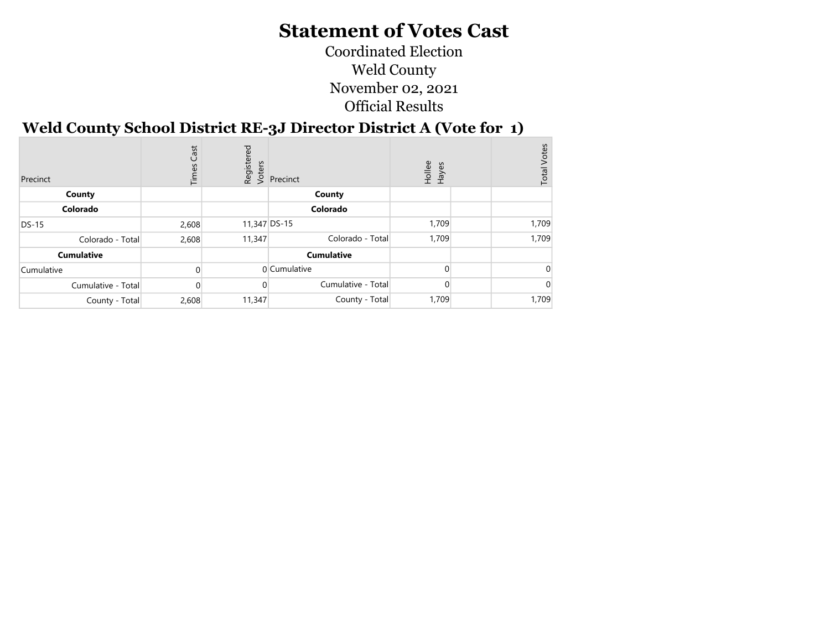Coordinated Election Weld County November 02, 2021 Official Results

## Weld County School District RE-3J Director District A (Vote for 1)

| Precinct           | Cast<br>Times |              | Registered<br>Voters<br>Versenct | Hollee<br>Hayes | <b>Total Votes</b> |
|--------------------|---------------|--------------|----------------------------------|-----------------|--------------------|
| County             |               |              | County                           |                 |                    |
| Colorado           |               |              | Colorado                         |                 |                    |
| DS-15              | 2,608         | 11,347 DS-15 |                                  | 1,709           | 1,709              |
| Colorado - Total   | 2,608         | 11,347       | Colorado - Total                 | 1,709           | 1,709              |
| <b>Cumulative</b>  |               |              | <b>Cumulative</b>                |                 |                    |
| Cumulative         |               |              | 0 Cumulative                     |                 |                    |
| Cumulative - Total |               |              | Cumulative - Total               |                 |                    |
| County - Total     | 2,608         | 11,347       | County - Total                   | 1,709           | 1,709              |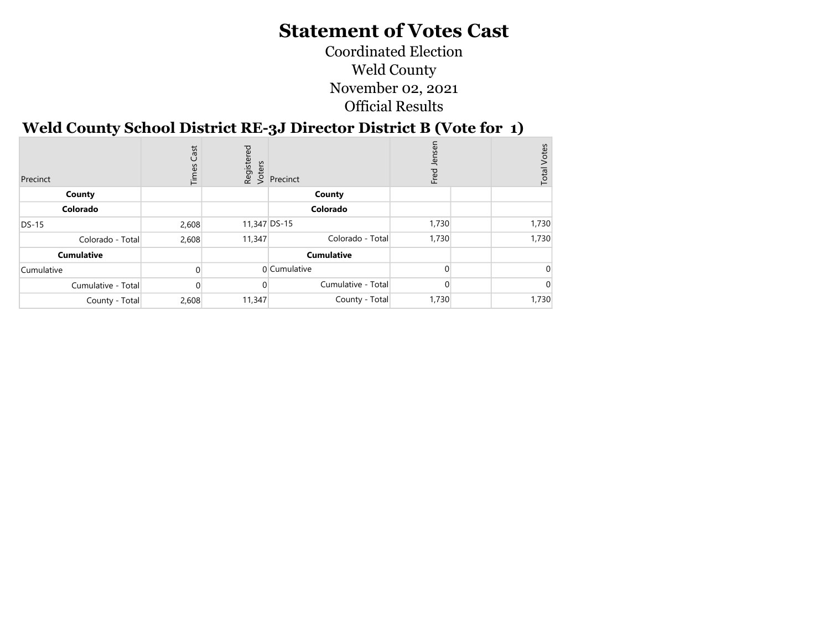Coordinated Election Weld County November 02, 2021 Official Results

## Weld County School District RE-3J Director District B (Vote for 1)

| Precinct           | Cast<br>Times | ρg           | dister<br><b>Exercial</b><br>Exercinct<br>Exercinct | Jenser<br>Fred. | Votes<br>Total |
|--------------------|---------------|--------------|-----------------------------------------------------|-----------------|----------------|
| County             |               |              | County                                              |                 |                |
| Colorado           |               |              | Colorado                                            |                 |                |
| $DS-15$            | 2,608         | 11,347 DS-15 |                                                     | 1,730           | 1,730          |
| Colorado - Total   | 2,608         | 11,347       | Colorado - Total                                    | 1,730           | 1,730          |
| <b>Cumulative</b>  |               |              | <b>Cumulative</b>                                   |                 |                |
| Cumulative         |               |              | 0 Cumulative                                        |                 |                |
| Cumulative - Total |               |              | Cumulative - Total                                  |                 |                |
| County - Total     | 2,608         | 11,347       | County - Total                                      | 1,730           | 1,730          |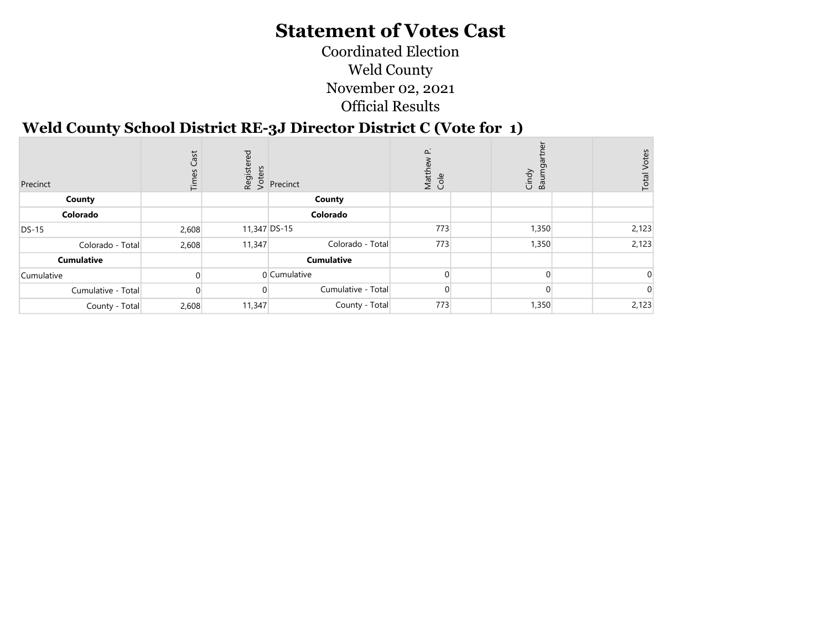Coordinated Election Weld County November 02, 2021 Official Results

#### Weld County School District RE-3J Director District C (Vote for 1)

| Precinct           | Cast<br>Times | ਹ<br>Registe<br>Voters | Precinct           | $\Delta$<br>Matth<br>Cole | Cindy<br>Baumga | <b>Total Votes</b> |
|--------------------|---------------|------------------------|--------------------|---------------------------|-----------------|--------------------|
| County             |               |                        | County             |                           |                 |                    |
| Colorado           |               |                        | Colorado           |                           |                 |                    |
| <b>DS-15</b>       | 2,608         |                        | 11,347 DS-15       | 773                       | 1,350           | 2,123              |
| Colorado - Total   | 2,608         | 11,347                 | Colorado - Total   | 773                       | 1,350           | 2,123              |
| <b>Cumulative</b>  |               |                        | <b>Cumulative</b>  |                           |                 |                    |
| Cumulative         |               |                        | 0 Cumulative       |                           |                 |                    |
| Cumulative - Total |               |                        | Cumulative - Total |                           |                 |                    |
| County - Total     | 2,608         | 11,347                 | County - Total     | 773                       | 1,350           | 2,123              |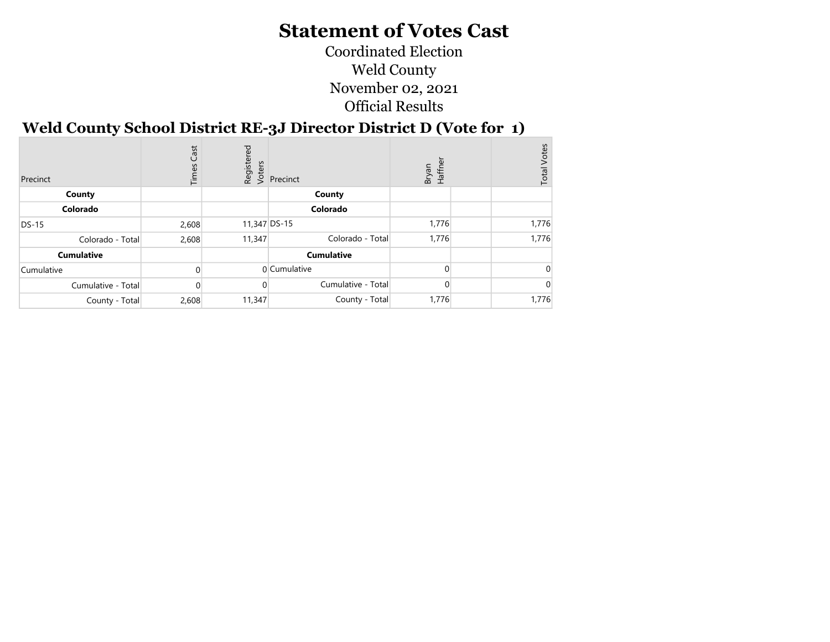Coordinated Election Weld County November 02, 2021 Official Results

## Weld County School District RE-3J Director District D (Vote for 1)

| Precinct           | Cast<br>Times | Registered<br>Voters | Precinct           | Haffner<br>Bryan | <b>Total Votes</b> |
|--------------------|---------------|----------------------|--------------------|------------------|--------------------|
| County             |               |                      | County             |                  |                    |
| Colorado           |               |                      | Colorado           |                  |                    |
| DS-15              | 2,608         | 11,347 DS-15         |                    | 1,776            | 1,776              |
| Colorado - Total   | 2,608         | 11,347               | Colorado - Total   | 1,776            | 1,776              |
| <b>Cumulative</b>  |               |                      | <b>Cumulative</b>  |                  |                    |
| Cumulative         |               |                      | 0 Cumulative       |                  |                    |
| Cumulative - Total |               |                      | Cumulative - Total |                  |                    |
| County - Total     | 2,608         | 11,347               | County - Total     | 1,776            | 1,776              |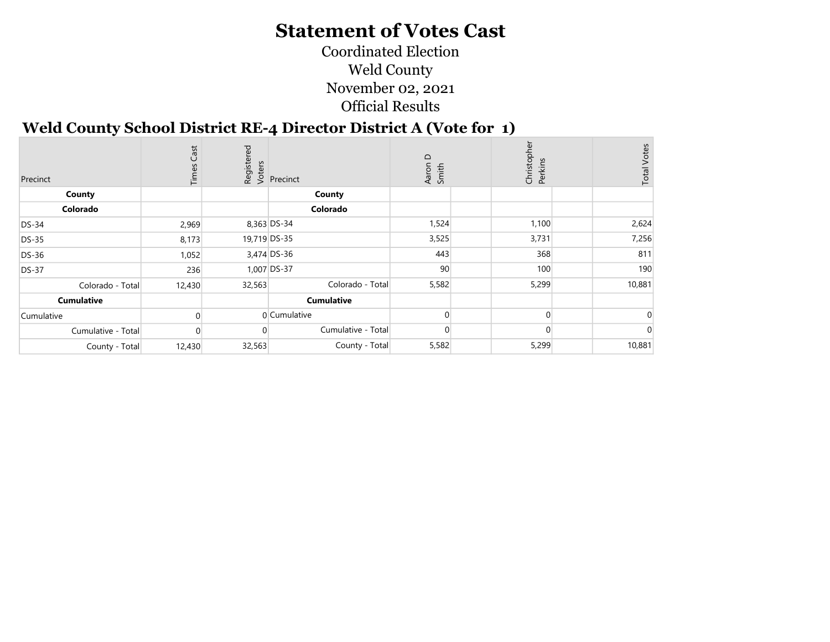Coordinated Election Weld County November 02, 2021 Official Results

#### Weld County School District RE-4 Director District A (Vote for 1)

| Precinct           | Cast<br>Times |        | Registered<br>Voters<br>Precinct | Aaron D<br>Smith | Christopl<br>Perkins | <b>Total Votes</b> |
|--------------------|---------------|--------|----------------------------------|------------------|----------------------|--------------------|
| County             |               |        | County                           |                  |                      |                    |
| Colorado           |               |        | Colorado                         |                  |                      |                    |
| <b>DS-34</b>       | 2,969         |        | 8,363 DS-34                      | 1,524            | 1,100                | 2,624              |
| <b>DS-35</b>       | 8,173         |        | 19,719 DS-35                     | 3,525            | 3,731                | 7,256              |
| <b>DS-36</b>       | 1,052         |        | 3,474 DS-36                      | 443              | 368                  | 811                |
| <b>DS-37</b>       | 236           |        | 1,007 DS-37                      | 90               | 100                  | 190                |
| Colorado - Total   | 12,430        | 32,563 | Colorado - Total                 | 5,582            | 5,299                | 10,881             |
| <b>Cumulative</b>  |               |        | <b>Cumulative</b>                |                  |                      |                    |
| Cumulative         |               |        | 0 Cumulative                     |                  |                      |                    |
| Cumulative - Total | $\Omega$      |        | Cumulative - Total               | $\overline{0}$   | <sup>0</sup>         |                    |
| County - Total     | 12,430        | 32,563 | County - Total                   | 5,582            | 5,299                | 10,881             |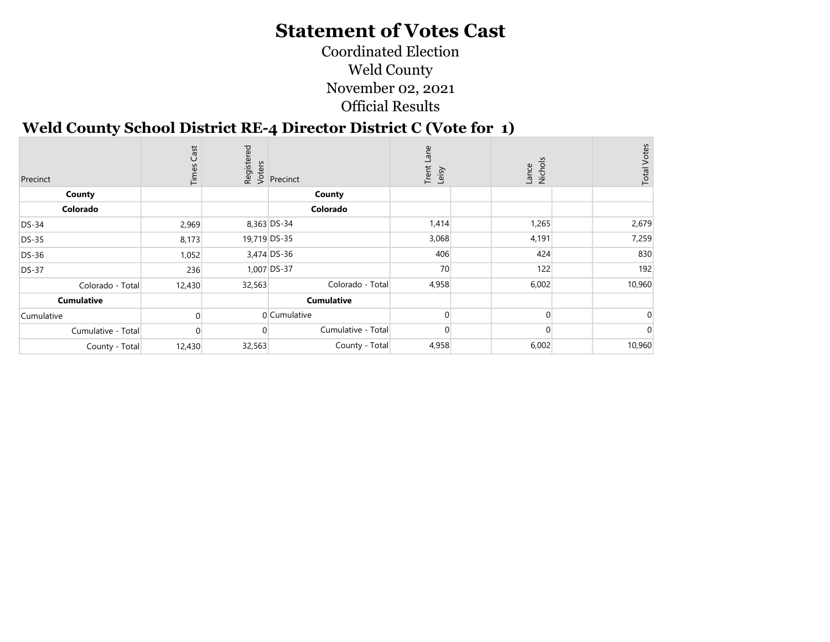Coordinated Election Weld County November 02, 2021 Official Results

#### Weld County School District RE-4 Director District C (Vote for 1)

| Precinct           | Cast<br>Time: |        | Registered<br>Voters<br><i>Precinct</i> | مِ<br>Trent<br>Leisy | Lance<br>Nichols | <b>Total Votes</b> |
|--------------------|---------------|--------|-----------------------------------------|----------------------|------------------|--------------------|
| County             |               |        | County                                  |                      |                  |                    |
| Colorado           |               |        | Colorado                                |                      |                  |                    |
| <b>DS-34</b>       | 2,969         |        | 8,363 DS-34                             | 1,414                | 1,265            | 2,679              |
| <b>DS-35</b>       | 8,173         |        | 19,719 DS-35                            | 3,068                | 4,191            | 7,259              |
| <b>DS-36</b>       | 1,052         |        | 3,474 DS-36                             | 406                  | 424              | 830                |
| <b>DS-37</b>       | 236           |        | 1,007 DS-37                             | 70                   | 122              | 192                |
| Colorado - Total   | 12,430        | 32,563 | Colorado - Total                        | 4,958                | 6,002            | 10,960             |
| <b>Cumulative</b>  |               |        | <b>Cumulative</b>                       |                      |                  |                    |
| Cumulative         |               |        | 0 Cumulative                            |                      | $\Omega$         |                    |
| Cumulative - Total | $\Omega$      | 0      | Cumulative - Total                      | $\Omega$             | $\Omega$         |                    |
| County - Total     | 12,430        | 32,563 | County - Total                          | 4,958                | 6,002            | 10,960             |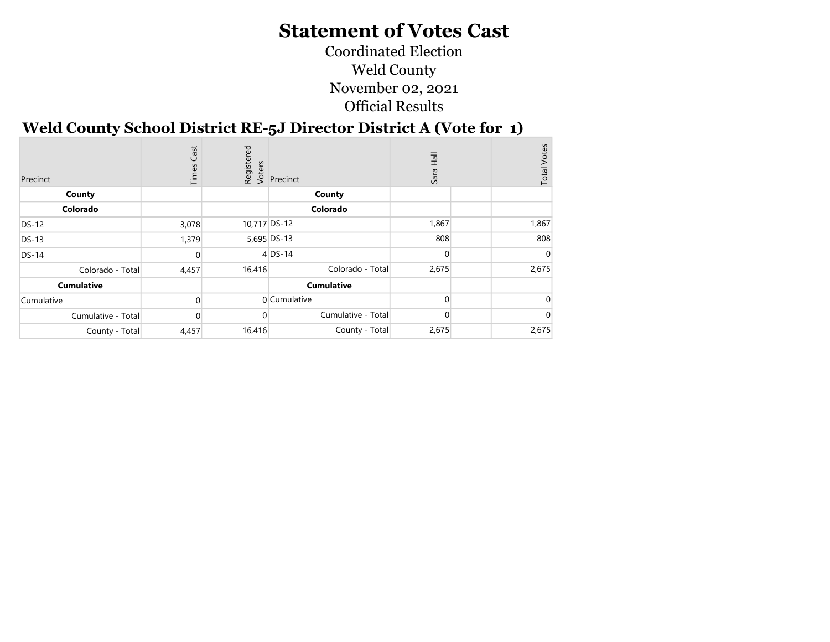Coordinated Election Weld County November 02, 2021 Official Results

÷.

## Weld County School District RE-5J Director District A (Vote for 1)

| Precinct           | Cast<br>Times |              | Registered<br>Voters<br>Vers | Sara Hall | <b>Total Votes</b> |
|--------------------|---------------|--------------|------------------------------|-----------|--------------------|
| County             |               |              | County                       |           |                    |
| Colorado           |               |              | Colorado                     |           |                    |
| <b>DS-12</b>       | 3,078         | 10,717 DS-12 |                              | 1,867     | 1,867              |
| <b>DS-13</b>       | 1,379         |              | 5,695 DS-13                  | 808       | 808                |
| <b>DS-14</b>       | $\Omega$      |              | $4$ DS-14                    | $\Omega$  | C                  |
| Colorado - Total   | 4,457         | 16,416       | Colorado - Total             | 2,675     | 2,675              |
| <b>Cumulative</b>  |               |              | <b>Cumulative</b>            |           |                    |
| Cumulative         | $\Omega$      |              | 0 Cumulative                 | 0         |                    |
| Cumulative - Total | $\Omega$      |              | Cumulative - Total           |           |                    |
| County - Total     | 4,457         | 16,416       | County - Total               | 2,675     | 2,675              |
|                    |               |              |                              |           |                    |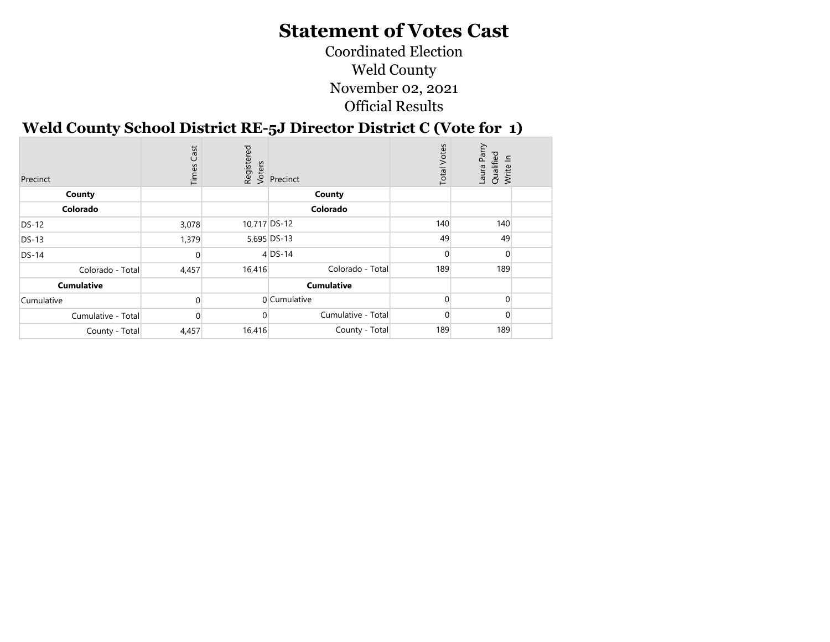Coordinated Election Weld County November 02, 2021 Official Results

#### Weld County School District RE-5J Director District C (Vote for 1)

| Precinct           | Cast<br>Times | Registered<br>Voters | Precinct           | <b>Total Votes</b> | Laura Parry<br>Qualified<br>Write In |  |
|--------------------|---------------|----------------------|--------------------|--------------------|--------------------------------------|--|
| County             |               |                      | County             |                    |                                      |  |
| Colorado           |               |                      | Colorado           |                    |                                      |  |
| <b>DS-12</b>       | 3,078         | 10,717 DS-12         |                    | 140                | 140                                  |  |
| <b>DS-13</b>       | 1,379         |                      | 5,695 DS-13        | 49                 | 49                                   |  |
| $DS-14$            |               |                      | $4$ DS-14          | $\Omega$           | $\Omega$                             |  |
| Colorado - Total   | 4,457         | 16,416               | Colorado - Total   | 189                | 189                                  |  |
| <b>Cumulative</b>  |               |                      | <b>Cumulative</b>  |                    |                                      |  |
| Cumulative         | $\Omega$      |                      | 0 Cumulative       | $\Omega$           |                                      |  |
| Cumulative - Total |               |                      | Cumulative - Total | $\Omega$           | $\Omega$                             |  |
| County - Total     | 4,457         | 16,416               | County - Total     | 189                | 189                                  |  |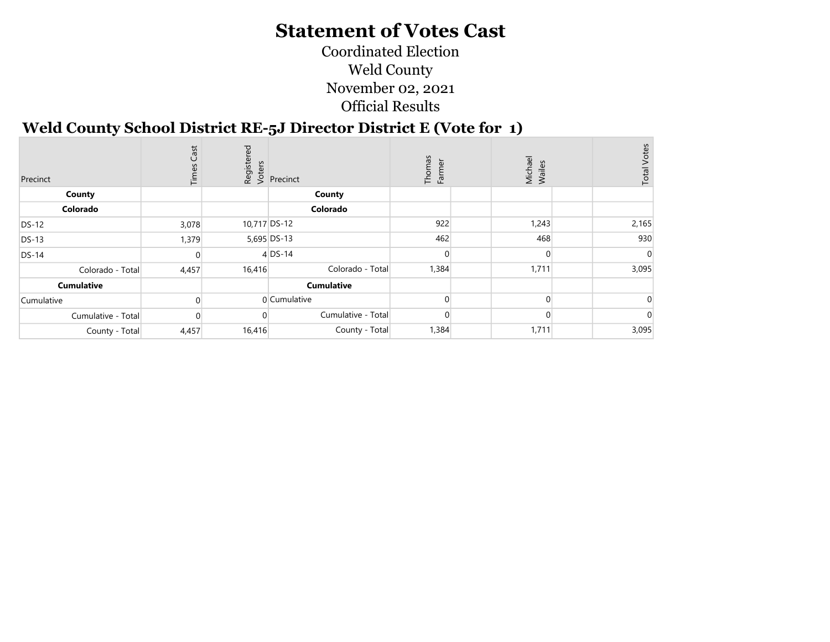Coordinated Election Weld County November 02, 2021 Official Results

#### Weld County School District RE-5J Director District E (Vote for 1)

| Precinct           | Cast<br>Times    |              | Registered<br>Voters<br>Versinct | Thomas<br>Farmer | Michael<br>Wailes | <b>Total Votes</b> |
|--------------------|------------------|--------------|----------------------------------|------------------|-------------------|--------------------|
| County             |                  |              | County                           |                  |                   |                    |
| Colorado           |                  |              | Colorado                         |                  |                   |                    |
| <b>DS-12</b>       | 3,078            | 10,717 DS-12 |                                  | 922              | 1,243             | 2,165              |
| <b>DS-13</b>       | 1,379            |              | 5,695 DS-13                      | 462              | 468               | 930                |
| <b>DS-14</b>       | $\Omega$         |              | $4$ DS-14                        |                  | $\Omega$          |                    |
| Colorado - Total   | 4,457            | 16,416       | Colorado - Total                 | 1,384            | 1,711             | 3,095              |
| <b>Cumulative</b>  |                  |              | <b>Cumulative</b>                |                  |                   |                    |
| Cumulative         |                  |              | 0 Cumulative                     |                  | $\Omega$          |                    |
| Cumulative - Total | $\left( \right)$ |              | Cumulative - Total               |                  |                   |                    |
| County - Total     | 4,457            | 16,416       | County - Total                   | 1,384            | 1,711             | 3,095              |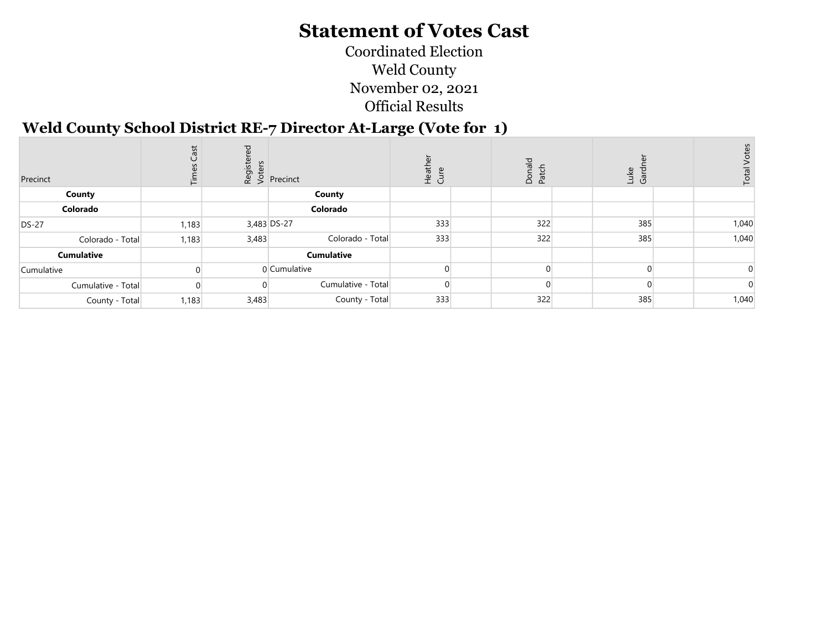Coordinated Election Weld County November 02, 2021 Official Results

#### Weld County School District RE-7 Director At-Large (Vote for 1)

| Precinct           | ŠΡ    |       | $\frac{15}{2}$<br>$\frac{15}{2}$ Precinct | Heathe<br>Cure | Donald<br>Patch | Luke<br>Gardı | Total |
|--------------------|-------|-------|-------------------------------------------|----------------|-----------------|---------------|-------|
| County             |       |       | County                                    |                |                 |               |       |
| Colorado           |       |       | Colorado                                  |                |                 |               |       |
| <b>DS-27</b>       | 1,183 |       | 3,483 DS-27                               | 333            | 322             | 385           | 1,040 |
| Colorado - Total   | 1,183 | 3,483 | Colorado - Total                          | 333            | 322             | 385           | 1,040 |
| <b>Cumulative</b>  |       |       | <b>Cumulative</b>                         |                |                 |               |       |
| Cumulative         |       |       | 0 Cumulative                              |                |                 |               |       |
| Cumulative - Total |       |       | Cumulative - Total                        |                |                 |               |       |
| County - Total     | 1,183 | 3,483 | County - Total                            | 333            | 322             | 385           | 1,040 |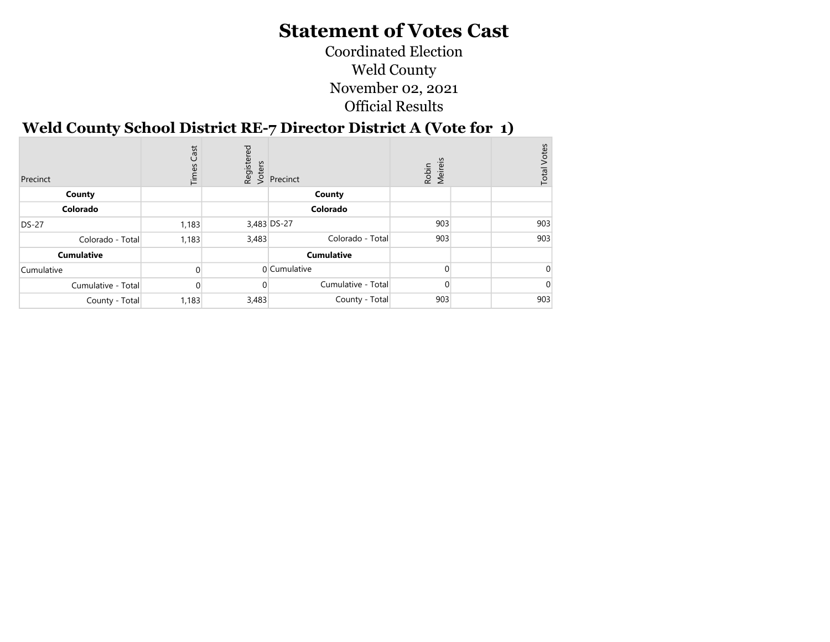Coordinated Election Weld County November 02, 2021 Official Results

÷

#### Weld County School District RE-7 Director District A (Vote for 1)

| Precinct           | Cast<br>Times | Бą<br>Register<br>Voters | Precinct           | Robin<br>Meireis | <b>Total Votes</b> |
|--------------------|---------------|--------------------------|--------------------|------------------|--------------------|
| County             |               |                          | County             |                  |                    |
| Colorado           |               |                          | Colorado           |                  |                    |
| <b>DS-27</b>       | 1,183         |                          | 3,483 DS-27        | 903              | 903                |
| Colorado - Total   | 1,183         | 3,483                    | Colorado - Total   | 903              | 903                |
| <b>Cumulative</b>  |               |                          | <b>Cumulative</b>  |                  |                    |
| Cumulative         |               |                          | 0 Cumulative       |                  |                    |
| Cumulative - Total |               |                          | Cumulative - Total |                  |                    |
| County - Total     | 1,183         | 3,483                    | County - Total     | 903              | 903                |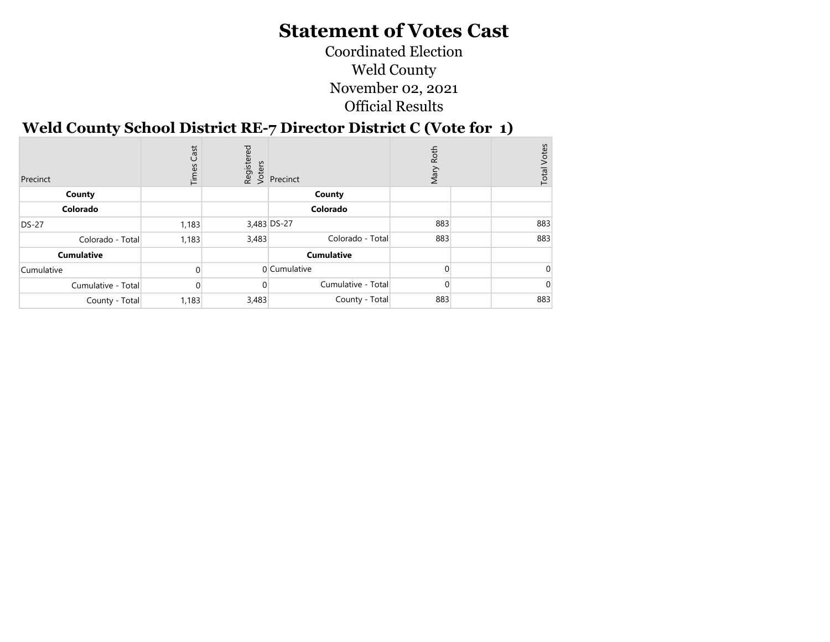Coordinated Election Weld County November 02, 2021 Official Results

#### Weld County School District RE-7 Director District C (Vote for 1)

| Precinct           | Cast<br>Times | Бą    | dister<br>& S<br>Recinct<br>& Precinct | Roth<br>Mary | <b>Total Votes</b> |
|--------------------|---------------|-------|----------------------------------------|--------------|--------------------|
| County             |               |       | County                                 |              |                    |
| Colorado           |               |       | Colorado                               |              |                    |
| <b>DS-27</b>       | 1,183         |       | 3,483 DS-27                            | 883          | 883                |
| Colorado - Total   | 1,183         | 3,483 | Colorado - Total                       | 883          | 883                |
| <b>Cumulative</b>  |               |       | <b>Cumulative</b>                      |              |                    |
| Cumulative         |               |       | 0 Cumulative                           |              |                    |
| Cumulative - Total |               |       | Cumulative - Total                     |              |                    |
| County - Total     | 1,183         | 3,483 | County - Total                         | 883          | 883                |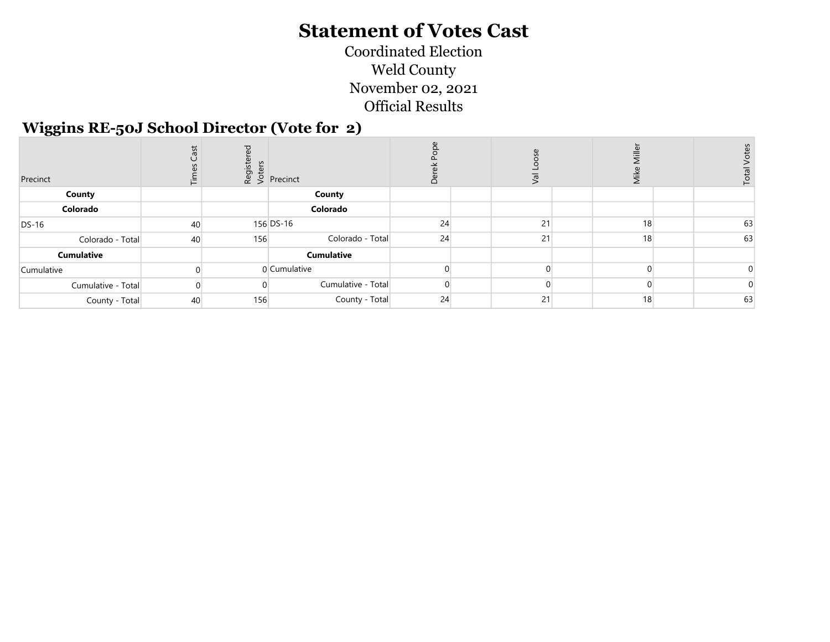Coordinated Election Weld County November 02, 2021 Official Results

#### Wiggins RE-50J School Director (Vote for 2)

| Precinct           | .<br>U |     | $\begin{bmatrix} 16 & 16 \\ 0 & 0 \\ 2 & 0 \end{bmatrix}$ Precinct |    | $ \mathbf{e} \rangle$ | $\bar{\bar{z}}$ | Total |
|--------------------|--------|-----|--------------------------------------------------------------------|----|-----------------------|-----------------|-------|
| County             |        |     | County                                                             |    |                       |                 |       |
| Colorado           |        |     | Colorado                                                           |    |                       |                 |       |
| <b>DS-16</b>       | 40     |     | 156 DS-16                                                          | 24 | 21                    | 18              | 63    |
| Colorado - Total   | 40     | 156 | Colorado - Total                                                   | 24 | 21                    | 18              | 63    |
| <b>Cumulative</b>  |        |     | <b>Cumulative</b>                                                  |    |                       |                 |       |
| Cumulative         |        |     | 0 Cumulative                                                       |    |                       |                 |       |
| Cumulative - Total |        |     | Cumulative - Total                                                 |    |                       |                 |       |
| County - Total     | 40     | 156 | County - Total                                                     | 24 | 21                    | 18              | 63    |
|                    |        |     |                                                                    |    |                       |                 |       |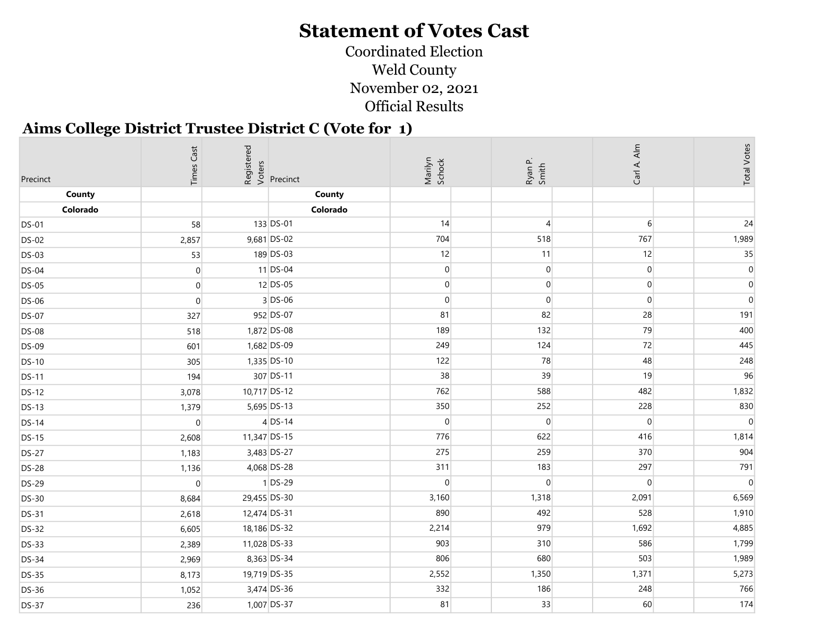Coordinated Election Weld County November 02, 2021 Official Results

#### Aims College District Trustee District C (Vote for 1)

| Precinct     | <b>Times Cast</b> | Registered<br>Voters | Precinct    | Marilyn<br>Schock |                  | Carl A. Alm    | <b>Total Votes</b> |
|--------------|-------------------|----------------------|-------------|-------------------|------------------|----------------|--------------------|
| County       |                   |                      | County      |                   |                  |                |                    |
| Colorado     |                   |                      | Colorado    |                   |                  |                |                    |
| <b>DS-01</b> | 58                |                      | 133 DS-01   | 14                | $\overline{4}$   | $6 \mid$       | 24                 |
| <b>DS-02</b> | 2,857             |                      | 9,681 DS-02 | 704               | 518              | 767            | 1,989              |
| <b>DS-03</b> | 53                |                      | 189 DS-03   | 12                | 11               | 12             | 35                 |
| <b>DS-04</b> | $\overline{0}$    |                      | $11$ DS-04  | $\overline{0}$    | $\overline{0}$   | $\overline{0}$ | $\overline{0}$     |
| <b>DS-05</b> | $\overline{0}$    |                      | $12$ DS-05  | $\overline{0}$    | 0                | $\overline{0}$ | $\mathbf 0$        |
| <b>DS-06</b> | $\mathbf 0$       |                      | $3$ DS-06   | $\overline{0}$    | $\boldsymbol{0}$ | $\overline{0}$ | $\overline{0}$     |
| <b>DS-07</b> | 327               |                      | 952 DS-07   | 81                | 82               | 28             | 191                |
| <b>DS-08</b> | 518               |                      | 1,872 DS-08 | 189               | 132              | 79             | 400                |
| <b>DS-09</b> | 601               |                      | 1,682 DS-09 | 249               | 124              | 72             | 445                |
| <b>DS-10</b> | 305               |                      | 1,335 DS-10 | 122               | 78               | 48             | 248                |
| <b>DS-11</b> | 194               |                      | 307 DS-11   | 38                | 39               | 19             | 96                 |
| <b>DS-12</b> | 3,078             | 10,717 DS-12         |             | 762               | 588              | 482            | 1,832              |
| <b>DS-13</b> | 1,379             |                      | 5,695 DS-13 | 350               | 252              | 228            | 830                |
| <b>DS-14</b> | $\overline{0}$    |                      | $4$ DS-14   | 0                 | $\overline{0}$   | $\overline{0}$ | $\overline{0}$     |
| <b>DS-15</b> | 2,608             | 11,347 DS-15         |             | 776               | 622              | 416            | 1,814              |
| <b>DS-27</b> | 1,183             |                      | 3,483 DS-27 | 275               | 259              | 370            | 904                |
| <b>DS-28</b> | 1,136             |                      | 4,068 DS-28 | 311               | 183              | 297            | 791                |
| <b>DS-29</b> | $\overline{0}$    |                      | $1$ DS-29   | $\overline{0}$    | 0                | $\overline{0}$ | $\overline{0}$     |
| <b>DS-30</b> | 8,684             | 29,455 DS-30         |             | 3,160             | 1,318            | 2,091          | 6,569              |
| <b>DS-31</b> | 2,618             | 12,474 DS-31         |             | 890               | 492              | 528            | 1,910              |
| <b>DS-32</b> | 6,605             | 18,186 DS-32         |             | 2,214             | 979              | 1,692          | 4,885              |
| <b>DS-33</b> | 2,389             | 11,028 DS-33         |             | 903               | 310              | 586            | 1,799              |
| <b>DS-34</b> | 2,969             |                      | 8,363 DS-34 | 806               | 680              | 503            | 1,989              |
| <b>DS-35</b> | 8,173             | 19,719 DS-35         |             | 2,552             | 1,350            | 1,371          | 5,273              |
| <b>DS-36</b> | 1,052             |                      | 3,474 DS-36 | 332               | 186              | 248            | 766                |
| <b>DS-37</b> | 236               |                      | 1,007 DS-37 | 81                | 33               | 60             | 174                |
|              |                   |                      |             |                   |                  |                |                    |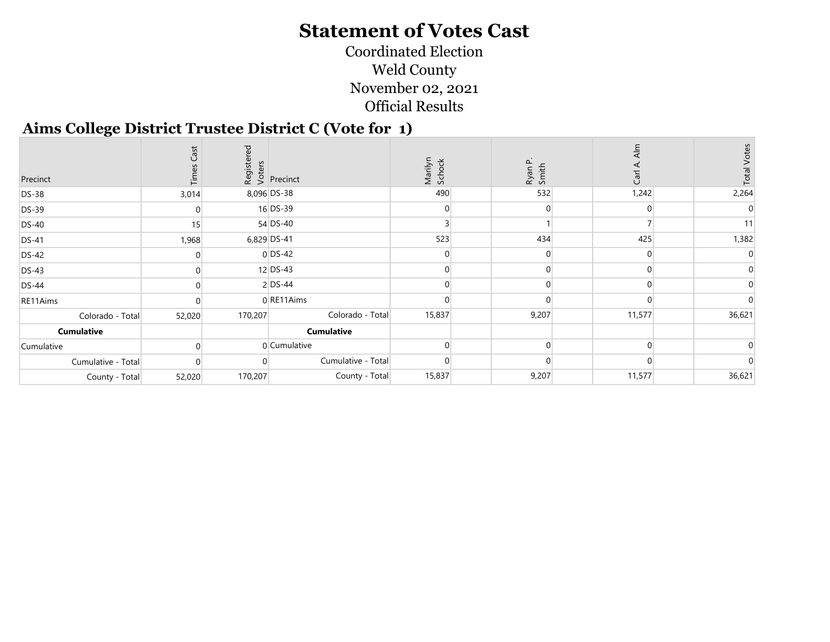Coordinated Election Weld County November 02, 2021 Official Results

#### Aims College District Trustee District C (Vote for 1)

| Precinct           |        |         | Registered<br>Voters<br>Versinct | Marilyn<br>Schock | Ryan P.<br>Smith | Carl   |        |
|--------------------|--------|---------|----------------------------------|-------------------|------------------|--------|--------|
| <b>DS-38</b>       | 3,014  |         | 8,096 DS-38                      | 490               | 532              | 1,242  | 2,264  |
| DS-39              |        |         | 16 DS-39                         |                   |                  |        |        |
| <b>DS-40</b>       | 15     |         | 54 DS-40                         |                   |                  |        |        |
| <b>DS-41</b>       | 1,968  |         | 6,829 DS-41                      | 523               | 434              | 425    | 1,382  |
| <b>DS-42</b>       |        |         | $0$ DS-42                        |                   |                  |        |        |
| $DS-43$            |        |         | 12 DS-43                         |                   |                  |        |        |
| <b>DS-44</b>       |        |         | $2$ DS-44                        |                   |                  |        |        |
| RE11Aims           |        |         | 0 RE11Aims                       |                   |                  |        |        |
| Colorado - Total   | 52,020 | 170,207 | Colorado - Total                 | 15,837            | 9,207            | 11,577 | 36,621 |
| Cumulative         |        |         | <b>Cumulative</b>                |                   |                  |        |        |
| Cumulative         |        |         | 0 Cumulative                     |                   |                  |        |        |
| Cumulative - Total |        |         | Cumulative - Total               |                   |                  |        |        |
| County - Total     | 52,020 | 170,207 | County - Total                   | 15,837            | 9,207            | 11,577 | 36,621 |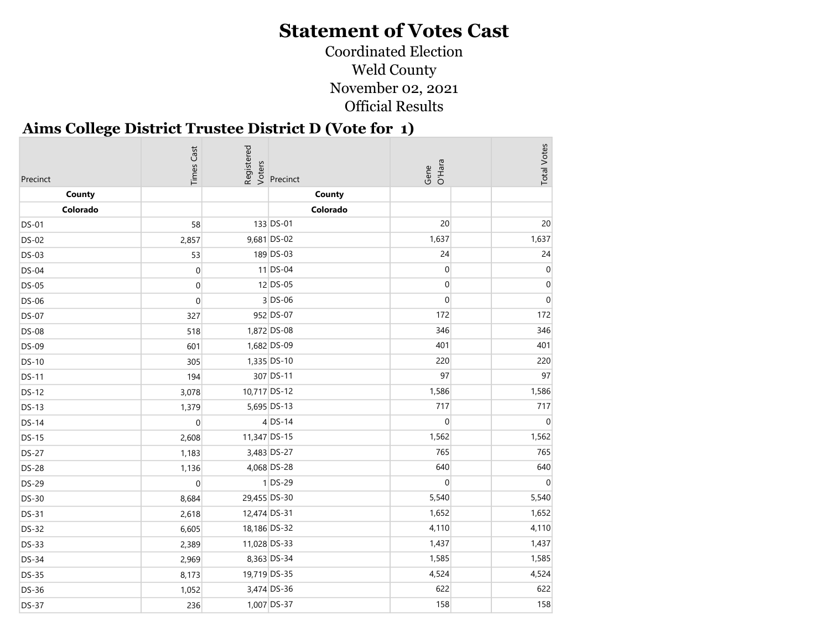Coordinated Election Weld County November 02, 2021 Official Results

#### Aims College District Trustee District D (Vote for 1)

| Precinct     | <b>Times Cast</b> | Registered<br>Voters | Precinct    | Gene<br>O'Hara      | <b>Total Votes</b> |
|--------------|-------------------|----------------------|-------------|---------------------|--------------------|
| County       |                   |                      | County      |                     |                    |
| Colorado     |                   |                      | Colorado    |                     |                    |
| <b>DS-01</b> | 58                |                      | 133 DS-01   | 20                  | 20                 |
| <b>DS-02</b> | 2,857             |                      | 9,681 DS-02 | 1,637               | 1,637              |
| <b>DS-03</b> | 53                |                      | 189 DS-03   | 24                  | 24                 |
| <b>DS-04</b> | $\mathbf 0$       |                      | $11$ DS-04  | $\pmb{0}$           | $\mathbf 0$        |
| <b>DS-05</b> | $\mathbf 0$       |                      | 12 DS-05    | $\pmb{0}$           | $\overline{0}$     |
| <b>DS-06</b> | $\mathbf 0$       |                      | $3$ DS-06   | $\mathsf{O}\xspace$ | $\overline{0}$     |
| <b>DS-07</b> | 327               |                      | 952 DS-07   | 172                 | 172                |
| <b>DS-08</b> | 518               |                      | 1,872 DS-08 | 346                 | 346                |
| <b>DS-09</b> | 601               |                      | 1,682 DS-09 | 401                 | 401                |
| <b>DS-10</b> | 305               |                      | 1,335 DS-10 | 220                 | 220                |
| <b>DS-11</b> | 194               |                      | 307 DS-11   | 97                  | 97                 |
| <b>DS-12</b> | 3,078             | 10,717 DS-12         |             | 1,586               | 1,586              |
| <b>DS-13</b> | 1,379             |                      | 5,695 DS-13 | 717                 | 717                |
| $DS-14$      | $\mathbf 0$       |                      | $4$ DS-14   | $\overline{0}$      | $\mathbf 0$        |
| <b>DS-15</b> | 2,608             | 11,347 DS-15         |             | 1,562               | 1,562              |
| <b>DS-27</b> | 1,183             |                      | 3,483 DS-27 | 765                 | 765                |
| <b>DS-28</b> | 1,136             |                      | 4,068 DS-28 | 640                 | 640                |
| <b>DS-29</b> | $\mathbf 0$       |                      | $1$ DS-29   | $\overline{0}$      | $\mathbf 0$        |
| <b>DS-30</b> | 8,684             | 29,455 DS-30         |             | 5,540               | 5,540              |
| <b>DS-31</b> | 2,618             | 12,474 DS-31         |             | 1,652               | 1,652              |
| <b>DS-32</b> | 6,605             | 18,186 DS-32         |             | 4,110               | 4,110              |
| <b>DS-33</b> | 2,389             | 11,028 DS-33         |             | 1,437               | 1,437              |
| <b>DS-34</b> | 2,969             |                      | 8,363 DS-34 | 1,585               | 1,585              |
| <b>DS-35</b> | 8,173             | 19,719 DS-35         |             | 4,524               | 4,524              |
| <b>DS-36</b> | 1,052             |                      | 3,474 DS-36 | 622                 | 622                |
| <b>DS-37</b> | 236               |                      | 1,007 DS-37 | 158                 | 158                |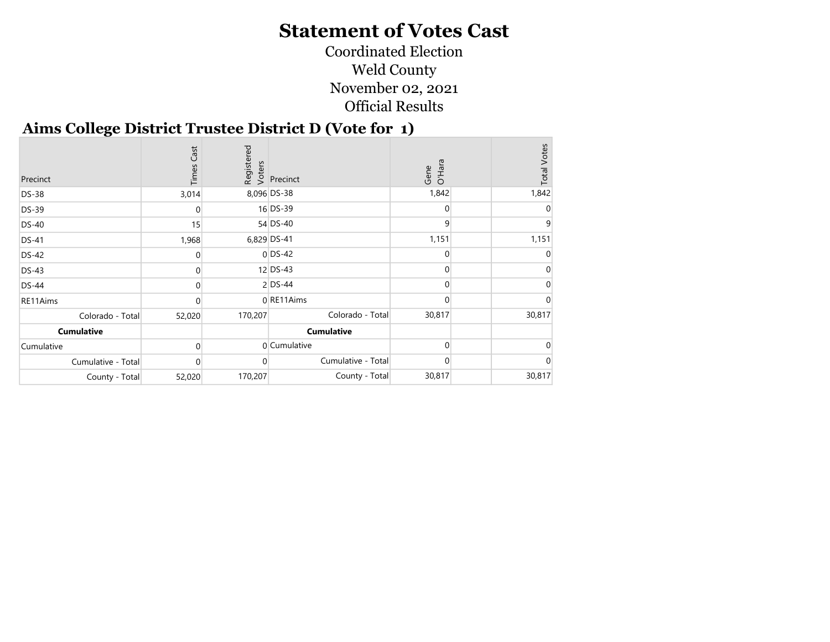Coordinated Election Weld County November 02, 2021 Official Results

#### Aims College District Trustee District D (Vote for 1)

| Precinct           | Cast<br>Times |         | Registered<br>Voters<br>Versinct | Gene<br>O'Hara | <b>Total Votes</b> |
|--------------------|---------------|---------|----------------------------------|----------------|--------------------|
| <b>DS-38</b>       | 3,014         |         | 8,096 DS-38                      | 1,842          | 1,842              |
| DS-39              |               |         | 16 DS-39                         | $\Omega$       |                    |
| <b>DS-40</b>       | 15            |         | 54 DS-40                         | 9              |                    |
| <b>DS-41</b>       | 1,968         |         | 6,829 DS-41                      | 1,151          | 1,151              |
| <b>DS-42</b>       |               |         | $0$ DS-42                        | $\Omega$       |                    |
| <b>DS-43</b>       |               |         | $12$ DS-43                       |                |                    |
| <b>DS-44</b>       |               |         | $2$ DS-44                        | $\Omega$       |                    |
| RE11Aims           |               |         | 0 RE11Aims                       | $\Omega$       |                    |
| Colorado - Total   | 52,020        | 170,207 | Colorado - Total                 | 30,817         | 30,817             |
| <b>Cumulative</b>  |               |         | <b>Cumulative</b>                |                |                    |
| Cumulative         |               |         | 0 Cumulative                     | $\Omega$       |                    |
| Cumulative - Total |               |         | Cumulative - Total               |                |                    |
| County - Total     | 52,020        | 170,207 | County - Total                   | 30,817         | 30,817             |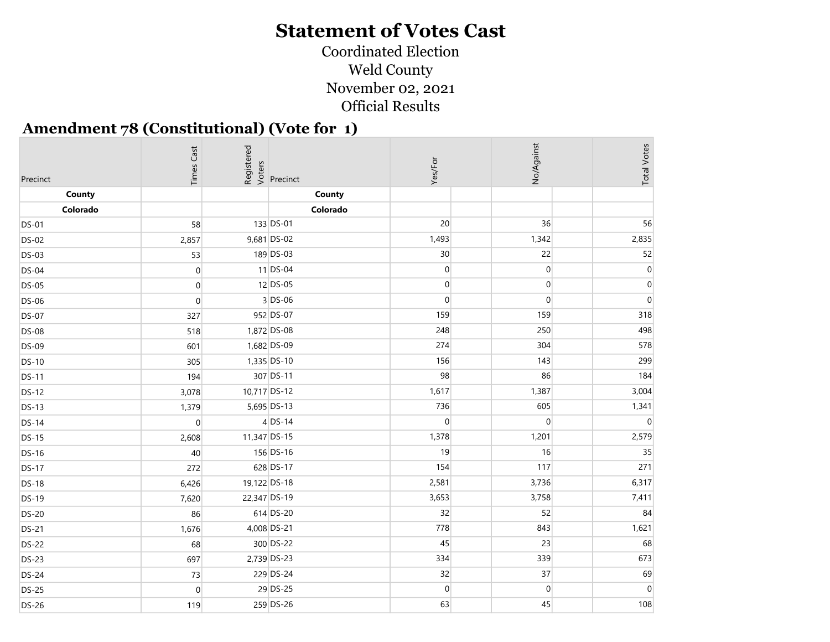Coordinated Election Weld County November 02, 2021 Official Results

#### Amendment 78 (Constitutional) (Vote for 1)

|                    | <b>Times Cast</b> | Registered<br>Voters |                    | Yes/For         | No/Against       | <b>Total Votes</b> |
|--------------------|-------------------|----------------------|--------------------|-----------------|------------------|--------------------|
| Precinct<br>County |                   |                      | Precinct<br>County |                 |                  |                    |
| Colorado           |                   |                      | Colorado           |                 |                  |                    |
| <b>DS-01</b>       | 58                |                      | 133 DS-01          | 20              | 36               | 56                 |
| <b>DS-02</b>       | 2,857             |                      | 9,681 DS-02        | 1,493           | 1,342            | 2,835              |
| <b>DS-03</b>       | 53                |                      | 189 DS-03          | 30 <sup>°</sup> | 22               | 52                 |
|                    |                   |                      | $11$ DS-04         | $\overline{0}$  | $\pmb{0}$        | 0                  |
| <b>DS-04</b>       | $\overline{0}$    |                      | $12$ DS-05         | $\overline{0}$  | $\boldsymbol{0}$ | $\mathbf 0$        |
| <b>DS-05</b>       | $\overline{0}$    |                      | $3$ DS-06          | $\overline{0}$  | $\boldsymbol{0}$ | $\Omega$           |
| <b>DS-06</b>       | $\overline{0}$    |                      |                    | 159             | 159              | 318                |
| <b>DS-07</b>       | 327               |                      | 952 DS-07          |                 |                  |                    |
| <b>DS-08</b>       | 518               |                      | 1,872 DS-08        | 248             | 250              | 498                |
| <b>DS-09</b>       | 601               |                      | 1,682 DS-09        | 274             | 304              | 578                |
| <b>DS-10</b>       | 305               |                      | 1,335 DS-10        | 156             | 143              | 299                |
| <b>DS-11</b>       | 194               |                      | 307 DS-11          | 98              | 86               | 184                |
| <b>DS-12</b>       | 3,078             | 10,717 DS-12         |                    | 1,617           | 1,387            | 3,004              |
| <b>DS-13</b>       | 1,379             |                      | 5,695 DS-13        | 736             | 605              | 1,341              |
| <b>DS-14</b>       | $\boldsymbol{0}$  |                      | $4$ DS-14          | $\overline{0}$  | $\boldsymbol{0}$ | $\Omega$           |
| <b>DS-15</b>       | 2,608             | 11,347 DS-15         |                    | 1,378           | 1,201            | 2,579              |
| <b>DS-16</b>       | 40                |                      | 156 DS-16          | 19              | 16               | 35                 |
| <b>DS-17</b>       | 272               |                      | 628 DS-17          | 154             | 117              | 271                |
| <b>DS-18</b>       | 6,426             | 19,122 DS-18         |                    | 2,581           | 3,736            | 6,317              |
| <b>DS-19</b>       | 7,620             | 22,347 DS-19         |                    | 3,653           | 3,758            | 7,411              |
| <b>DS-20</b>       | 86                |                      | 614 DS-20          | 32              | 52               | 84                 |
| <b>DS-21</b>       | 1,676             |                      | 4,008 DS-21        | 778             | 843              | 1,621              |
| <b>DS-22</b>       | 68                |                      | 300 DS-22          | 45              | 23               | 68                 |
| <b>DS-23</b>       | 697               |                      | 2,739 DS-23        | 334             | 339              | 673                |
| <b>DS-24</b>       | 73                |                      | 229 DS-24          | 32              | 37               | 69                 |
| <b>DS-25</b>       | $\overline{0}$    |                      | 29 DS-25           | $\overline{0}$  | $\overline{0}$   | $\Omega$           |
| <b>DS-26</b>       | 119               |                      | 259 DS-26          | 63              | 45               | 108                |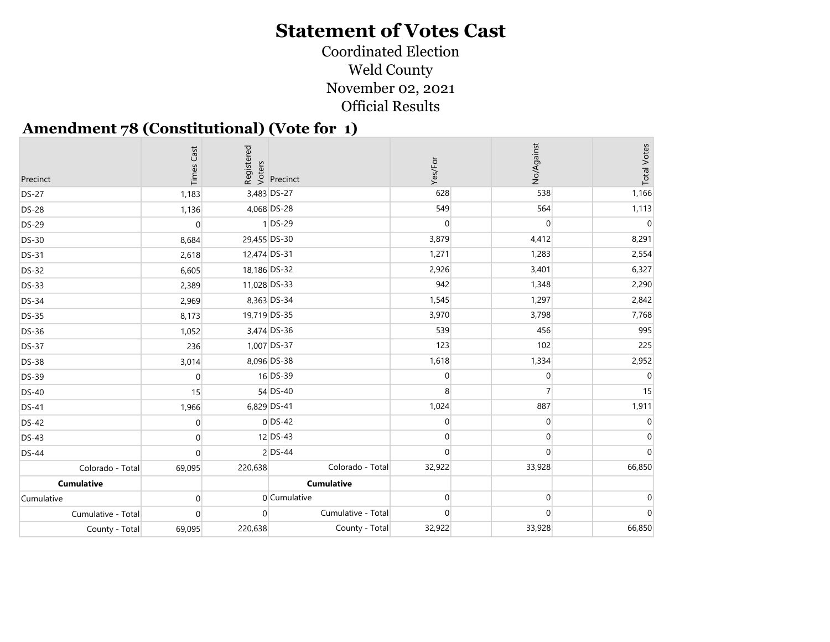Coordinated Election Weld County November 02, 2021 Official Results

#### Amendment 78 (Constitutional) (Vote for 1)

| Precinct           | Cast<br>Times |              | Registered<br>Voters<br>Precinct | Yes/For        | No/Against       | <b>Total Votes</b> |
|--------------------|---------------|--------------|----------------------------------|----------------|------------------|--------------------|
| <b>DS-27</b>       | 1,183         |              | 3,483 DS-27                      | 628            | 538              | 1,166              |
| <b>DS-28</b>       | 1,136         |              | 4,068 DS-28                      | 549            | 564              | 1,113              |
| <b>DS-29</b>       | $\mathbf 0$   |              | $1$ DS-29                        | $\overline{0}$ | $\overline{0}$   | $\Omega$           |
| <b>DS-30</b>       | 8,684         | 29,455 DS-30 |                                  | 3,879          | 4,412            | 8,291              |
| <b>DS-31</b>       | 2,618         | 12,474 DS-31 |                                  | 1,271          | 1,283            | 2,554              |
| <b>DS-32</b>       | 6,605         | 18,186 DS-32 |                                  | 2,926          | 3,401            | 6,327              |
| <b>DS-33</b>       | 2,389         | 11,028 DS-33 |                                  | 942            | 1,348            | 2,290              |
| <b>DS-34</b>       | 2,969         |              | 8,363 DS-34                      | 1,545          | 1,297            | 2,842              |
| <b>DS-35</b>       | 8,173         | 19,719 DS-35 |                                  | 3,970          | 3,798            | 7,768              |
| <b>DS-36</b>       | 1,052         |              | 3,474 DS-36                      | 539            | 456              | 995                |
| <b>DS-37</b>       | 236           |              | 1,007 DS-37                      | 123            | 102              | 225                |
| <b>DS-38</b>       | 3,014         |              | 8,096 DS-38                      | 1,618          | 1,334            | 2,952              |
| <b>DS-39</b>       | $\mathbf 0$   |              | 16 DS-39                         | $\mathbf{0}$   | $\overline{0}$   |                    |
| <b>DS-40</b>       | 15            |              | 54 DS-40                         | 8              | $\overline{7}$   | 15                 |
| <b>DS-41</b>       | 1,966         |              | 6,829 DS-41                      | 1,024          | 887              | 1,911              |
| <b>DS-42</b>       | 0             |              | $0$ DS-42                        | $\overline{0}$ | $\mathbf{0}$     |                    |
| <b>DS-43</b>       | $\Omega$      |              | 12 DS-43                         | $\overline{0}$ | $\boldsymbol{0}$ |                    |
| <b>DS-44</b>       | $\Omega$      |              | $2$ DS-44                        | $\Omega$       | $\overline{0}$   |                    |
| Colorado - Total   | 69,095        | 220,638      | Colorado - Total                 | 32,922         | 33,928           | 66,850             |
| <b>Cumulative</b>  |               |              | <b>Cumulative</b>                |                |                  |                    |
| Cumulative         | $\mathbf 0$   |              | $0$ Cumulative                   | $\overline{0}$ | $\overline{0}$   |                    |
| Cumulative - Total | $\Omega$      | $\Omega$     | Cumulative - Total               | $\overline{0}$ | $\overline{0}$   |                    |
| County - Total     | 69,095        | 220,638      | County - Total                   | 32,922         | 33,928           | 66,850             |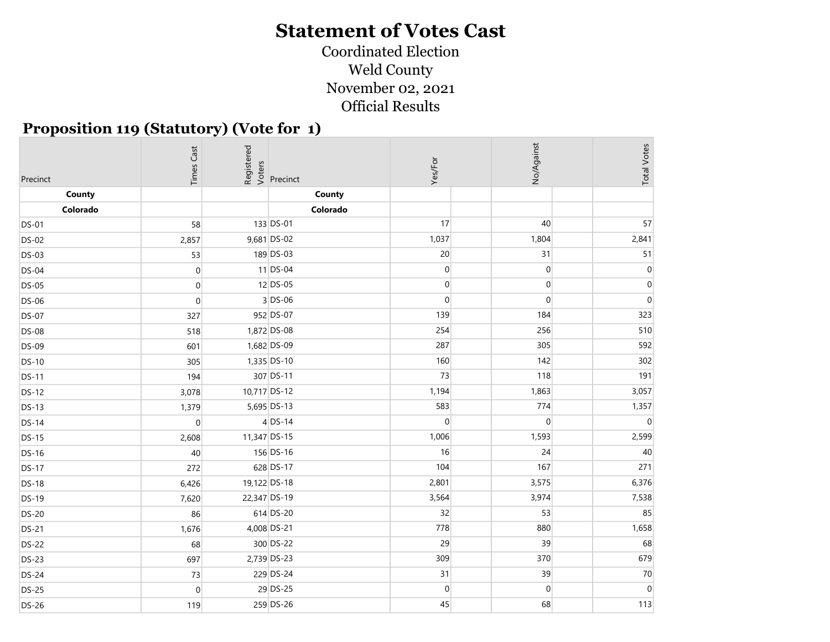#### Coordinated Election Weld County November 02, 2021 Official Results

#### Proposition 119 (Statutory) (Vote for 1)

| No/Against<br><b>Times Cast</b><br>Registered<br>Voters<br>Precinct<br>Yes/For<br>Precinct | <b>Total Votes</b> |
|--------------------------------------------------------------------------------------------|--------------------|
| County<br>County                                                                           |                    |
| Colorado<br>Colorado                                                                       |                    |
| 133 DS-01<br>17<br>40<br><b>DS-01</b><br>58                                                | 57                 |
| 1,037<br>9,681 DS-02<br>1,804<br><b>DS-02</b><br>2,857                                     | 2,841              |
| 189 DS-03<br>20<br>31<br>53<br><b>DS-03</b>                                                | 51                 |
| $11$ DS-04<br>$\overline{0}$<br>$\overline{0}$<br>$\boldsymbol{0}$<br><b>DS-04</b>         | $\mathbf{0}$       |
| 12 DS-05<br>$\overline{0}$<br>$\boldsymbol{0}$<br><b>DS-05</b><br>$\overline{0}$           | $\mathbf 0$        |
| $3$ DS-06<br>$\overline{0}$<br>$\overline{0}$<br><b>DS-06</b><br>$\mathbf 0$               | $\mathbf{0}$       |
| 952 DS-07<br>139<br>184<br><b>DS-07</b><br>327                                             | 323                |
| 1,872 DS-08<br>254<br>256<br>518<br><b>DS-08</b>                                           | 510                |
| 1,682 DS-09<br>287<br>305<br>601<br><b>DS-09</b>                                           | 592                |
| 160<br>142<br>1,335 DS-10<br><b>DS-10</b><br>305                                           | 302                |
| 307 DS-11<br>73<br>118<br>194<br><b>DS-11</b>                                              | 191                |
| 10,717 DS-12<br>1,194<br>1,863<br><b>DS-12</b><br>3,078                                    | 3,057              |
| 583<br>774<br>5,695 DS-13<br>1,379<br><b>DS-13</b>                                         | 1,357              |
| $4$ DS-14<br>$\overline{0}$<br>$\overline{0}$<br>$\overline{0}$<br><b>DS-14</b>            | $\Omega$           |
| 11,347 DS-15<br>1,006<br>1,593<br><b>DS-15</b><br>2,608                                    | 2,599              |
| 156 DS-16<br>16<br>24<br>40<br><b>DS-16</b>                                                | 40                 |
| 167<br>628 DS-17<br>104<br>272<br><b>DS-17</b>                                             | 271                |
| 19,122 DS-18<br>2,801<br>3,575<br><b>DS-18</b><br>6,426                                    | 6,376              |
| 22,347 DS-19<br>3,564<br>3,974<br><b>DS-19</b><br>7,620                                    | 7,538              |
| 614 DS-20<br>32<br>53<br>86<br><b>DS-20</b>                                                | 85                 |
| 778<br>880<br>4,008 DS-21<br>1,676<br><b>DS-21</b>                                         | 1,658              |
| 39<br>300 DS-22<br>29<br>68<br><b>DS-22</b>                                                | 68                 |
| 309<br>370<br>2,739 DS-23<br>697<br><b>DS-23</b>                                           | 679                |
| 229 DS-24<br>31<br>39<br>73<br><b>DS-24</b>                                                | 70                 |
| 29 DS-25<br>$\vert 0 \vert$<br>$\boldsymbol{0}$<br>$\mathbf 0$<br><b>DS-25</b>             | $\mathbf 0$        |
| 259 DS-26<br>45<br>68<br><b>DS-26</b><br>119                                               | 113                |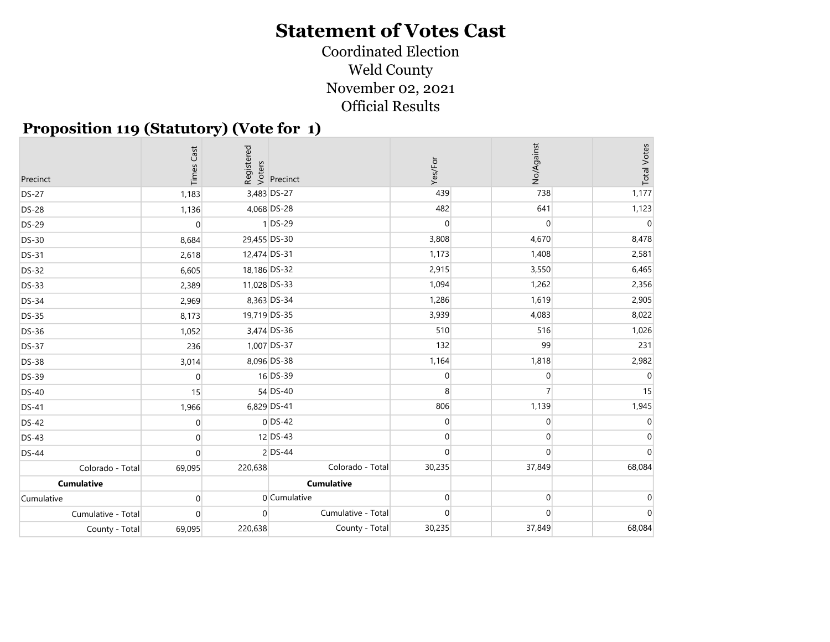#### Coordinated Election Weld County November 02, 2021 Official Results

#### Proposition 119 (Statutory) (Vote for 1)

| Precinct           | Cast<br>Times  | Registered<br>Voters | Precinct           | Yes/For        | No/Against       | <b>Total Votes</b> |
|--------------------|----------------|----------------------|--------------------|----------------|------------------|--------------------|
| <b>DS-27</b>       | 1,183          |                      | 3,483 DS-27        | 439            | 738              | 1,177              |
| <b>DS-28</b>       | 1,136          |                      | 4,068 DS-28        | 482            | 641              | 1,123              |
| <b>DS-29</b>       | $\overline{0}$ |                      | $1$ DS-29          | $\overline{0}$ | $\overline{0}$   | $\Omega$           |
| <b>DS-30</b>       | 8,684          | 29,455 DS-30         |                    | 3,808          | 4,670            | 8,478              |
| <b>DS-31</b>       | 2,618          | 12,474 DS-31         |                    | 1,173          | 1,408            | 2,581              |
| <b>DS-32</b>       | 6,605          | 18,186 DS-32         |                    | 2,915          | 3,550            | 6,465              |
| <b>DS-33</b>       | 2,389          | 11,028 DS-33         |                    | 1,094          | 1,262            | 2,356              |
| <b>DS-34</b>       | 2,969          |                      | 8,363 DS-34        | 1,286          | 1,619            | 2,905              |
| <b>DS-35</b>       | 8,173          | 19,719 DS-35         |                    | 3,939          | 4,083            | 8,022              |
| <b>DS-36</b>       | 1,052          |                      | 3,474 DS-36        | 510            | 516              | 1,026              |
| <b>DS-37</b>       | 236            |                      | 1,007 DS-37        | 132            | 99               | 231                |
| <b>DS-38</b>       | 3,014          |                      | 8,096 DS-38        | 1,164          | 1,818            | 2,982              |
| <b>DS-39</b>       | $\mathbf{0}$   |                      | 16 DS-39           | 0              | $\overline{0}$   | $\Omega$           |
| <b>DS-40</b>       | 15             |                      | 54 DS-40           | 8              | $\overline{7}$   | 15                 |
| <b>DS-41</b>       | 1,966          |                      | 6,829 DS-41        | 806            | 1,139            | 1,945              |
| <b>DS-42</b>       | $\overline{0}$ |                      | $0$ DS-42          | $\overline{0}$ | $\boldsymbol{0}$ |                    |
| <b>DS-43</b>       | $\overline{0}$ |                      | 12 DS-43           | $\overline{0}$ | $\overline{0}$   |                    |
| <b>DS-44</b>       | $\Omega$       |                      | $2$ DS-44          | $\overline{0}$ | $\overline{0}$   |                    |
| Colorado - Total   | 69,095         | 220,638              | Colorado - Total   | 30,235         | 37,849           | 68,084             |
| <b>Cumulative</b>  |                |                      | <b>Cumulative</b>  |                |                  |                    |
| Cumulative         | $\mathbf{0}$   |                      | 0 Cumulative       | $\overline{0}$ | $\overline{0}$   |                    |
| Cumulative - Total | $\overline{0}$ | $\Omega$             | Cumulative - Total | $\overline{0}$ | $\overline{0}$   |                    |
| County - Total     | 69,095         | 220,638              | County - Total     | 30,235         | 37,849           | 68,084             |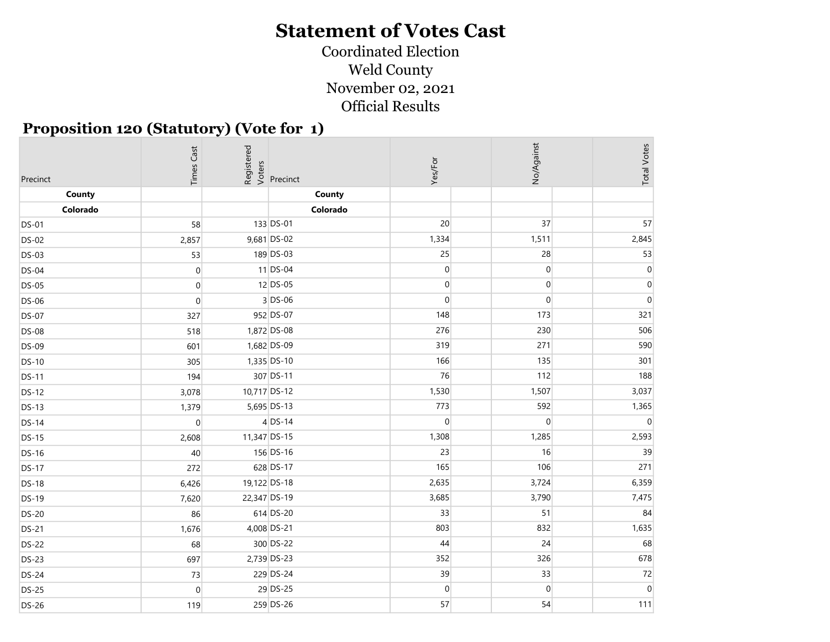#### Coordinated Election Weld County November 02, 2021 Official Results

#### Proposition 120 (Statutory) (Vote for 1)

| Precinct     | <b>Times Cast</b> | Registered<br>> Oters<br>> Precinct | Yes/For        | No/Against       | <b>Total Votes</b> |
|--------------|-------------------|-------------------------------------|----------------|------------------|--------------------|
| County       |                   | County                              |                |                  |                    |
| Colorado     |                   | Colorado                            |                |                  |                    |
| <b>DS-01</b> | 58                | 133 DS-01                           | 20             | 37               | 57                 |
| <b>DS-02</b> | 2,857             | 9,681 DS-02                         | 1,334          | 1,511            | 2,845              |
| <b>DS-03</b> | 53                | 189 DS-03                           | 25             | 28               | 53                 |
| <b>DS-04</b> | $\boldsymbol{0}$  | $11$ DS-04                          | $\overline{0}$ | $\boldsymbol{0}$ | $\overline{0}$     |
| <b>DS-05</b> | $\mathbf 0$       | $12$ DS-05                          | $\overline{0}$ | $\overline{0}$   | $\mathbf{0}$       |
| <b>DS-06</b> | $\Omega$          | $3$ DS-06                           | $\overline{0}$ | $\overline{0}$   | $\Omega$           |
| <b>DS-07</b> | 327               | 952 DS-07                           | 148            | 173              | 321                |
| <b>DS-08</b> | 518               | 1,872 DS-08                         | 276            | 230              | 506                |
| <b>DS-09</b> | 601               | 1,682 DS-09                         | 319            | 271              | 590                |
| <b>DS-10</b> | 305               | 1,335 DS-10                         | 166            | 135              | 301                |
| <b>DS-11</b> | 194               | 307 DS-11                           | 76             | 112              | 188                |
| <b>DS-12</b> | 3,078             | 10,717 DS-12                        | 1,530          | 1,507            | 3,037              |
| <b>DS-13</b> | 1,379             | 5,695 DS-13                         | 773            | 592              | 1,365              |
| <b>DS-14</b> | $\overline{0}$    | $4$ DS-14                           | $\overline{0}$ | $\overline{0}$   | $\Omega$           |
| <b>DS-15</b> | 2,608             | 11,347 DS-15                        | 1,308          | 1,285            | 2,593              |
| <b>DS-16</b> | 40                | 156 DS-16                           | 23             | 16               | 39                 |
| <b>DS-17</b> | 272               | 628 DS-17                           | 165            | 106              | 271                |
| <b>DS-18</b> | 6,426             | 19,122 DS-18                        | 2,635          | 3,724            | 6,359              |
| <b>DS-19</b> | 7,620             | 22,347 DS-19                        | 3,685          | 3,790            | 7,475              |
| <b>DS-20</b> | 86                | 614 DS-20                           | 33             | 51               | 84                 |
| <b>DS-21</b> | 1,676             | 4,008 DS-21                         | 803            | 832              | 1,635              |
| <b>DS-22</b> | 68                | 300 DS-22                           | 44             | 24               | 68                 |
| <b>DS-23</b> | 697               | 2,739 DS-23                         | 352            | 326              | 678                |
| <b>DS-24</b> | 73                | 229 DS-24                           | 39             | 33               | 72                 |
| <b>DS-25</b> | $\mathbf 0$       | 29 DS-25                            | $\overline{0}$ | $\boldsymbol{0}$ | $\mathbf 0$        |
| <b>DS-26</b> | 119               | 259 DS-26                           | 57             | 54               | 111                |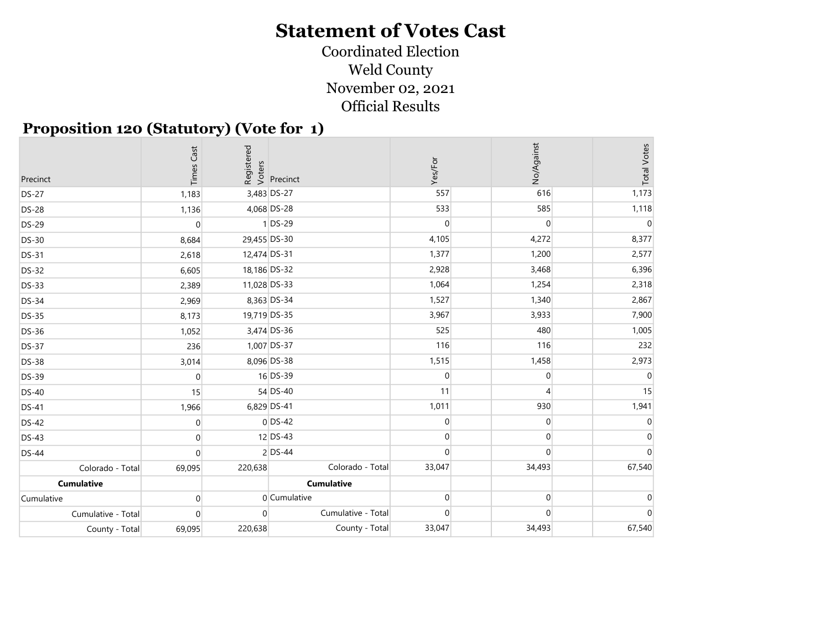#### Coordinated Election Weld County November 02, 2021 Official Results

#### Proposition 120 (Statutory) (Vote for 1)

| Precinct           | Cast<br>Times  |              | Registered<br>Voters<br>Precinct | Yes/For        | No/Against       | <b>Total Votes</b> |
|--------------------|----------------|--------------|----------------------------------|----------------|------------------|--------------------|
| <b>DS-27</b>       | 1,183          |              | 3,483 DS-27                      | 557            | 616              | 1,173              |
| <b>DS-28</b>       | 1,136          |              | 4,068 DS-28                      | 533            | 585              | 1,118              |
| <b>DS-29</b>       | $\overline{0}$ |              | $1$ DS-29                        | $\overline{0}$ | $\overline{0}$   | $\Omega$           |
| <b>DS-30</b>       | 8,684          | 29,455 DS-30 |                                  | 4,105          | 4,272            | 8,377              |
| <b>DS-31</b>       | 2,618          | 12,474 DS-31 |                                  | 1,377          | 1,200            | 2,577              |
| <b>DS-32</b>       | 6,605          | 18,186 DS-32 |                                  | 2,928          | 3,468            | 6,396              |
| <b>DS-33</b>       | 2,389          | 11,028 DS-33 |                                  | 1,064          | 1,254            | 2,318              |
| <b>DS-34</b>       | 2,969          |              | 8,363 DS-34                      | 1,527          | 1,340            | 2,867              |
| <b>DS-35</b>       | 8,173          | 19,719 DS-35 |                                  | 3,967          | 3,933            | 7,900              |
| <b>DS-36</b>       | 1,052          |              | 3,474 DS-36                      | 525            | 480              | 1,005              |
| <b>DS-37</b>       | 236            |              | 1,007 DS-37                      | 116            | 116              | 232                |
| <b>DS-38</b>       | 3,014          |              | 8,096 DS-38                      | 1,515          | 1,458            | 2,973              |
| <b>DS-39</b>       | $\mathbf 0$    |              | 16 DS-39                         | $\overline{0}$ | $\overline{0}$   | $\Omega$           |
| <b>DS-40</b>       | 15             |              | 54 DS-40                         | 11             | $\overline{4}$   | 15                 |
| <b>DS-41</b>       | 1,966          |              | 6,829 DS-41                      | 1,011          | 930              | 1,941              |
| <b>DS-42</b>       | $\overline{0}$ |              | $0$ DS-42                        | $\overline{0}$ | $\overline{0}$   |                    |
| <b>DS-43</b>       | $\overline{0}$ |              | 12 DS-43                         | $\overline{0}$ | $\boldsymbol{0}$ |                    |
| <b>DS-44</b>       | $\Omega$       |              | $2$ DS-44                        | $\Omega$       | $\Omega$         |                    |
| Colorado - Total   | 69,095         | 220,638      | Colorado - Total                 | 33,047         | 34,493           | 67,540             |
| <b>Cumulative</b>  |                |              | <b>Cumulative</b>                |                |                  |                    |
| Cumulative         | $\overline{0}$ |              | 0 Cumulative                     | $\overline{0}$ | $\overline{0}$   |                    |
| Cumulative - Total | $\mathbf{0}$   | $\Omega$     | Cumulative - Total               | $\overline{0}$ | $\Omega$         |                    |
| County - Total     | 69,095         | 220,638      | County - Total                   | 33,047         | 34,493           | 67,540             |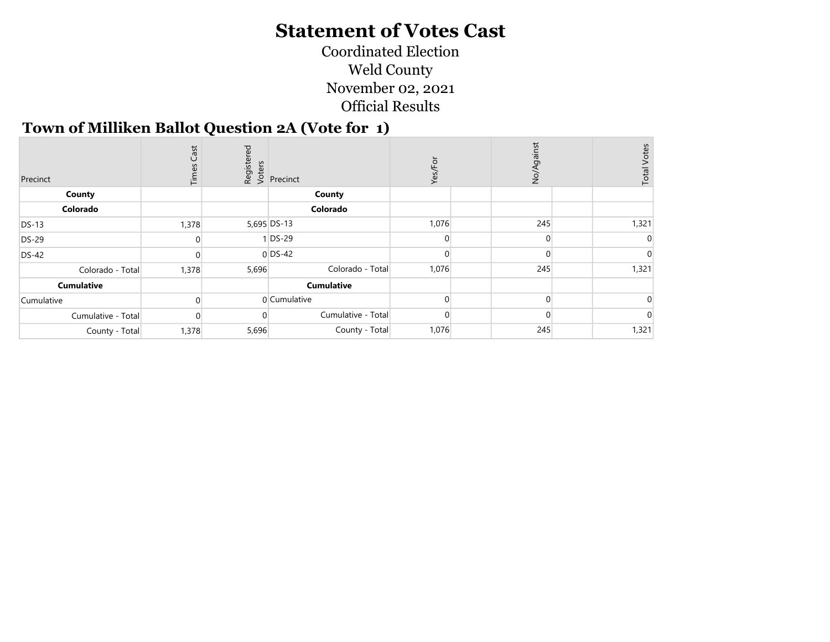Coordinated Election Weld County November 02, 2021 Official Results

#### Town of Milliken Ballot Question 2A (Vote for 1)

| Precinct           | Cast<br>Times |       | Registered<br>Voters<br>Versinct | Ģ<br>قح | gainst<br>$\frac{1}{2}$ | <b>Total Votes</b> |
|--------------------|---------------|-------|----------------------------------|---------|-------------------------|--------------------|
| County             |               |       | County                           |         |                         |                    |
| Colorado           |               |       | Colorado                         |         |                         |                    |
| <b>DS-13</b>       | 1,378         |       | 5,695 DS-13                      | 1,076   | 245                     | 1,321              |
| <b>DS-29</b>       |               |       | $1$ DS-29                        |         | $\Omega$                |                    |
| <b>DS-42</b>       |               |       | $0$ DS-42                        |         |                         |                    |
| Colorado - Total   | 1,378         | 5,696 | Colorado - Total                 | 1,076   | 245                     | 1,321              |
| <b>Cumulative</b>  |               |       | <b>Cumulative</b>                |         |                         |                    |
| Cumulative         |               |       | 0 Cumulative                     |         | $\Omega$                |                    |
| Cumulative - Total | $\left($      |       | Cumulative - Total               |         |                         |                    |
| County - Total     | 1,378         | 5,696 | County - Total                   | 1,076   | 245                     | 1,321              |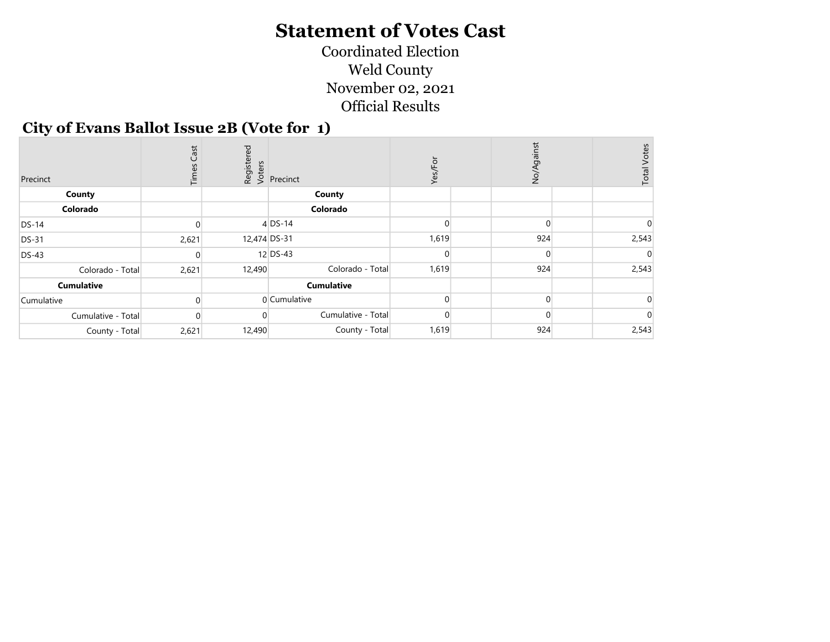Coordinated Election Weld County November 02, 2021 Official Results

#### City of Evans Ballot Issue 2B (Vote for 1)

| Precinct           | Cast<br>Times |              | Registered<br>Voters<br>Precinct | ă<br>Yes/ | ainst<br>$\overrightarrow{SO}$ | <b>Total Votes</b> |
|--------------------|---------------|--------------|----------------------------------|-----------|--------------------------------|--------------------|
| County             |               |              | County                           |           |                                |                    |
| Colorado           |               |              | Colorado                         |           |                                |                    |
| $DS-14$            |               |              | $4$ DS-14                        |           |                                |                    |
| <b>DS-31</b>       | 2,621         | 12,474 DS-31 |                                  | 1,619     | 924                            | 2,543              |
| <b>DS-43</b>       |               |              | 12 DS-43                         |           |                                |                    |
| Colorado - Total   | 2,621         | 12,490       | Colorado - Total                 | 1,619     | 924                            | 2,543              |
| <b>Cumulative</b>  |               |              | <b>Cumulative</b>                |           |                                |                    |
| Cumulative         |               |              | 0 Cumulative                     |           |                                |                    |
| Cumulative - Total |               |              | Cumulative - Total               |           |                                |                    |
| County - Total     | 2,621         | 12,490       | County - Total                   | 1,619     | 924                            | 2,543              |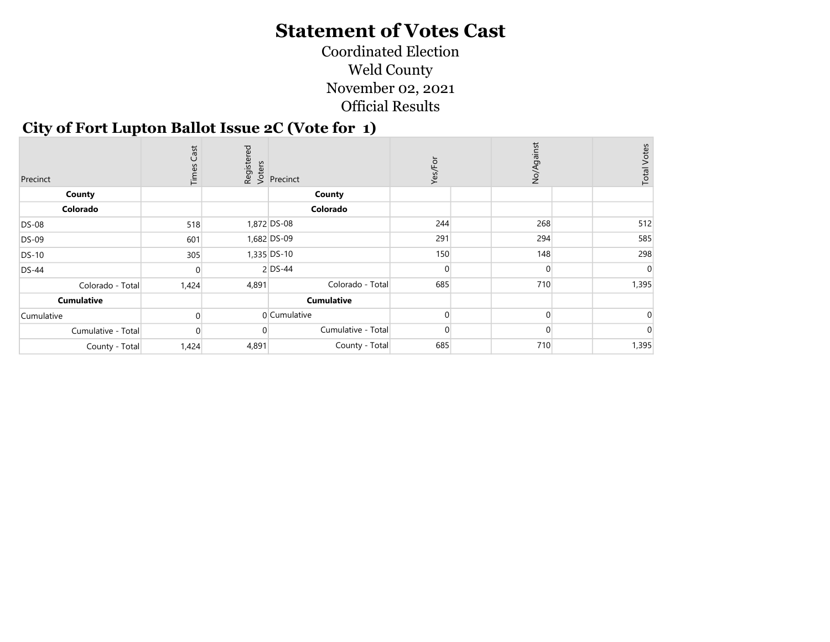Coordinated Election Weld County November 02, 2021 Official Results

#### City of Fort Lupton Ballot Issue 2C (Vote for 1)

| Precinct           | Cast<br>Times |       | Registered<br>Voters<br>Versinct | Yes/For        | No/Against | <b>Total Votes</b> |
|--------------------|---------------|-------|----------------------------------|----------------|------------|--------------------|
| County             |               |       | County                           |                |            |                    |
| Colorado           |               |       | Colorado                         |                |            |                    |
| <b>DS-08</b>       | 518           |       | 1,872 DS-08                      | 244            | 268        | 512                |
| <b>DS-09</b>       | 601           |       | 1,682 DS-09                      | 291            | 294        | 585                |
| <b>DS-10</b>       | 305           |       | 1,335 DS-10                      | 150            | 148        | 298                |
| <b>DS-44</b>       |               |       | $2$ DS-44                        |                | $\Omega$   |                    |
| Colorado - Total   | 1,424         | 4,891 | Colorado - Total                 | 685            | 710        | 1,395              |
| <b>Cumulative</b>  |               |       | <b>Cumulative</b>                |                |            |                    |
| Cumulative         |               |       | 0 Cumulative                     |                |            |                    |
| Cumulative - Total | $\Omega$      |       | Cumulative - Total               | $\overline{0}$ | $\Omega$   |                    |
| County - Total     | 1,424         | 4,891 | County - Total                   | 685            | 710        | 1,395              |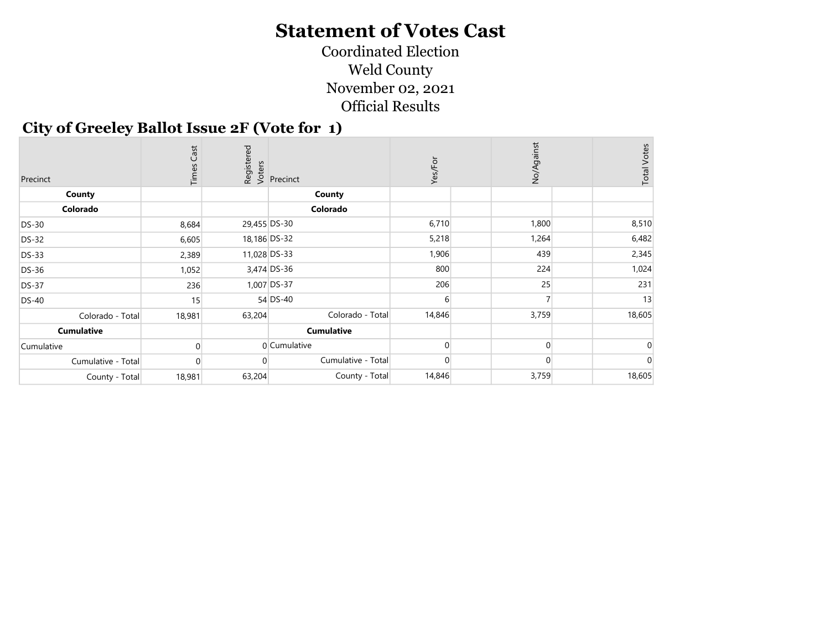Coordinated Election Weld County November 02, 2021 Official Results

#### City of Greeley Ballot Issue 2F (Vote for 1)

| Precinct           | Cast<br>Times |              | Registered<br>Voters<br>Precinct | Yes/For | No/Against | <b>Total Votes</b> |
|--------------------|---------------|--------------|----------------------------------|---------|------------|--------------------|
| County             |               |              | County                           |         |            |                    |
| Colorado           |               |              | Colorado                         |         |            |                    |
| <b>DS-30</b>       | 8,684         | 29,455 DS-30 |                                  | 6,710   | 1,800      | 8,510              |
| <b>DS-32</b>       | 6,605         |              | 18,186 DS-32                     | 5,218   | 1,264      | 6,482              |
| <b>DS-33</b>       | 2,389         | 11,028 DS-33 |                                  | 1,906   | 439        | 2,345              |
| <b>DS-36</b>       | 1,052         |              | 3,474 DS-36                      | 800     | 224        | 1,024              |
| <b>DS-37</b>       | 236           |              | 1,007 DS-37                      | 206     | 25         | 231                |
| <b>DS-40</b>       | 15            |              | $54$ DS-40                       | 6       |            | 13                 |
| Colorado - Total   | 18,981        | 63,204       | Colorado - Total                 | 14,846  | 3,759      | 18,605             |
| <b>Cumulative</b>  |               |              | <b>Cumulative</b>                |         |            |                    |
| Cumulative         |               |              | 0 Cumulative                     |         | $\Omega$   |                    |
| Cumulative - Total |               |              | Cumulative - Total               |         |            |                    |
| County - Total     | 18,981        | 63,204       | County - Total                   | 14,846  | 3,759      | 18,605             |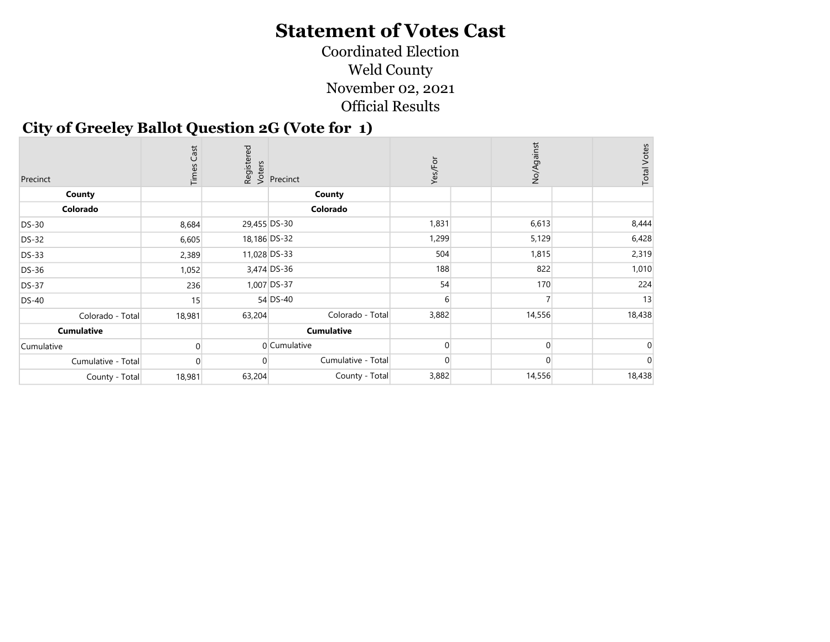Coordinated Election Weld County November 02, 2021 Official Results

#### City of Greeley Ballot Question 2G (Vote for 1)

| Precinct           | Cast<br>Times |              | Registered<br>Voters<br>Precinct | Yes/For | No/Against | <b>Total Votes</b> |
|--------------------|---------------|--------------|----------------------------------|---------|------------|--------------------|
| County             |               |              | County                           |         |            |                    |
| Colorado           |               |              | Colorado                         |         |            |                    |
| <b>DS-30</b>       | 8,684         | 29,455 DS-30 |                                  | 1,831   | 6,613      | 8,444              |
| <b>DS-32</b>       | 6,605         |              | 18,186 DS-32                     | 1,299   | 5,129      | 6,428              |
| <b>DS-33</b>       | 2,389         | 11,028 DS-33 |                                  | 504     | 1,815      | 2,319              |
| <b>DS-36</b>       | 1,052         |              | 3,474 DS-36                      | 188     | 822        | 1,010              |
| <b>DS-37</b>       | 236           |              | 1,007 DS-37                      | 54      | 170        | 224                |
| <b>DS-40</b>       | 15            |              | 54 DS-40                         | 6       |            | 13                 |
| Colorado - Total   | 18,981        | 63,204       | Colorado - Total                 | 3,882   | 14,556     | 18,438             |
| <b>Cumulative</b>  |               |              | <b>Cumulative</b>                |         |            |                    |
| Cumulative         |               |              | 0 Cumulative                     |         | $\Omega$   |                    |
| Cumulative - Total |               |              | Cumulative - Total               |         | $\Omega$   |                    |
| County - Total     | 18,981        | 63,204       | County - Total                   | 3,882   | 14,556     | 18,438             |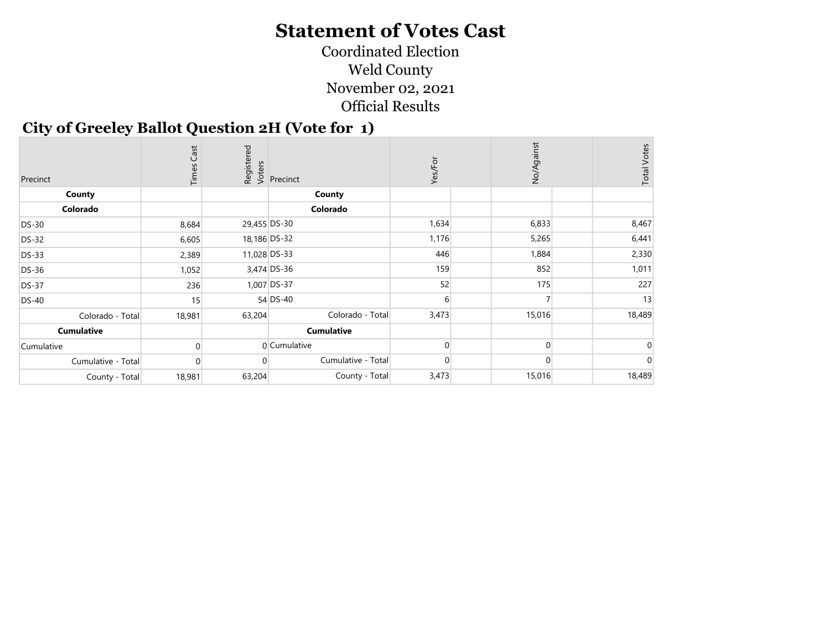Coordinated Election Weld County November 02, 2021 Official Results

#### City of Greeley Ballot Question 2H (Vote for 1)

| Precinct           | Cast<br>Times |              | Registered<br>Voters<br>Precinct | Yes/For | No/Against | <b>Total Votes</b> |
|--------------------|---------------|--------------|----------------------------------|---------|------------|--------------------|
| County             |               |              | <b>County</b>                    |         |            |                    |
| Colorado           |               |              | Colorado                         |         |            |                    |
| <b>DS-30</b>       | 8,684         | 29,455 DS-30 |                                  | 1,634   | 6,833      | 8,467              |
| <b>DS-32</b>       | 6,605         |              | 18,186 DS-32                     | 1,176   | 5,265      | 6,441              |
| <b>DS-33</b>       | 2,389         | 11,028 DS-33 |                                  | 446     | 1,884      | 2,330              |
| <b>DS-36</b>       | 1,052         |              | 3,474 DS-36                      | 159     | 852        | 1,011              |
| <b>DS-37</b>       | 236           |              | 1,007 DS-37                      | 52      | 175        | 227                |
| <b>DS-40</b>       | 15            |              | 54 DS-40                         | 6       |            | 13                 |
| Colorado - Total   | 18,981        | 63,204       | Colorado - Total                 | 3,473   | 15,016     | 18,489             |
| <b>Cumulative</b>  |               |              | <b>Cumulative</b>                |         |            |                    |
| Cumulative         |               |              | 0 Cumulative                     |         | $\Omega$   |                    |
| Cumulative - Total | 0             |              | Cumulative - Total               |         | $\Omega$   |                    |
| County - Total     | 18,981        | 63,204       | County - Total                   | 3,473   | 15,016     | 18,489             |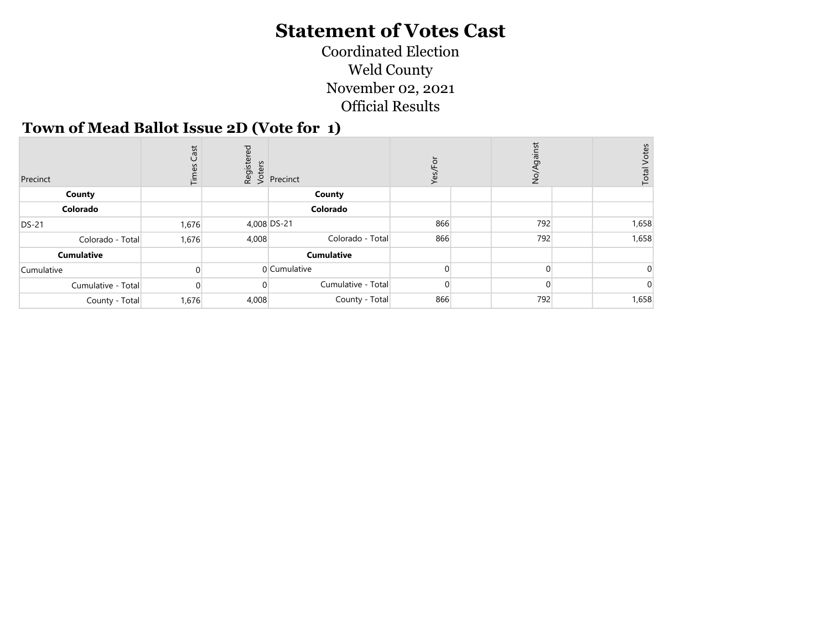Coordinated Election Weld County November 02, 2021 Official Results

#### Town of Mead Ballot Issue 2D (Vote for 1)

| Precinct           | Cast<br>Time: | red   | $\begin{array}{c} \n\frac{1}{2} & \text{if } \\ \n\frac{1}{2} & \text{if } \\ \n\frac{1}{2} & \text{if } \\ \n\frac{1}{2} & \text{if } \\ \n\frac{1}{2} & \text{if } \\ \n\frac{1}{2} & \text{if } \\ \n\frac{1}{2} & \text{if } \\ \n\frac{1}{2} & \text{if } \\ \n\frac{1}{2} & \text{if } \\ \n\frac{1}{2} & \text{if } \\ \n\frac{1}{2} & \text{if } \\ \n\frac{1}{2} & \text{if } \\ \n\frac{1}{2} & \text{if } \\ \n\frac{$ |     | gainst<br>$\overrightarrow{a}$ | Votes<br>Total |
|--------------------|---------------|-------|-----------------------------------------------------------------------------------------------------------------------------------------------------------------------------------------------------------------------------------------------------------------------------------------------------------------------------------------------------------------------------------------------------------------------------------|-----|--------------------------------|----------------|
| County             |               |       | County                                                                                                                                                                                                                                                                                                                                                                                                                            |     |                                |                |
| Colorado           |               |       | Colorado                                                                                                                                                                                                                                                                                                                                                                                                                          |     |                                |                |
| <b>DS-21</b>       | 1,676         |       | 4,008 DS-21                                                                                                                                                                                                                                                                                                                                                                                                                       | 866 | 792                            | 1,658          |
| Colorado - Total   | 1,676         | 4,008 | Colorado - Total                                                                                                                                                                                                                                                                                                                                                                                                                  | 866 | 792                            | 1,658          |
| <b>Cumulative</b>  |               |       | <b>Cumulative</b>                                                                                                                                                                                                                                                                                                                                                                                                                 |     |                                |                |
| Cumulative         |               |       | 0 Cumulative                                                                                                                                                                                                                                                                                                                                                                                                                      |     | $\Omega$                       |                |
| Cumulative - Total |               |       | Cumulative - Total                                                                                                                                                                                                                                                                                                                                                                                                                |     |                                |                |
| County - Total     | 1,676         | 4,008 | County - Total                                                                                                                                                                                                                                                                                                                                                                                                                    | 866 | 792                            | 1,658          |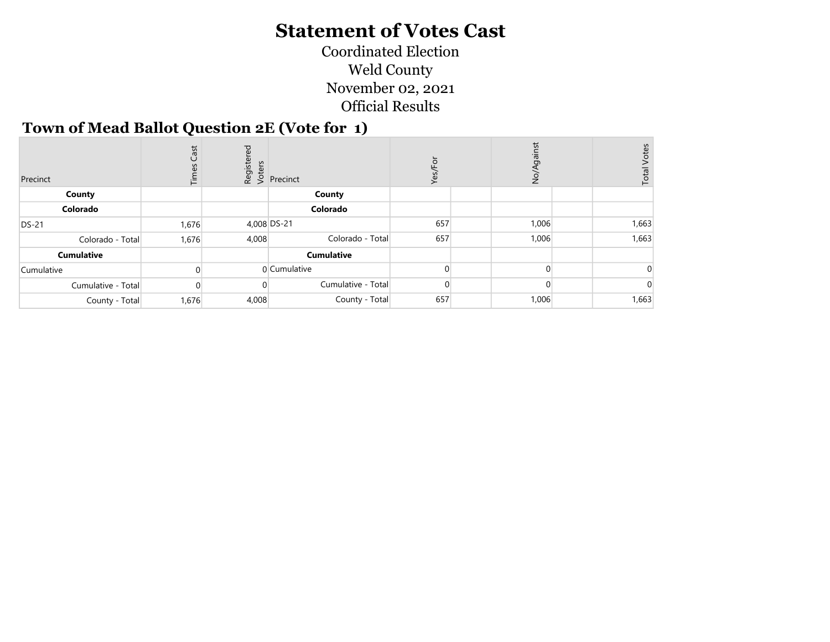Coordinated Election Weld County November 02, 2021 Official Results

#### Town of Mead Ballot Question 2E (Vote for 1)

| Precinct           | Cast<br>Time: | ered  |                    |     | gainst<br>$\frac{5}{2}$ | <b>Total Votes</b> |
|--------------------|---------------|-------|--------------------|-----|-------------------------|--------------------|
| County             |               |       | County             |     |                         |                    |
| Colorado           |               |       | Colorado           |     |                         |                    |
| <b>DS-21</b>       | 1,676         |       | 4,008 DS-21        | 657 | 1,006                   | 1,663              |
| Colorado - Total   | 1,676         | 4,008 | Colorado - Total   | 657 | 1,006                   | 1,663              |
| <b>Cumulative</b>  |               |       | <b>Cumulative</b>  |     |                         |                    |
| Cumulative         |               |       | 0 Cumulative       |     | $\Omega$                |                    |
| Cumulative - Total |               |       | Cumulative - Total |     |                         |                    |
| County - Total     | 1,676         | 4,008 | County - Total     | 657 | 1,006                   | 1,663              |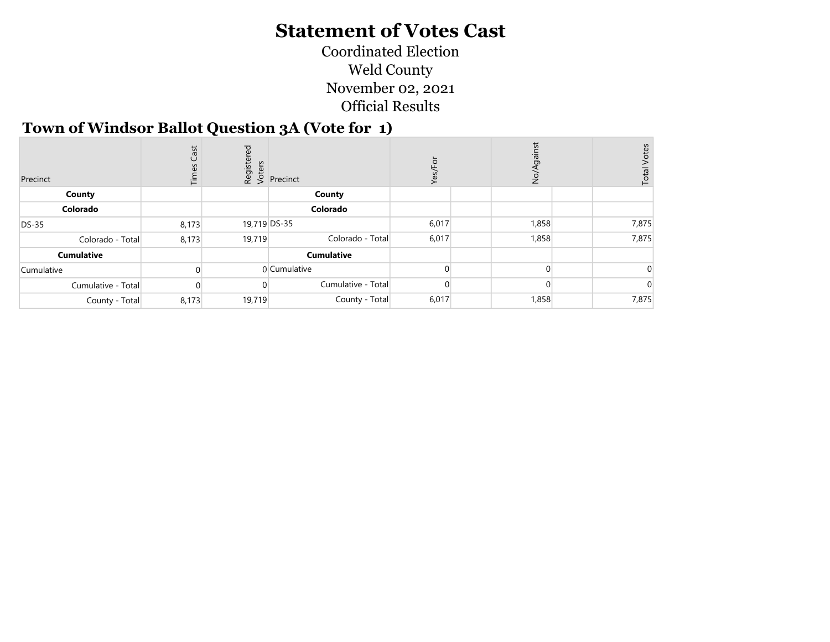Coordinated Election Weld County November 02, 2021 Official Results

#### Town of Windsor Ballot Question 3A (Vote for 1)

| Precinct           | Cast<br><b>Film</b> | red      | $\begin{array}{c} \n\frac{1}{2} & \text{if } \\ \n\frac{1}{2} & \text{if } \\ \n\frac{1}{2} & \text{if } \\ \n\frac{1}{2} & \text{if } \\ \n\frac{1}{2} & \text{if } \\ \n\frac{1}{2} & \text{if } \\ \n\frac{1}{2} & \text{if } \\ \n\frac{1}{2} & \text{if } \\ \n\frac{1}{2} & \text{if } \\ \n\frac{1}{2} & \text{if } \\ \n\frac{1}{2} & \text{if } \\ \n\frac{1}{2} & \text{if } \\ \n\frac{1}{2} & \text{if } \\ \n\frac{$ | ≻     | $\frac{5}{2}$ | Votes<br>Total |
|--------------------|---------------------|----------|-----------------------------------------------------------------------------------------------------------------------------------------------------------------------------------------------------------------------------------------------------------------------------------------------------------------------------------------------------------------------------------------------------------------------------------|-------|---------------|----------------|
| County             |                     |          | County                                                                                                                                                                                                                                                                                                                                                                                                                            |       |               |                |
| Colorado           |                     |          | Colorado                                                                                                                                                                                                                                                                                                                                                                                                                          |       |               |                |
| <b>DS-35</b>       | 8,173               |          | 19,719 DS-35                                                                                                                                                                                                                                                                                                                                                                                                                      | 6,017 | 1,858         | 7,875          |
| Colorado - Total   | 8,173               | 19,719   | Colorado - Total                                                                                                                                                                                                                                                                                                                                                                                                                  | 6,017 | 1,858         | 7,875          |
| <b>Cumulative</b>  |                     |          | <b>Cumulative</b>                                                                                                                                                                                                                                                                                                                                                                                                                 |       |               |                |
| Cumulative         |                     |          | 0 Cumulative                                                                                                                                                                                                                                                                                                                                                                                                                      |       |               |                |
| Cumulative - Total |                     | $\Omega$ | Cumulative - Total                                                                                                                                                                                                                                                                                                                                                                                                                |       |               |                |
| County - Total     | 8,173               | 19,719   | County - Total                                                                                                                                                                                                                                                                                                                                                                                                                    | 6,017 | 1,858         | 7,875          |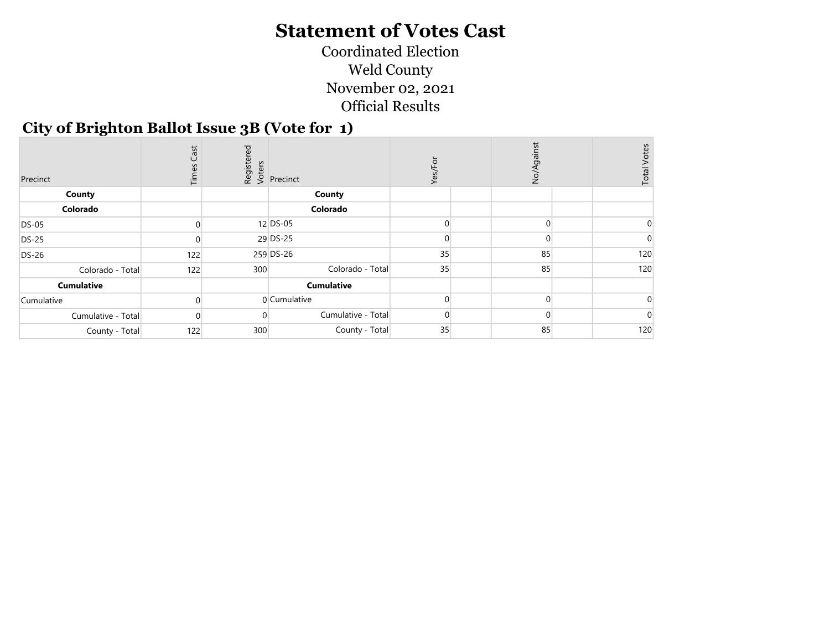Coordinated Election Weld County November 02, 2021 Official Results

#### City of Brighton Ballot Issue 3B (Vote for 1)

| Precinct           | Cast<br>Times |     | Registered<br>Voters<br>Precinct | ò<br>Yes/ | ainst<br>$\frac{1}{2}$ | <b>Total Votes</b> |
|--------------------|---------------|-----|----------------------------------|-----------|------------------------|--------------------|
| County             |               |     | County                           |           |                        |                    |
| Colorado           |               |     | Colorado                         |           |                        |                    |
| <b>DS-05</b>       | $\mathbf{0}$  |     | 12 DS-05                         |           |                        |                    |
| <b>DS-25</b>       |               |     | 29 DS-25                         |           |                        |                    |
| <b>DS-26</b>       | 122           |     | 259 DS-26                        | 35        | 85                     | 120                |
| Colorado - Total   | 122           | 300 | Colorado - Total                 | 35        | 85                     | 120                |
| <b>Cumulative</b>  |               |     | <b>Cumulative</b>                |           |                        |                    |
| Cumulative         |               |     | 0 Cumulative                     |           | O                      |                    |
| Cumulative - Total | $\Omega$      |     | Cumulative - Total               | 0         |                        |                    |
| County - Total     | 122           | 300 | County - Total                   | 35        | 85                     | 120                |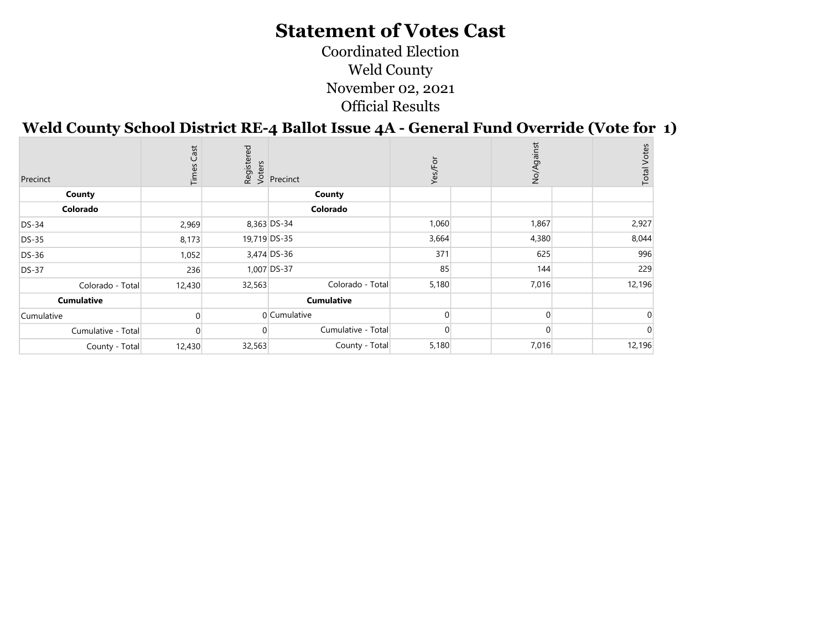Coordinated Election Weld County November 02, 2021 Official Results

### Weld County School District RE-4 Ballot Issue 4A - General Fund Override (Vote for 1)

| Precinct           | Cast<br>Times |          | Registered<br>Voters<br>Precinct | ğ<br>Yes/ | ist<br>No/Ag | <b>Total Votes</b> |
|--------------------|---------------|----------|----------------------------------|-----------|--------------|--------------------|
| County             |               |          | County                           |           |              |                    |
| Colorado           |               |          | Colorado                         |           |              |                    |
| <b>DS-34</b>       | 2,969         |          | 8,363 DS-34                      | 1,060     | 1,867        | 2,927              |
| <b>DS-35</b>       | 8,173         |          | 19,719 DS-35                     | 3,664     | 4,380        | 8,044              |
| DS-36              | 1,052         |          | 3,474 DS-36                      | 371       | 625          | 996                |
| <b>DS-37</b>       | 236           |          | 1,007 DS-37                      | 85        | 144          | 229                |
| Colorado - Total   | 12,430        | 32,563   | Colorado - Total                 | 5,180     | 7,016        | 12,196             |
| <b>Cumulative</b>  |               |          | <b>Cumulative</b>                |           |              |                    |
| Cumulative         |               |          | 0 Cumulative                     |           | $\Omega$     |                    |
| Cumulative - Total | $\Omega$      | $\Omega$ | Cumulative - Total               |           |              |                    |
| County - Total     | 12,430        | 32,563   | County - Total                   | 5,180     | 7,016        | 12,196             |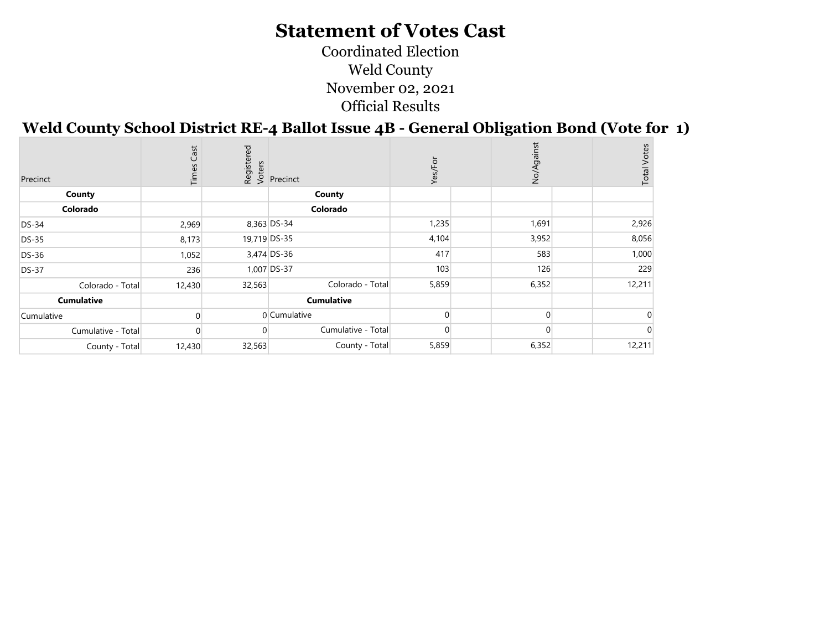Coordinated Election Weld County November 02, 2021 Official Results

## Weld County School District RE-4 Ballot Issue 4B - General Obligation Bond (Vote for 1)

| Precinct           | Cast<br>Times |          | Registered<br>Voters<br>Precinct | Ĕ<br>Yes/ | nst<br>No/Ag |          | <b>Total Votes</b> |
|--------------------|---------------|----------|----------------------------------|-----------|--------------|----------|--------------------|
| County             |               |          | County                           |           |              |          |                    |
| Colorado           |               |          | Colorado                         |           |              |          |                    |
| <b>DS-34</b>       | 2,969         |          | 8,363 DS-34                      | 1,235     | 1,691        |          | 2,926              |
| DS-35              | 8,173         |          | 19,719 DS-35                     | 4,104     | 3,952        |          | 8,056              |
| DS-36              | 1,052         |          | 3,474 DS-36                      | 417       | 583          |          | 1,000              |
| <b>DS-37</b>       | 236           |          | 1,007 DS-37                      | 103       | 126          |          | 229                |
| Colorado - Total   | 12,430        | 32,563   | Colorado - Total                 | 5,859     | 6,352        |          | 12,211             |
| <b>Cumulative</b>  |               |          | <b>Cumulative</b>                |           |              |          |                    |
| Cumulative         |               |          | 0 Cumulative                     |           |              | $\Omega$ |                    |
| Cumulative - Total | $\Omega$      | $\Omega$ | Cumulative - Total               |           |              |          |                    |
| County - Total     | 12,430        | 32,563   | County - Total                   | 5,859     | 6,352        |          | 12,211             |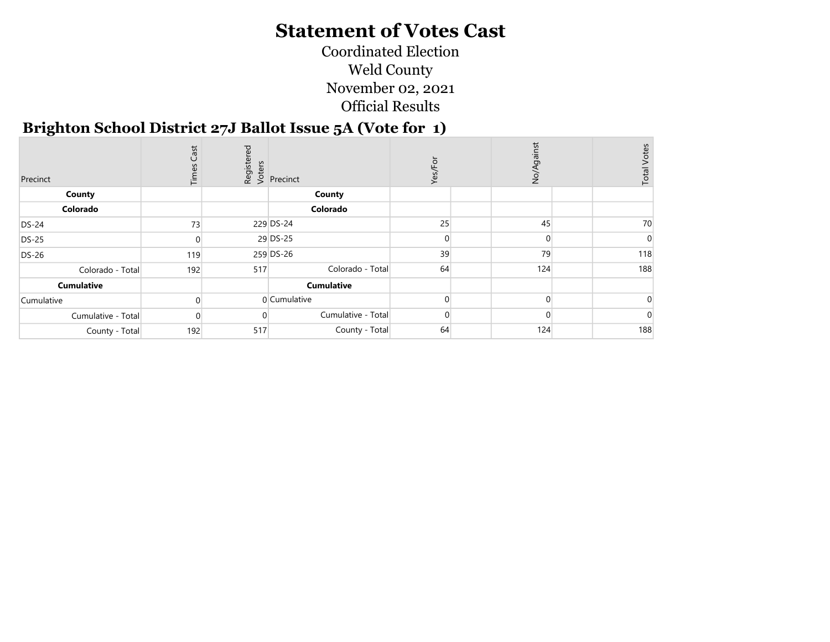Coordinated Election Weld County November 02, 2021 Official Results

#### Brighton School District 27J Ballot Issue 5A (Vote for 1)

| Precinct           | Cast<br>Time: |     | Registered<br>Voters<br>Versinct | ğ<br>قح | $\overrightarrow{Q}$ | <b>Total Votes</b> |
|--------------------|---------------|-----|----------------------------------|---------|----------------------|--------------------|
| County             |               |     | County                           |         |                      |                    |
| Colorado           |               |     | Colorado                         |         |                      |                    |
| <b>DS-24</b>       | 73            |     | 229 DS-24                        | 25      | 45                   | 70                 |
| <b>DS-25</b>       |               |     | 29 DS-25                         |         | $\Omega$             |                    |
| DS-26              | 119           |     | 259 DS-26                        | 39      | 79                   | 118                |
| Colorado - Total   | 192           | 517 | Colorado - Total                 | 64      | 124                  | 188                |
| <b>Cumulative</b>  |               |     | <b>Cumulative</b>                |         |                      |                    |
| Cumulative         |               |     | 0 Cumulative                     |         | $\Omega$             |                    |
| Cumulative - Total | $\Omega$      |     | Cumulative - Total               |         |                      |                    |
| County - Total     | 192           | 517 | County - Total                   | 64      | 124                  | 188                |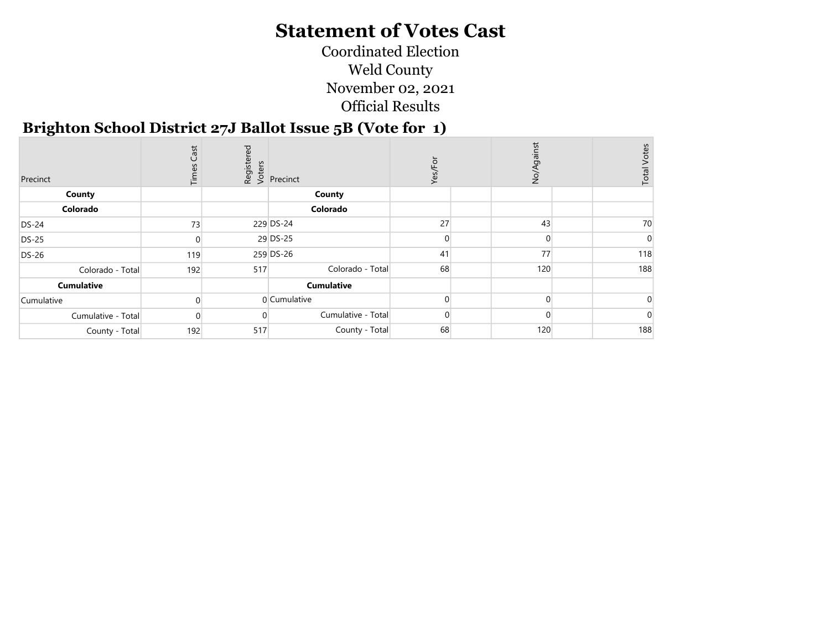Coordinated Election Weld County November 02, 2021 Official Results

#### Brighton School District 27J Ballot Issue 5B (Vote for 1)

| Precinct           | Cast<br>Time: |     | Registered<br>Voters<br>Precinct | Εòτ<br>Yes, | ist<br>$\overrightarrow{SO}$ | <b>Total Votes</b> |
|--------------------|---------------|-----|----------------------------------|-------------|------------------------------|--------------------|
| County             |               |     | County                           |             |                              |                    |
| Colorado           |               |     | Colorado                         |             |                              |                    |
| <b>DS-24</b>       | 73            |     | 229 DS-24                        | 27          | 43                           | 70                 |
| <b>DS-25</b>       |               |     | 29 DS-25                         |             | $\Omega$                     |                    |
| <b>DS-26</b>       | 119           |     | 259 DS-26                        | 41          | 77                           | 118                |
| Colorado - Total   | 192           | 517 | Colorado - Total                 | 68          | 120                          | 188                |
| <b>Cumulative</b>  |               |     | <b>Cumulative</b>                |             |                              |                    |
| Cumulative         |               |     | $0$ Cumulative                   |             | $\Omega$                     |                    |
| Cumulative - Total | 0             |     | Cumulative - Total               | 0           |                              |                    |
| County - Total     | 192           | 517 | County - Total                   | 68          | 120                          | 188                |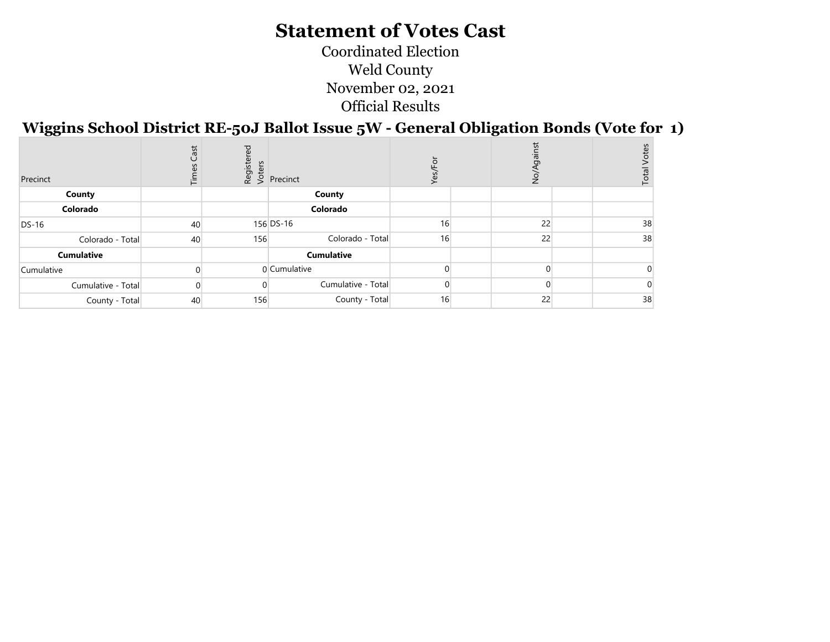Coordinated Election Weld County November 02, 2021 Official Results

Wiggins School District RE-50J Ballot Issue 5W - General Obligation Bonds (Vote for 1)

| Precinct           | Cast<br>Time: | ರ<br>Registe<br>Voters | Precinct           | ≻  | ž  | Votes<br>Total |
|--------------------|---------------|------------------------|--------------------|----|----|----------------|
| County             |               |                        | County             |    |    |                |
| Colorado           |               |                        | Colorado           |    |    |                |
| DS-16              | 40            |                        | 156 DS-16          | 16 | 22 | 38             |
| Colorado - Total   | 40            | 156                    | Colorado - Total   | 16 | 22 | 38             |
| <b>Cumulative</b>  |               |                        | <b>Cumulative</b>  |    |    |                |
| Cumulative         |               |                        | 0 Cumulative       |    |    |                |
| Cumulative - Total |               |                        | Cumulative - Total |    |    |                |
| County - Total     | 40            | 156                    | County - Total     | 16 | 22 | 38             |